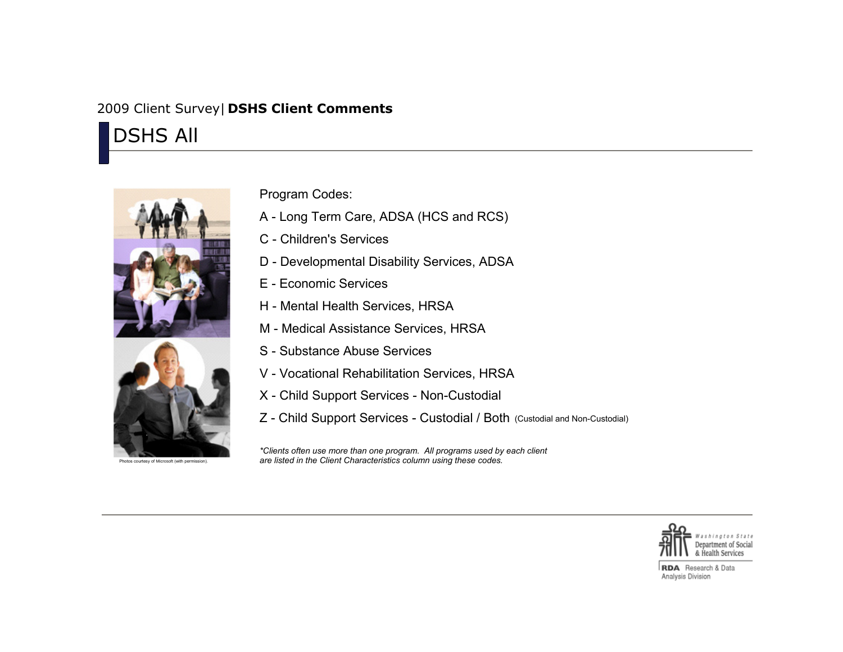## 2009 Client Survey| **DSHS Client Comments**

DSHS All



Program Codes:

- A Long Term Care, ADSA (HCS and RCS)
- C Children's Services
- D Developmental Disability Services, ADSA
- E Economic Services
- H Mental Health Services, HRSA
- M Medical Assistance Services, HRSA
- S Substance Abuse Services
- V Vocational Rehabilitation Services, HRSA
- X Child Support Services Non-Custodial
- Z Child Support Services Custodial / Both (Custodial and Non-Custodial)

*\*Clients often use more than one program. All programs used by each client are listed in the Client Characteristics column using these codes.*



**RDA** Research & Data Analysis Division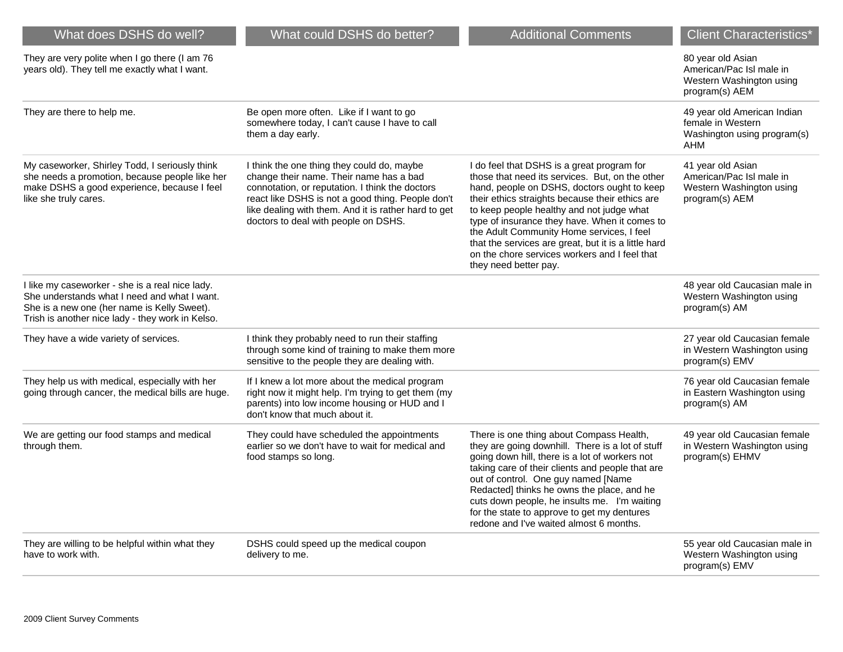| What does DSHS do well?                                                                                                                                                                            | What could DSHS do better?                                                                                                                                                                                                                                                                    | <b>Additional Comments</b>                                                                                                                                                                                                                                                                                                                                                                                                                                                   | <b>Client Characteristics*</b>                                                              |
|----------------------------------------------------------------------------------------------------------------------------------------------------------------------------------------------------|-----------------------------------------------------------------------------------------------------------------------------------------------------------------------------------------------------------------------------------------------------------------------------------------------|------------------------------------------------------------------------------------------------------------------------------------------------------------------------------------------------------------------------------------------------------------------------------------------------------------------------------------------------------------------------------------------------------------------------------------------------------------------------------|---------------------------------------------------------------------------------------------|
| They are very polite when I go there (I am 76<br>years old). They tell me exactly what I want.                                                                                                     |                                                                                                                                                                                                                                                                                               |                                                                                                                                                                                                                                                                                                                                                                                                                                                                              | 80 year old Asian<br>American/Pac Isl male in<br>Western Washington using<br>program(s) AEM |
| They are there to help me.                                                                                                                                                                         | Be open more often. Like if I want to go<br>somewhere today, I can't cause I have to call<br>them a day early.                                                                                                                                                                                |                                                                                                                                                                                                                                                                                                                                                                                                                                                                              | 49 year old American Indian<br>female in Western<br>Washington using program(s)<br>AHM      |
| My caseworker, Shirley Todd, I seriously think<br>she needs a promotion, because people like her<br>make DSHS a good experience, because I feel<br>like she truly cares.                           | I think the one thing they could do, maybe<br>change their name. Their name has a bad<br>connotation, or reputation. I think the doctors<br>react like DSHS is not a good thing. People don't<br>like dealing with them. And it is rather hard to get<br>doctors to deal with people on DSHS. | I do feel that DSHS is a great program for<br>those that need its services. But, on the other<br>hand, people on DSHS, doctors ought to keep<br>their ethics straights because their ethics are<br>to keep people healthy and not judge what<br>type of insurance they have. When it comes to<br>the Adult Community Home services, I feel<br>that the services are great, but it is a little hard<br>on the chore services workers and I feel that<br>they need better pay. | 41 year old Asian<br>American/Pac Isl male in<br>Western Washington using<br>program(s) AEM |
| I like my caseworker - she is a real nice lady.<br>She understands what I need and what I want.<br>She is a new one (her name is Kelly Sweet).<br>Trish is another nice lady - they work in Kelso. |                                                                                                                                                                                                                                                                                               |                                                                                                                                                                                                                                                                                                                                                                                                                                                                              | 48 year old Caucasian male in<br>Western Washington using<br>program(s) AM                  |
| They have a wide variety of services.                                                                                                                                                              | I think they probably need to run their staffing<br>through some kind of training to make them more<br>sensitive to the people they are dealing with.                                                                                                                                         |                                                                                                                                                                                                                                                                                                                                                                                                                                                                              | 27 year old Caucasian female<br>in Western Washington using<br>program(s) EMV               |
| They help us with medical, especially with her<br>going through cancer, the medical bills are huge.                                                                                                | If I knew a lot more about the medical program<br>right now it might help. I'm trying to get them (my<br>parents) into low income housing or HUD and I<br>don't know that much about it.                                                                                                      |                                                                                                                                                                                                                                                                                                                                                                                                                                                                              | 76 year old Caucasian female<br>in Eastern Washington using<br>program(s) AM                |
| We are getting our food stamps and medical<br>through them.                                                                                                                                        | They could have scheduled the appointments<br>earlier so we don't have to wait for medical and<br>food stamps so long.                                                                                                                                                                        | There is one thing about Compass Health,<br>they are going downhill. There is a lot of stuff<br>going down hill, there is a lot of workers not<br>taking care of their clients and people that are<br>out of control. One guy named [Name<br>Redacted] thinks he owns the place, and he<br>cuts down people, he insults me. I'm waiting<br>for the state to approve to get my dentures<br>redone and I've waited almost 6 months.                                            | 49 year old Caucasian female<br>in Western Washington using<br>program(s) EHMV              |
| They are willing to be helpful within what they<br>have to work with.                                                                                                                              | DSHS could speed up the medical coupon<br>delivery to me.                                                                                                                                                                                                                                     |                                                                                                                                                                                                                                                                                                                                                                                                                                                                              | 55 year old Caucasian male in<br>Western Washington using<br>program(s) EMV                 |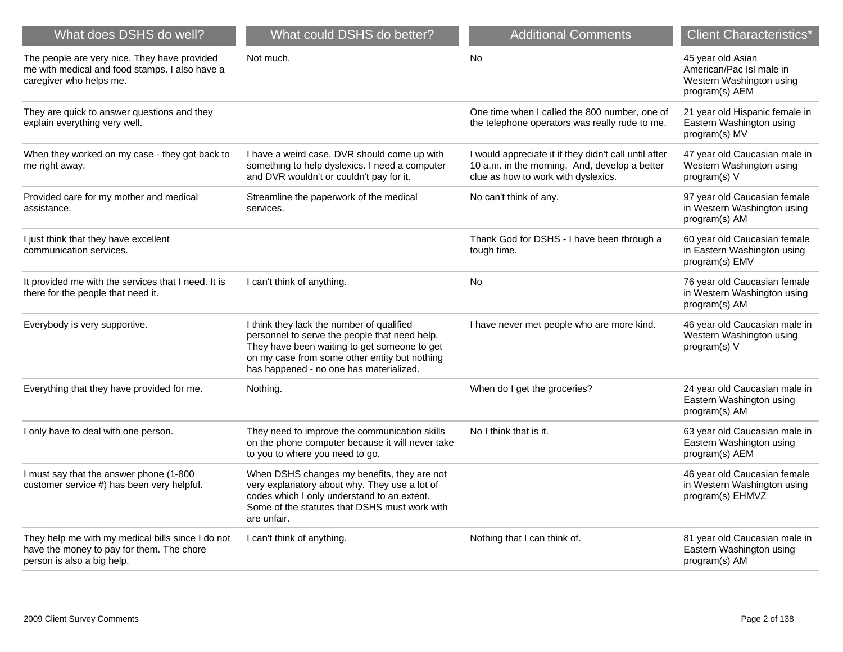| What does DSHS do well?                                                                                                      | What could DSHS do better?                                                                                                                                                                                                             | <b>Additional Comments</b>                                                                                                                    | <b>Client Characteristics'</b>                                                              |
|------------------------------------------------------------------------------------------------------------------------------|----------------------------------------------------------------------------------------------------------------------------------------------------------------------------------------------------------------------------------------|-----------------------------------------------------------------------------------------------------------------------------------------------|---------------------------------------------------------------------------------------------|
| The people are very nice. They have provided<br>me with medical and food stamps. I also have a<br>caregiver who helps me.    | Not much.                                                                                                                                                                                                                              | No                                                                                                                                            | 45 year old Asian<br>American/Pac Isl male in<br>Western Washington using<br>program(s) AEM |
| They are quick to answer questions and they<br>explain everything very well.                                                 |                                                                                                                                                                                                                                        | One time when I called the 800 number, one of<br>the telephone operators was really rude to me.                                               | 21 year old Hispanic female in<br>Eastern Washington using<br>program(s) MV                 |
| When they worked on my case - they got back to<br>me right away.                                                             | I have a weird case. DVR should come up with<br>something to help dyslexics. I need a computer<br>and DVR wouldn't or couldn't pay for it.                                                                                             | I would appreciate it if they didn't call until after<br>10 a.m. in the morning. And, develop a better<br>clue as how to work with dyslexics. | 47 year old Caucasian male in<br>Western Washington using<br>program(s) V                   |
| Provided care for my mother and medical<br>assistance.                                                                       | Streamline the paperwork of the medical<br>services.                                                                                                                                                                                   | No can't think of any.                                                                                                                        | 97 year old Caucasian female<br>in Western Washington using<br>program(s) AM                |
| I just think that they have excellent<br>communication services.                                                             |                                                                                                                                                                                                                                        | Thank God for DSHS - I have been through a<br>tough time.                                                                                     | 60 year old Caucasian female<br>in Eastern Washington using<br>program(s) EMV               |
| It provided me with the services that I need. It is<br>there for the people that need it.                                    | I can't think of anything.                                                                                                                                                                                                             | No                                                                                                                                            | 76 year old Caucasian female<br>in Western Washington using<br>program(s) AM                |
| Everybody is very supportive.                                                                                                | I think they lack the number of qualified<br>personnel to serve the people that need help.<br>They have been waiting to get someone to get<br>on my case from some other entity but nothing<br>has happened - no one has materialized. | I have never met people who are more kind.                                                                                                    | 46 year old Caucasian male in<br>Western Washington using<br>program(s) V                   |
| Everything that they have provided for me.                                                                                   | Nothing.                                                                                                                                                                                                                               | When do I get the groceries?                                                                                                                  | 24 year old Caucasian male in<br>Eastern Washington using<br>program(s) AM                  |
| I only have to deal with one person.                                                                                         | They need to improve the communication skills<br>on the phone computer because it will never take<br>to you to where you need to go.                                                                                                   | No I think that is it.                                                                                                                        | 63 year old Caucasian male in<br>Eastern Washington using<br>program(s) AEM                 |
| I must say that the answer phone (1-800<br>customer service #) has been very helpful.                                        | When DSHS changes my benefits, they are not<br>very explanatory about why. They use a lot of<br>codes which I only understand to an extent.<br>Some of the statutes that DSHS must work with<br>are unfair.                            |                                                                                                                                               | 46 year old Caucasian female<br>in Western Washington using<br>program(s) EHMVZ             |
| They help me with my medical bills since I do not<br>have the money to pay for them. The chore<br>person is also a big help. | I can't think of anything.                                                                                                                                                                                                             | Nothing that I can think of.                                                                                                                  | 81 year old Caucasian male in<br>Eastern Washington using<br>program(s) AM                  |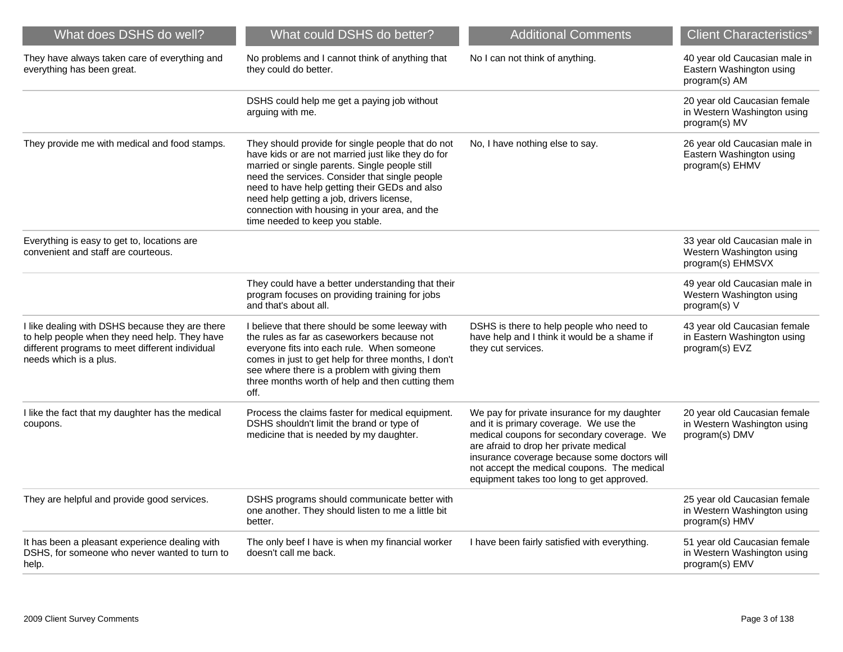| What does DSHS do well?                                                                                                                                                       | What could DSHS do better?                                                                                                                                                                                                                                                                                                                                                                    | <b>Additional Comments</b>                                                                                                                                                                                                                                                                                                 | <b>Client Characteristics*</b>                                                 |
|-------------------------------------------------------------------------------------------------------------------------------------------------------------------------------|-----------------------------------------------------------------------------------------------------------------------------------------------------------------------------------------------------------------------------------------------------------------------------------------------------------------------------------------------------------------------------------------------|----------------------------------------------------------------------------------------------------------------------------------------------------------------------------------------------------------------------------------------------------------------------------------------------------------------------------|--------------------------------------------------------------------------------|
| They have always taken care of everything and<br>everything has been great.                                                                                                   | No problems and I cannot think of anything that<br>they could do better.                                                                                                                                                                                                                                                                                                                      | No I can not think of anything.                                                                                                                                                                                                                                                                                            | 40 year old Caucasian male in<br>Eastern Washington using<br>program(s) AM     |
|                                                                                                                                                                               | DSHS could help me get a paying job without<br>arguing with me.                                                                                                                                                                                                                                                                                                                               |                                                                                                                                                                                                                                                                                                                            | 20 year old Caucasian female<br>in Western Washington using<br>program(s) MV   |
| They provide me with medical and food stamps.                                                                                                                                 | They should provide for single people that do not<br>have kids or are not married just like they do for<br>married or single parents. Single people still<br>need the services. Consider that single people<br>need to have help getting their GEDs and also<br>need help getting a job, drivers license,<br>connection with housing in your area, and the<br>time needed to keep you stable. | No, I have nothing else to say.                                                                                                                                                                                                                                                                                            | 26 year old Caucasian male in<br>Eastern Washington using<br>program(s) EHMV   |
| Everything is easy to get to, locations are<br>convenient and staff are courteous.                                                                                            |                                                                                                                                                                                                                                                                                                                                                                                               |                                                                                                                                                                                                                                                                                                                            | 33 year old Caucasian male in<br>Western Washington using<br>program(s) EHMSVX |
|                                                                                                                                                                               | They could have a better understanding that their<br>program focuses on providing training for jobs<br>and that's about all.                                                                                                                                                                                                                                                                  |                                                                                                                                                                                                                                                                                                                            | 49 year old Caucasian male in<br>Western Washington using<br>program(s) V      |
| I like dealing with DSHS because they are there<br>to help people when they need help. They have<br>different programs to meet different individual<br>needs which is a plus. | I believe that there should be some leeway with<br>the rules as far as caseworkers because not<br>everyone fits into each rule. When someone<br>comes in just to get help for three months, I don't<br>see where there is a problem with giving them<br>three months worth of help and then cutting them<br>off.                                                                              | DSHS is there to help people who need to<br>have help and I think it would be a shame if<br>they cut services.                                                                                                                                                                                                             | 43 year old Caucasian female<br>in Eastern Washington using<br>program(s) EVZ  |
| I like the fact that my daughter has the medical<br>coupons.                                                                                                                  | Process the claims faster for medical equipment.<br>DSHS shouldn't limit the brand or type of<br>medicine that is needed by my daughter.                                                                                                                                                                                                                                                      | We pay for private insurance for my daughter<br>and it is primary coverage. We use the<br>medical coupons for secondary coverage. We<br>are afraid to drop her private medical<br>insurance coverage because some doctors will<br>not accept the medical coupons. The medical<br>equipment takes too long to get approved. | 20 year old Caucasian female<br>in Western Washington using<br>program(s) DMV  |
| They are helpful and provide good services.                                                                                                                                   | DSHS programs should communicate better with<br>one another. They should listen to me a little bit<br>better.                                                                                                                                                                                                                                                                                 |                                                                                                                                                                                                                                                                                                                            | 25 year old Caucasian female<br>in Western Washington using<br>program(s) HMV  |
| It has been a pleasant experience dealing with<br>DSHS, for someone who never wanted to turn to<br>help.                                                                      | The only beef I have is when my financial worker<br>doesn't call me back.                                                                                                                                                                                                                                                                                                                     | I have been fairly satisfied with everything.                                                                                                                                                                                                                                                                              | 51 year old Caucasian female<br>in Western Washington using<br>program(s) EMV  |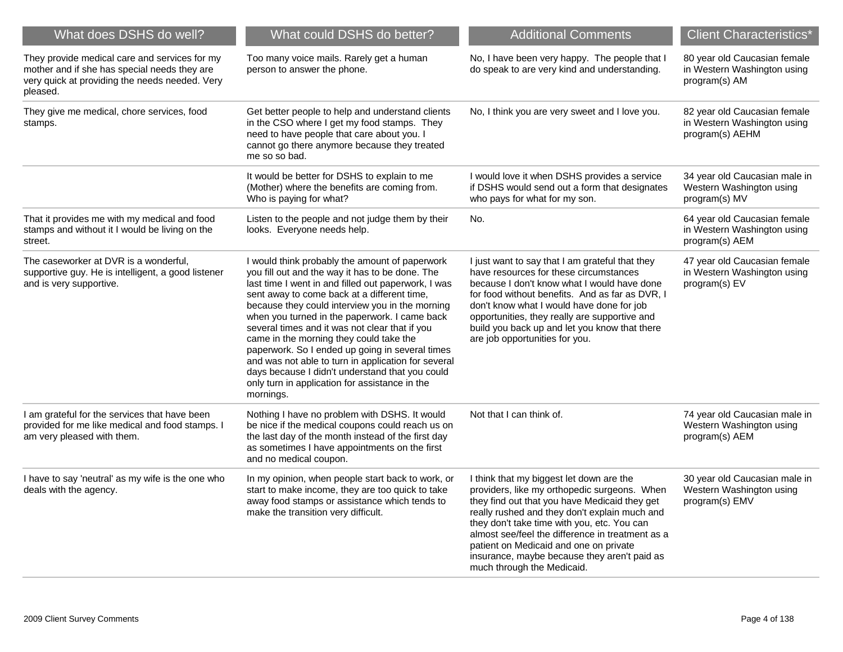| What does DSHS do well?                                                                                                                                     | What could DSHS do better?                                                                                                                                                                                                                                                                                                                                                                                                                                                                                                                                                                                                           | <b>Additional Comments</b>                                                                                                                                                                                                                                                                                                                                                                                            | <b>Client Characteristics*</b>                                                 |
|-------------------------------------------------------------------------------------------------------------------------------------------------------------|--------------------------------------------------------------------------------------------------------------------------------------------------------------------------------------------------------------------------------------------------------------------------------------------------------------------------------------------------------------------------------------------------------------------------------------------------------------------------------------------------------------------------------------------------------------------------------------------------------------------------------------|-----------------------------------------------------------------------------------------------------------------------------------------------------------------------------------------------------------------------------------------------------------------------------------------------------------------------------------------------------------------------------------------------------------------------|--------------------------------------------------------------------------------|
| They provide medical care and services for my<br>mother and if she has special needs they are<br>very quick at providing the needs needed. Very<br>pleased. | Too many voice mails. Rarely get a human<br>person to answer the phone.                                                                                                                                                                                                                                                                                                                                                                                                                                                                                                                                                              | No, I have been very happy. The people that I<br>do speak to are very kind and understanding.                                                                                                                                                                                                                                                                                                                         | 80 year old Caucasian female<br>in Western Washington using<br>program(s) AM   |
| They give me medical, chore services, food<br>stamps.                                                                                                       | Get better people to help and understand clients<br>in the CSO where I get my food stamps. They<br>need to have people that care about you. I<br>cannot go there anymore because they treated<br>me so so bad.                                                                                                                                                                                                                                                                                                                                                                                                                       | No, I think you are very sweet and I love you.                                                                                                                                                                                                                                                                                                                                                                        | 82 year old Caucasian female<br>in Western Washington using<br>program(s) AEHM |
|                                                                                                                                                             | It would be better for DSHS to explain to me<br>(Mother) where the benefits are coming from.<br>Who is paying for what?                                                                                                                                                                                                                                                                                                                                                                                                                                                                                                              | I would love it when DSHS provides a service<br>if DSHS would send out a form that designates<br>who pays for what for my son.                                                                                                                                                                                                                                                                                        | 34 year old Caucasian male in<br>Western Washington using<br>program(s) MV     |
| That it provides me with my medical and food<br>stamps and without it I would be living on the<br>street.                                                   | Listen to the people and not judge them by their<br>looks. Everyone needs help.                                                                                                                                                                                                                                                                                                                                                                                                                                                                                                                                                      | No.                                                                                                                                                                                                                                                                                                                                                                                                                   | 64 year old Caucasian female<br>in Western Washington using<br>program(s) AEM  |
| The caseworker at DVR is a wonderful,<br>supportive guy. He is intelligent, a good listener<br>and is very supportive.                                      | I would think probably the amount of paperwork<br>you fill out and the way it has to be done. The<br>last time I went in and filled out paperwork, I was<br>sent away to come back at a different time,<br>because they could interview you in the morning<br>when you turned in the paperwork. I came back<br>several times and it was not clear that if you<br>came in the morning they could take the<br>paperwork. So I ended up going in several times<br>and was not able to turn in application for several<br>days because I didn't understand that you could<br>only turn in application for assistance in the<br>mornings. | I just want to say that I am grateful that they<br>have resources for these circumstances<br>because I don't know what I would have done<br>for food without benefits. And as far as DVR, I<br>don't know what I would have done for job<br>opportunities, they really are supportive and<br>build you back up and let you know that there<br>are job opportunities for you.                                          | 47 year old Caucasian female<br>in Western Washington using<br>program(s) EV   |
| I am grateful for the services that have been<br>provided for me like medical and food stamps. I<br>am very pleased with them.                              | Nothing I have no problem with DSHS. It would<br>be nice if the medical coupons could reach us on<br>the last day of the month instead of the first day<br>as sometimes I have appointments on the first<br>and no medical coupon.                                                                                                                                                                                                                                                                                                                                                                                                   | Not that I can think of.                                                                                                                                                                                                                                                                                                                                                                                              | 74 year old Caucasian male in<br>Western Washington using<br>program(s) AEM    |
| I have to say 'neutral' as my wife is the one who<br>deals with the agency.                                                                                 | In my opinion, when people start back to work, or<br>start to make income, they are too quick to take<br>away food stamps or assistance which tends to<br>make the transition very difficult.                                                                                                                                                                                                                                                                                                                                                                                                                                        | I think that my biggest let down are the<br>providers, like my orthopedic surgeons. When<br>they find out that you have Medicaid they get<br>really rushed and they don't explain much and<br>they don't take time with you, etc. You can<br>almost see/feel the difference in treatment as a<br>patient on Medicaid and one on private<br>insurance, maybe because they aren't paid as<br>much through the Medicaid. | 30 year old Caucasian male in<br>Western Washington using<br>program(s) EMV    |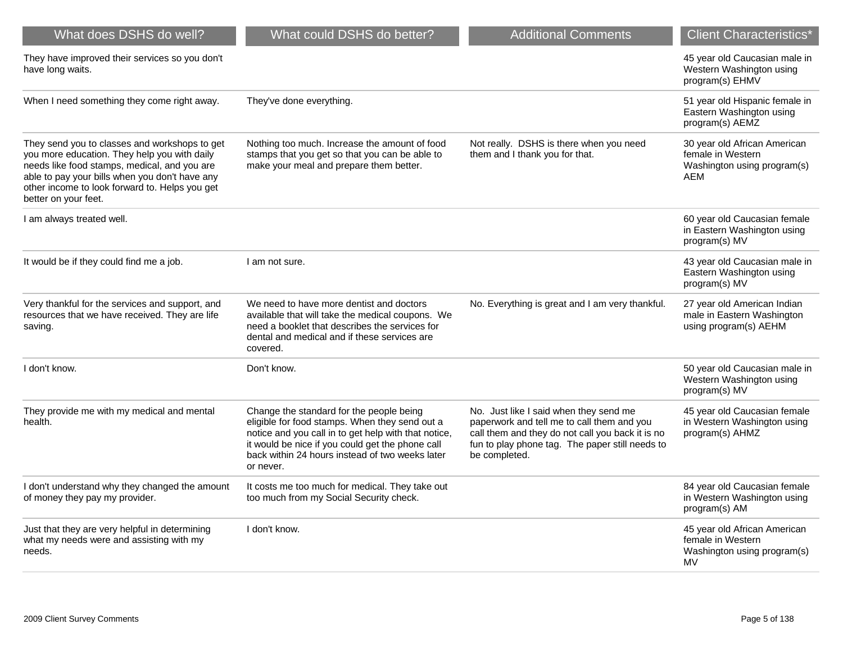| What does DSHS do well?                                                                                                                                                                                                                                                   | What could DSHS do better?                                                                                                                                                                                                                                             | <b>Additional Comments</b>                                                                                                                                                                                   | <b>Client Characteristics*</b>                                                          |
|---------------------------------------------------------------------------------------------------------------------------------------------------------------------------------------------------------------------------------------------------------------------------|------------------------------------------------------------------------------------------------------------------------------------------------------------------------------------------------------------------------------------------------------------------------|--------------------------------------------------------------------------------------------------------------------------------------------------------------------------------------------------------------|-----------------------------------------------------------------------------------------|
| They have improved their services so you don't<br>have long waits.                                                                                                                                                                                                        |                                                                                                                                                                                                                                                                        |                                                                                                                                                                                                              | 45 year old Caucasian male in<br>Western Washington using<br>program(s) EHMV            |
| When I need something they come right away.                                                                                                                                                                                                                               | They've done everything.                                                                                                                                                                                                                                               |                                                                                                                                                                                                              | 51 year old Hispanic female in<br>Eastern Washington using<br>program(s) AEMZ           |
| They send you to classes and workshops to get<br>you more education. They help you with daily<br>needs like food stamps, medical, and you are<br>able to pay your bills when you don't have any<br>other income to look forward to. Helps you get<br>better on your feet. | Nothing too much. Increase the amount of food<br>stamps that you get so that you can be able to<br>make your meal and prepare them better.                                                                                                                             | Not really. DSHS is there when you need<br>them and I thank you for that.                                                                                                                                    | 30 year old African American<br>female in Western<br>Washington using program(s)<br>AEM |
| I am always treated well.                                                                                                                                                                                                                                                 |                                                                                                                                                                                                                                                                        |                                                                                                                                                                                                              | 60 year old Caucasian female<br>in Eastern Washington using<br>program(s) MV            |
| It would be if they could find me a job.                                                                                                                                                                                                                                  | I am not sure.                                                                                                                                                                                                                                                         |                                                                                                                                                                                                              | 43 year old Caucasian male in<br>Eastern Washington using<br>program(s) MV              |
| Very thankful for the services and support, and<br>resources that we have received. They are life<br>saving.                                                                                                                                                              | We need to have more dentist and doctors<br>available that will take the medical coupons. We<br>need a booklet that describes the services for<br>dental and medical and if these services are<br>covered.                                                             | No. Everything is great and I am very thankful.                                                                                                                                                              | 27 year old American Indian<br>male in Eastern Washington<br>using program(s) AEHM      |
| I don't know.                                                                                                                                                                                                                                                             | Don't know.                                                                                                                                                                                                                                                            |                                                                                                                                                                                                              | 50 year old Caucasian male in<br>Western Washington using<br>program(s) MV              |
| They provide me with my medical and mental<br>health.                                                                                                                                                                                                                     | Change the standard for the people being<br>eligible for food stamps. When they send out a<br>notice and you call in to get help with that notice,<br>it would be nice if you could get the phone call<br>back within 24 hours instead of two weeks later<br>or never. | No. Just like I said when they send me<br>paperwork and tell me to call them and you<br>call them and they do not call you back it is no<br>fun to play phone tag. The paper still needs to<br>be completed. | 45 year old Caucasian female<br>in Western Washington using<br>program(s) AHMZ          |
| I don't understand why they changed the amount<br>of money they pay my provider.                                                                                                                                                                                          | It costs me too much for medical. They take out<br>too much from my Social Security check.                                                                                                                                                                             |                                                                                                                                                                                                              | 84 year old Caucasian female<br>in Western Washington using<br>program(s) AM            |
| Just that they are very helpful in determining<br>what my needs were and assisting with my<br>needs.                                                                                                                                                                      | I don't know.                                                                                                                                                                                                                                                          |                                                                                                                                                                                                              | 45 year old African American<br>female in Western<br>Washington using program(s)<br>MV  |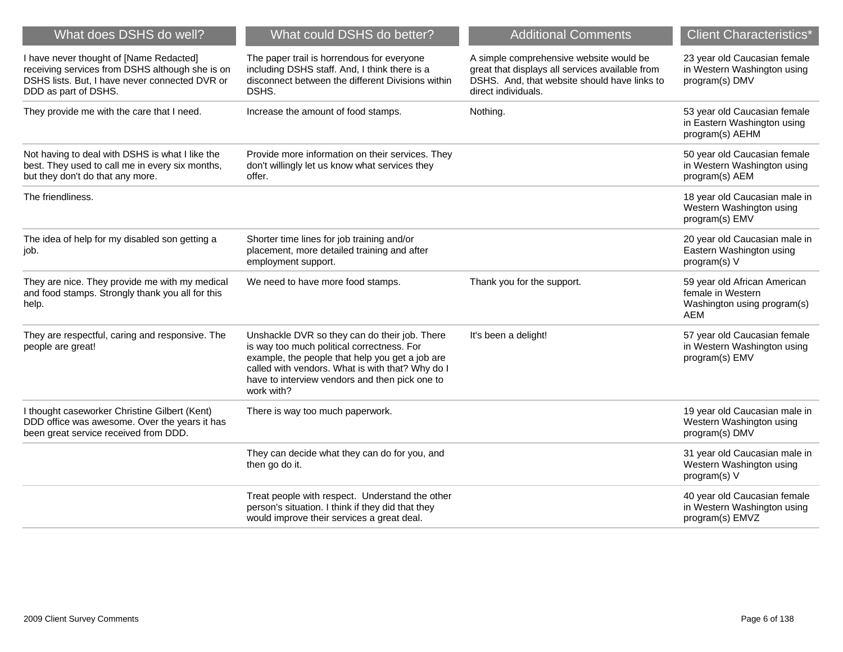| What does DSHS do well?                                                                                                                                              | What could DSHS do better?                                                                                                                                                                                                                                         | <b>Additional Comments</b>                                                                                                                                        | <b>Client Characteristics</b> *                                                                |
|----------------------------------------------------------------------------------------------------------------------------------------------------------------------|--------------------------------------------------------------------------------------------------------------------------------------------------------------------------------------------------------------------------------------------------------------------|-------------------------------------------------------------------------------------------------------------------------------------------------------------------|------------------------------------------------------------------------------------------------|
| I have never thought of [Name Redacted]<br>receiving services from DSHS although she is on<br>DSHS lists. But, I have never connected DVR or<br>DDD as part of DSHS. | The paper trail is horrendous for everyone<br>including DSHS staff. And, I think there is a<br>disconnect between the different Divisions within<br>DSHS.                                                                                                          | A simple comprehensive website would be<br>great that displays all services available from<br>DSHS. And, that website should have links to<br>direct individuals. | 23 year old Caucasian female<br>in Western Washington using<br>program(s) DMV                  |
| They provide me with the care that I need.                                                                                                                           | Increase the amount of food stamps.                                                                                                                                                                                                                                | Nothing.                                                                                                                                                          | 53 year old Caucasian female<br>in Eastern Washington using<br>program(s) AEHM                 |
| Not having to deal with DSHS is what I like the<br>best. They used to call me in every six months,<br>but they don't do that any more.                               | Provide more information on their services. They<br>don't willingly let us know what services they<br>offer.                                                                                                                                                       |                                                                                                                                                                   | 50 year old Caucasian female<br>in Western Washington using<br>program(s) AEM                  |
| The friendliness.                                                                                                                                                    |                                                                                                                                                                                                                                                                    |                                                                                                                                                                   | 18 year old Caucasian male in<br>Western Washington using<br>program(s) EMV                    |
| The idea of help for my disabled son getting a<br>job.                                                                                                               | Shorter time lines for job training and/or<br>placement, more detailed training and after<br>employment support.                                                                                                                                                   |                                                                                                                                                                   | 20 year old Caucasian male in<br>Eastern Washington using<br>program(s) V                      |
| They are nice. They provide me with my medical<br>and food stamps. Strongly thank you all for this<br>help.                                                          | We need to have more food stamps.                                                                                                                                                                                                                                  | Thank you for the support.                                                                                                                                        | 59 year old African American<br>female in Western<br>Washington using program(s)<br><b>AEM</b> |
| They are respectful, caring and responsive. The<br>people are great!                                                                                                 | Unshackle DVR so they can do their job. There<br>is way too much political correctness. For<br>example, the people that help you get a job are<br>called with vendors. What is with that? Why do I<br>have to interview vendors and then pick one to<br>work with? | It's been a delight!                                                                                                                                              | 57 year old Caucasian female<br>in Western Washington using<br>program(s) EMV                  |
| I thought caseworker Christine Gilbert (Kent)<br>DDD office was awesome. Over the years it has<br>been great service received from DDD.                              | There is way too much paperwork.                                                                                                                                                                                                                                   |                                                                                                                                                                   | 19 year old Caucasian male in<br>Western Washington using<br>program(s) DMV                    |
|                                                                                                                                                                      | They can decide what they can do for you, and<br>then go do it.                                                                                                                                                                                                    |                                                                                                                                                                   | 31 year old Caucasian male in<br>Western Washington using<br>program(s) V                      |
|                                                                                                                                                                      | Treat people with respect. Understand the other<br>person's situation. I think if they did that they<br>would improve their services a great deal.                                                                                                                 |                                                                                                                                                                   | 40 year old Caucasian female<br>in Western Washington using<br>program(s) EMVZ                 |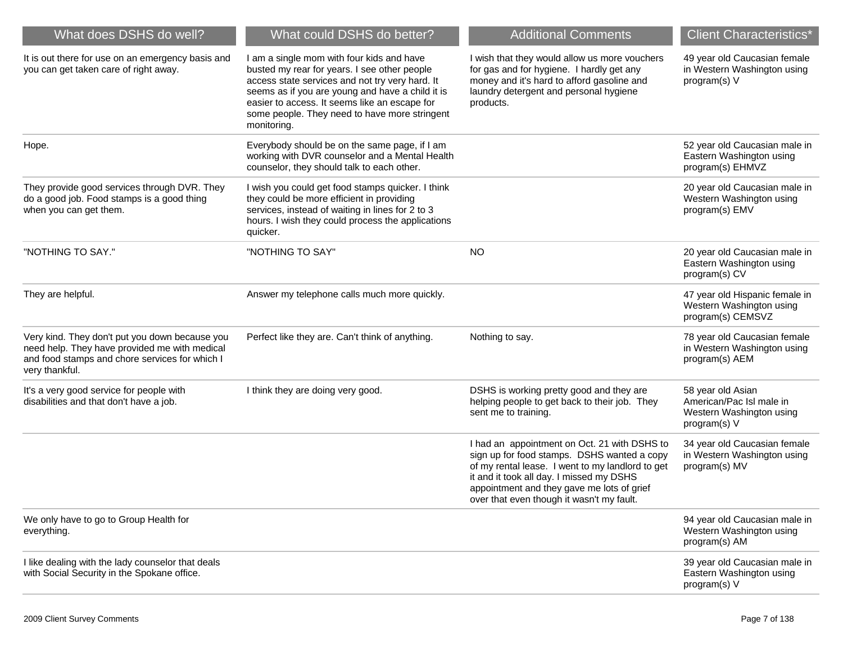| What does DSHS do well?                                                                                                                                             | What could DSHS do better?                                                                                                                                                                                                                                                                                        | <b>Additional Comments</b>                                                                                                                                                                                                                                                             | <b>Client Characteristics*</b>                                                            |
|---------------------------------------------------------------------------------------------------------------------------------------------------------------------|-------------------------------------------------------------------------------------------------------------------------------------------------------------------------------------------------------------------------------------------------------------------------------------------------------------------|----------------------------------------------------------------------------------------------------------------------------------------------------------------------------------------------------------------------------------------------------------------------------------------|-------------------------------------------------------------------------------------------|
| It is out there for use on an emergency basis and<br>you can get taken care of right away.                                                                          | I am a single mom with four kids and have<br>busted my rear for years. I see other people<br>access state services and not try very hard. It<br>seems as if you are young and have a child it is<br>easier to access. It seems like an escape for<br>some people. They need to have more stringent<br>monitoring. | I wish that they would allow us more vouchers<br>for gas and for hygiene. I hardly get any<br>money and it's hard to afford gasoline and<br>laundry detergent and personal hygiene<br>products.                                                                                        | 49 year old Caucasian female<br>in Western Washington using<br>program(s) V               |
| Hope.                                                                                                                                                               | Everybody should be on the same page, if I am<br>working with DVR counselor and a Mental Health<br>counselor, they should talk to each other.                                                                                                                                                                     |                                                                                                                                                                                                                                                                                        | 52 year old Caucasian male in<br>Eastern Washington using<br>program(s) EHMVZ             |
| They provide good services through DVR. They<br>do a good job. Food stamps is a good thing<br>when you can get them.                                                | I wish you could get food stamps quicker. I think<br>they could be more efficient in providing<br>services, instead of waiting in lines for 2 to 3<br>hours. I wish they could process the applications<br>quicker.                                                                                               |                                                                                                                                                                                                                                                                                        | 20 year old Caucasian male in<br>Western Washington using<br>program(s) EMV               |
| "NOTHING TO SAY."                                                                                                                                                   | "NOTHING TO SAY"                                                                                                                                                                                                                                                                                                  | <b>NO</b>                                                                                                                                                                                                                                                                              | 20 year old Caucasian male in<br>Eastern Washington using<br>program(s) CV                |
| They are helpful.                                                                                                                                                   | Answer my telephone calls much more quickly.                                                                                                                                                                                                                                                                      |                                                                                                                                                                                                                                                                                        | 47 year old Hispanic female in<br>Western Washington using<br>program(s) CEMSVZ           |
| Very kind. They don't put you down because you<br>need help. They have provided me with medical<br>and food stamps and chore services for which I<br>very thankful. | Perfect like they are. Can't think of anything.                                                                                                                                                                                                                                                                   | Nothing to say.                                                                                                                                                                                                                                                                        | 78 year old Caucasian female<br>in Western Washington using<br>program(s) AEM             |
| It's a very good service for people with<br>disabilities and that don't have a job.                                                                                 | I think they are doing very good.                                                                                                                                                                                                                                                                                 | DSHS is working pretty good and they are<br>helping people to get back to their job. They<br>sent me to training.                                                                                                                                                                      | 58 year old Asian<br>American/Pac Isl male in<br>Western Washington using<br>program(s) V |
|                                                                                                                                                                     |                                                                                                                                                                                                                                                                                                                   | I had an appointment on Oct. 21 with DSHS to<br>sign up for food stamps. DSHS wanted a copy<br>of my rental lease. I went to my landlord to get<br>it and it took all day. I missed my DSHS<br>appointment and they gave me lots of grief<br>over that even though it wasn't my fault. | 34 year old Caucasian female<br>in Western Washington using<br>program(s) MV              |
| We only have to go to Group Health for<br>everything.                                                                                                               |                                                                                                                                                                                                                                                                                                                   |                                                                                                                                                                                                                                                                                        | 94 year old Caucasian male in<br>Western Washington using<br>program(s) AM                |
| I like dealing with the lady counselor that deals<br>with Social Security in the Spokane office.                                                                    |                                                                                                                                                                                                                                                                                                                   |                                                                                                                                                                                                                                                                                        | 39 year old Caucasian male in<br>Eastern Washington using<br>program(s) V                 |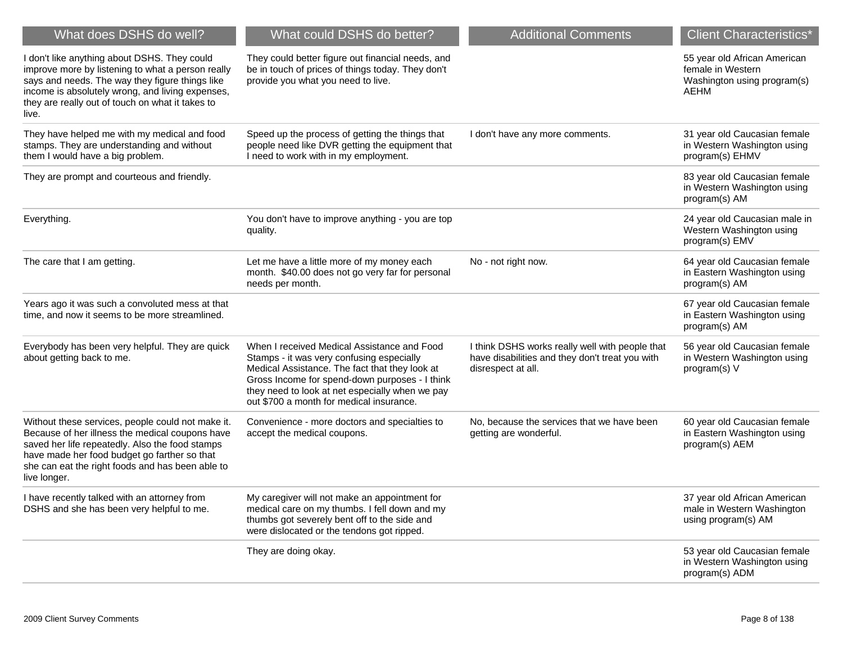| What does DSHS do well?                                                                                                                                                                                                                                                     | What could DSHS do better?                                                                                                                                                                                                                                                                  | <b>Additional Comments</b>                                                                                               | <b>Client Characteristics*</b>                                                                  |
|-----------------------------------------------------------------------------------------------------------------------------------------------------------------------------------------------------------------------------------------------------------------------------|---------------------------------------------------------------------------------------------------------------------------------------------------------------------------------------------------------------------------------------------------------------------------------------------|--------------------------------------------------------------------------------------------------------------------------|-------------------------------------------------------------------------------------------------|
| I don't like anything about DSHS. They could<br>improve more by listening to what a person really<br>says and needs. The way they figure things like<br>income is absolutely wrong, and living expenses,<br>they are really out of touch on what it takes to<br>live.       | They could better figure out financial needs, and<br>be in touch of prices of things today. They don't<br>provide you what you need to live.                                                                                                                                                |                                                                                                                          | 55 year old African American<br>female in Western<br>Washington using program(s)<br><b>AEHM</b> |
| They have helped me with my medical and food<br>stamps. They are understanding and without<br>them I would have a big problem.                                                                                                                                              | Speed up the process of getting the things that<br>people need like DVR getting the equipment that<br>I need to work with in my employment.                                                                                                                                                 | I don't have any more comments.                                                                                          | 31 year old Caucasian female<br>in Western Washington using<br>program(s) EHMV                  |
| They are prompt and courteous and friendly.                                                                                                                                                                                                                                 |                                                                                                                                                                                                                                                                                             |                                                                                                                          | 83 year old Caucasian female<br>in Western Washington using<br>program(s) AM                    |
| Everything.                                                                                                                                                                                                                                                                 | You don't have to improve anything - you are top<br>quality.                                                                                                                                                                                                                                |                                                                                                                          | 24 year old Caucasian male in<br>Western Washington using<br>program(s) EMV                     |
| The care that I am getting.                                                                                                                                                                                                                                                 | Let me have a little more of my money each<br>month. \$40.00 does not go very far for personal<br>needs per month.                                                                                                                                                                          | No - not right now.                                                                                                      | 64 year old Caucasian female<br>in Eastern Washington using<br>program(s) AM                    |
| Years ago it was such a convoluted mess at that<br>time, and now it seems to be more streamlined.                                                                                                                                                                           |                                                                                                                                                                                                                                                                                             |                                                                                                                          | 67 year old Caucasian female<br>in Eastern Washington using<br>program(s) AM                    |
| Everybody has been very helpful. They are quick<br>about getting back to me.                                                                                                                                                                                                | When I received Medical Assistance and Food<br>Stamps - it was very confusing especially<br>Medical Assistance. The fact that they look at<br>Gross Income for spend-down purposes - I think<br>they need to look at net especially when we pay<br>out \$700 a month for medical insurance. | I think DSHS works really well with people that<br>have disabilities and they don't treat you with<br>disrespect at all. | 56 year old Caucasian female<br>in Western Washington using<br>program(s) V                     |
| Without these services, people could not make it.<br>Because of her illness the medical coupons have<br>saved her life repeatedly. Also the food stamps<br>have made her food budget go farther so that<br>she can eat the right foods and has been able to<br>live longer. | Convenience - more doctors and specialties to<br>accept the medical coupons.                                                                                                                                                                                                                | No, because the services that we have been<br>getting are wonderful.                                                     | 60 year old Caucasian female<br>in Eastern Washington using<br>program(s) AEM                   |
| I have recently talked with an attorney from<br>DSHS and she has been very helpful to me.                                                                                                                                                                                   | My caregiver will not make an appointment for<br>medical care on my thumbs. I fell down and my<br>thumbs got severely bent off to the side and<br>were dislocated or the tendons got ripped.                                                                                                |                                                                                                                          | 37 year old African American<br>male in Western Washington<br>using program(s) AM               |
|                                                                                                                                                                                                                                                                             | They are doing okay.                                                                                                                                                                                                                                                                        |                                                                                                                          | 53 year old Caucasian female<br>in Western Washington using<br>program(s) ADM                   |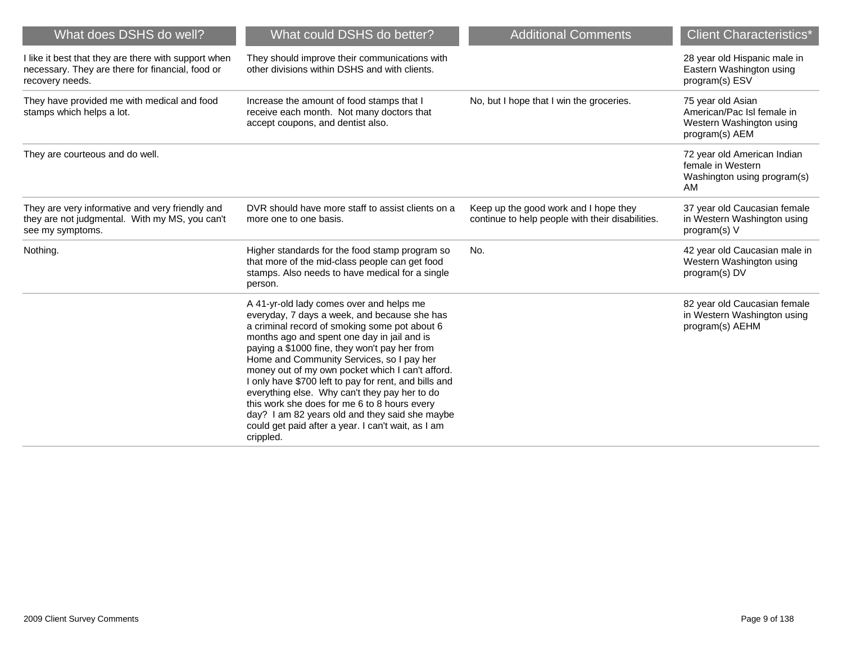| What does DSHS do well?                                                                                                     | What could DSHS do better?                                                                                                                                                                                                                                                                                                                                                                                                                                                                                                                                                                                                | <b>Additional Comments</b>                                                                | <b>Client Characteristics*</b>                                                                |
|-----------------------------------------------------------------------------------------------------------------------------|---------------------------------------------------------------------------------------------------------------------------------------------------------------------------------------------------------------------------------------------------------------------------------------------------------------------------------------------------------------------------------------------------------------------------------------------------------------------------------------------------------------------------------------------------------------------------------------------------------------------------|-------------------------------------------------------------------------------------------|-----------------------------------------------------------------------------------------------|
| I like it best that they are there with support when<br>necessary. They are there for financial, food or<br>recovery needs. | They should improve their communications with<br>other divisions within DSHS and with clients.                                                                                                                                                                                                                                                                                                                                                                                                                                                                                                                            |                                                                                           | 28 year old Hispanic male in<br>Eastern Washington using<br>program(s) ESV                    |
| They have provided me with medical and food<br>stamps which helps a lot.                                                    | Increase the amount of food stamps that I<br>receive each month. Not many doctors that<br>accept coupons, and dentist also.                                                                                                                                                                                                                                                                                                                                                                                                                                                                                               | No, but I hope that I win the groceries.                                                  | 75 year old Asian<br>American/Pac Isl female in<br>Western Washington using<br>program(s) AEM |
| They are courteous and do well.                                                                                             |                                                                                                                                                                                                                                                                                                                                                                                                                                                                                                                                                                                                                           |                                                                                           | 72 year old American Indian<br>female in Western<br>Washington using program(s)<br>AM         |
| They are very informative and very friendly and<br>they are not judgmental. With my MS, you can't<br>see my symptoms.       | DVR should have more staff to assist clients on a<br>more one to one basis.                                                                                                                                                                                                                                                                                                                                                                                                                                                                                                                                               | Keep up the good work and I hope they<br>continue to help people with their disabilities. | 37 year old Caucasian female<br>in Western Washington using<br>program(s) V                   |
| Nothing.                                                                                                                    | Higher standards for the food stamp program so<br>that more of the mid-class people can get food<br>stamps. Also needs to have medical for a single<br>person.                                                                                                                                                                                                                                                                                                                                                                                                                                                            | No.                                                                                       | 42 year old Caucasian male in<br>Western Washington using<br>program(s) DV                    |
|                                                                                                                             | A 41-yr-old lady comes over and helps me<br>everyday, 7 days a week, and because she has<br>a criminal record of smoking some pot about 6<br>months ago and spent one day in jail and is<br>paying a \$1000 fine, they won't pay her from<br>Home and Community Services, so I pay her<br>money out of my own pocket which I can't afford.<br>I only have \$700 left to pay for rent, and bills and<br>everything else. Why can't they pay her to do<br>this work she does for me 6 to 8 hours every<br>day? I am 82 years old and they said she maybe<br>could get paid after a year. I can't wait, as I am<br>crippled. |                                                                                           | 82 year old Caucasian female<br>in Western Washington using<br>program(s) AEHM                |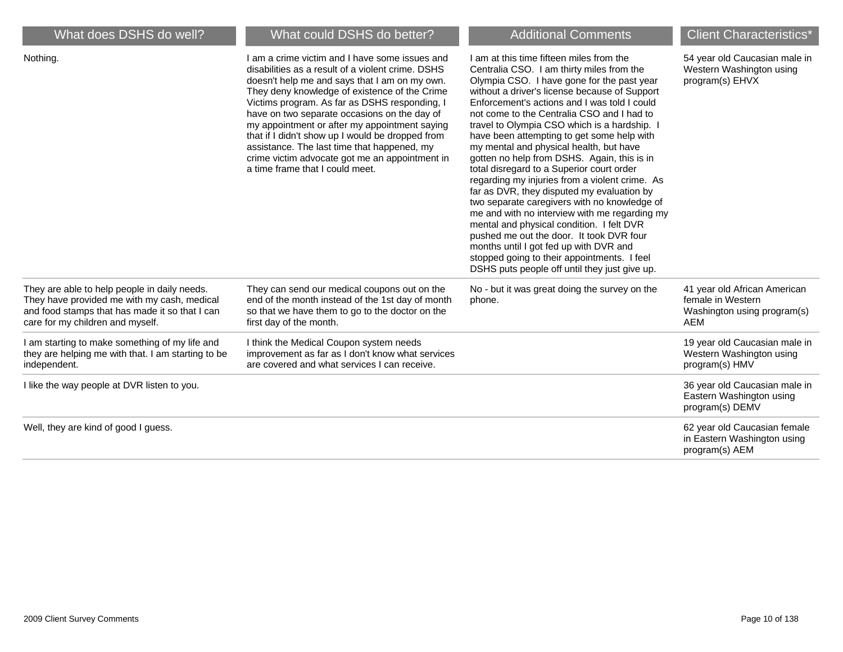| What does DSHS do well?                                                                                                                                                           | What could DSHS do better?                                                                                                                                                                                                                                                                                                                                                                                                                                                                                                                      | <b>Additional Comments</b>                                                                                                                                                                                                                                                                                                                                                                                                                                                                                                                                                                                                                                                                                                                                                                                                                                                                                                                                | <b>Client Characteristics*</b>                                                                 |
|-----------------------------------------------------------------------------------------------------------------------------------------------------------------------------------|-------------------------------------------------------------------------------------------------------------------------------------------------------------------------------------------------------------------------------------------------------------------------------------------------------------------------------------------------------------------------------------------------------------------------------------------------------------------------------------------------------------------------------------------------|-----------------------------------------------------------------------------------------------------------------------------------------------------------------------------------------------------------------------------------------------------------------------------------------------------------------------------------------------------------------------------------------------------------------------------------------------------------------------------------------------------------------------------------------------------------------------------------------------------------------------------------------------------------------------------------------------------------------------------------------------------------------------------------------------------------------------------------------------------------------------------------------------------------------------------------------------------------|------------------------------------------------------------------------------------------------|
| Nothing.                                                                                                                                                                          | I am a crime victim and I have some issues and<br>disabilities as a result of a violent crime. DSHS<br>doesn't help me and says that I am on my own.<br>They deny knowledge of existence of the Crime<br>Victims program. As far as DSHS responding, I<br>have on two separate occasions on the day of<br>my appointment or after my appointment saying<br>that if I didn't show up I would be dropped from<br>assistance. The last time that happened, my<br>crime victim advocate got me an appointment in<br>a time frame that I could meet. | I am at this time fifteen miles from the<br>Centralia CSO. I am thirty miles from the<br>Olympia CSO. I have gone for the past year<br>without a driver's license because of Support<br>Enforcement's actions and I was told I could<br>not come to the Centralia CSO and I had to<br>travel to Olympia CSO which is a hardship.<br>have been attempting to get some help with<br>my mental and physical health, but have<br>gotten no help from DSHS. Again, this is in<br>total disregard to a Superior court order<br>regarding my injuries from a violent crime. As<br>far as DVR, they disputed my evaluation by<br>two separate caregivers with no knowledge of<br>me and with no interview with me regarding my<br>mental and physical condition. I felt DVR<br>pushed me out the door. It took DVR four<br>months until I got fed up with DVR and<br>stopped going to their appointments. I feel<br>DSHS puts people off until they just give up. | 54 year old Caucasian male in<br>Western Washington using<br>program(s) EHVX                   |
| They are able to help people in daily needs.<br>They have provided me with my cash, medical<br>and food stamps that has made it so that I can<br>care for my children and myself. | They can send our medical coupons out on the<br>end of the month instead of the 1st day of month<br>so that we have them to go to the doctor on the<br>first day of the month.                                                                                                                                                                                                                                                                                                                                                                  | No - but it was great doing the survey on the<br>phone.                                                                                                                                                                                                                                                                                                                                                                                                                                                                                                                                                                                                                                                                                                                                                                                                                                                                                                   | 41 year old African American<br>female in Western<br>Washington using program(s)<br><b>AEM</b> |
| I am starting to make something of my life and<br>they are helping me with that. I am starting to be<br>independent.                                                              | I think the Medical Coupon system needs<br>improvement as far as I don't know what services<br>are covered and what services I can receive.                                                                                                                                                                                                                                                                                                                                                                                                     |                                                                                                                                                                                                                                                                                                                                                                                                                                                                                                                                                                                                                                                                                                                                                                                                                                                                                                                                                           | 19 year old Caucasian male in<br>Western Washington using<br>program(s) HMV                    |
| I like the way people at DVR listen to you.                                                                                                                                       |                                                                                                                                                                                                                                                                                                                                                                                                                                                                                                                                                 |                                                                                                                                                                                                                                                                                                                                                                                                                                                                                                                                                                                                                                                                                                                                                                                                                                                                                                                                                           | 36 year old Caucasian male in<br>Eastern Washington using<br>program(s) DEMV                   |
| Well, they are kind of good I guess.                                                                                                                                              |                                                                                                                                                                                                                                                                                                                                                                                                                                                                                                                                                 |                                                                                                                                                                                                                                                                                                                                                                                                                                                                                                                                                                                                                                                                                                                                                                                                                                                                                                                                                           | 62 year old Caucasian female<br>in Eastern Washington using<br>program(s) AEM                  |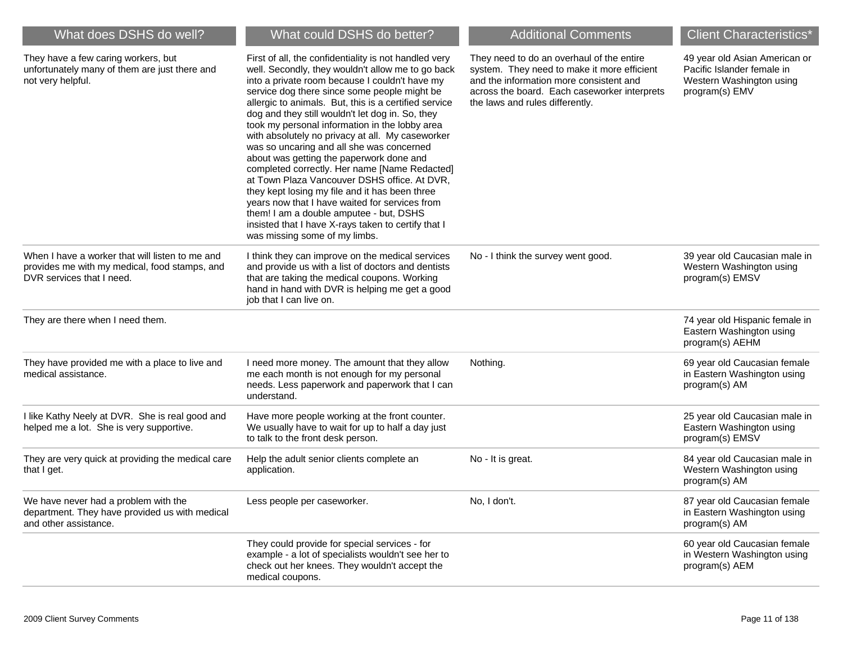| What does DSHS do well?                                                                                                       | What could DSHS do better?                                                                                                                                                                                                                                                                                                                                                                                                                                                                                                                                                                                                                                                                                                                                                                                                                                       | <b>Additional Comments</b>                                                                                                                                                                                             | <b>Client Characteristics*</b>                                                                            |
|-------------------------------------------------------------------------------------------------------------------------------|------------------------------------------------------------------------------------------------------------------------------------------------------------------------------------------------------------------------------------------------------------------------------------------------------------------------------------------------------------------------------------------------------------------------------------------------------------------------------------------------------------------------------------------------------------------------------------------------------------------------------------------------------------------------------------------------------------------------------------------------------------------------------------------------------------------------------------------------------------------|------------------------------------------------------------------------------------------------------------------------------------------------------------------------------------------------------------------------|-----------------------------------------------------------------------------------------------------------|
| They have a few caring workers, but<br>unfortunately many of them are just there and<br>not very helpful.                     | First of all, the confidentiality is not handled very<br>well. Secondly, they wouldn't allow me to go back<br>into a private room because I couldn't have my<br>service dog there since some people might be<br>allergic to animals. But, this is a certified service<br>dog and they still wouldn't let dog in. So, they<br>took my personal information in the lobby area<br>with absolutely no privacy at all. My caseworker<br>was so uncaring and all she was concerned<br>about was getting the paperwork done and<br>completed correctly. Her name [Name Redacted]<br>at Town Plaza Vancouver DSHS office. At DVR,<br>they kept losing my file and it has been three<br>years now that I have waited for services from<br>them! I am a double amputee - but, DSHS<br>insisted that I have X-rays taken to certify that I<br>was missing some of my limbs. | They need to do an overhaul of the entire<br>system. They need to make it more efficient<br>and the information more consistent and<br>across the board. Each caseworker interprets<br>the laws and rules differently. | 49 year old Asian American or<br>Pacific Islander female in<br>Western Washington using<br>program(s) EMV |
| When I have a worker that will listen to me and<br>provides me with my medical, food stamps, and<br>DVR services that I need. | I think they can improve on the medical services<br>and provide us with a list of doctors and dentists<br>that are taking the medical coupons. Working<br>hand in hand with DVR is helping me get a good<br>job that I can live on.                                                                                                                                                                                                                                                                                                                                                                                                                                                                                                                                                                                                                              | No - I think the survey went good.                                                                                                                                                                                     | 39 year old Caucasian male in<br>Western Washington using<br>program(s) EMSV                              |
| They are there when I need them.                                                                                              |                                                                                                                                                                                                                                                                                                                                                                                                                                                                                                                                                                                                                                                                                                                                                                                                                                                                  |                                                                                                                                                                                                                        | 74 year old Hispanic female in<br>Eastern Washington using<br>program(s) AEHM                             |
| They have provided me with a place to live and<br>medical assistance.                                                         | I need more money. The amount that they allow<br>me each month is not enough for my personal<br>needs. Less paperwork and paperwork that I can<br>understand.                                                                                                                                                                                                                                                                                                                                                                                                                                                                                                                                                                                                                                                                                                    | Nothing.                                                                                                                                                                                                               | 69 year old Caucasian female<br>in Eastern Washington using<br>program(s) AM                              |
| I like Kathy Neely at DVR. She is real good and<br>helped me a lot. She is very supportive.                                   | Have more people working at the front counter.<br>We usually have to wait for up to half a day just<br>to talk to the front desk person.                                                                                                                                                                                                                                                                                                                                                                                                                                                                                                                                                                                                                                                                                                                         |                                                                                                                                                                                                                        | 25 year old Caucasian male in<br>Eastern Washington using<br>program(s) EMSV                              |
| They are very quick at providing the medical care<br>that I get.                                                              | Help the adult senior clients complete an<br>application.                                                                                                                                                                                                                                                                                                                                                                                                                                                                                                                                                                                                                                                                                                                                                                                                        | No - It is great.                                                                                                                                                                                                      | 84 year old Caucasian male in<br>Western Washington using<br>program(s) AM                                |
| We have never had a problem with the<br>department. They have provided us with medical<br>and other assistance.               | Less people per caseworker.                                                                                                                                                                                                                                                                                                                                                                                                                                                                                                                                                                                                                                                                                                                                                                                                                                      | No, I don't.                                                                                                                                                                                                           | 87 year old Caucasian female<br>in Eastern Washington using<br>program(s) AM                              |
|                                                                                                                               | They could provide for special services - for<br>example - a lot of specialists wouldn't see her to<br>check out her knees. They wouldn't accept the<br>medical coupons.                                                                                                                                                                                                                                                                                                                                                                                                                                                                                                                                                                                                                                                                                         |                                                                                                                                                                                                                        | 60 year old Caucasian female<br>in Western Washington using<br>program(s) AEM                             |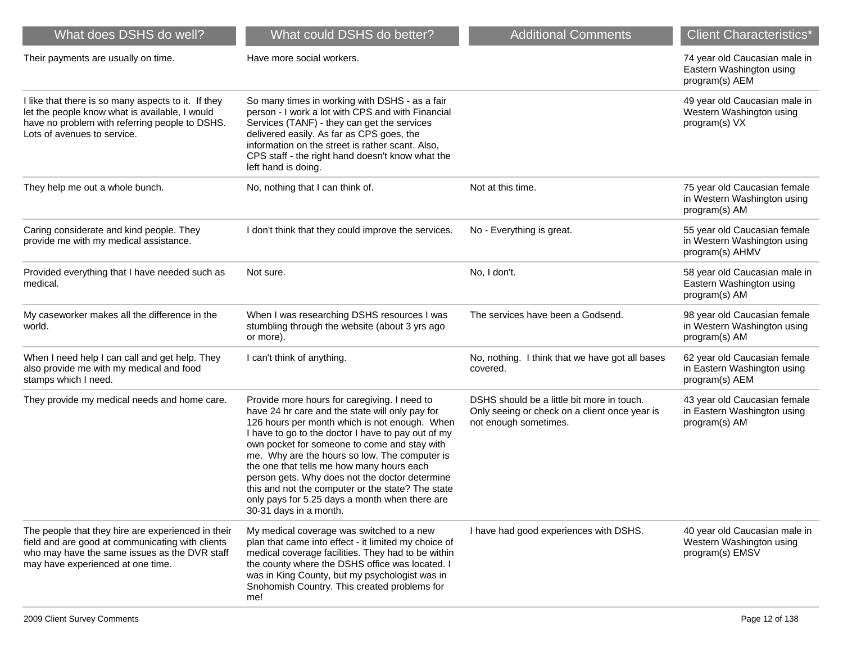| What does DSHS do well?                                                                                                                                                                      | What could DSHS do better?                                                                                                                                                                                                                                                                                                                                                                                                                                                                                                              | <b>Additional Comments</b>                                                                                           | <b>Client Characteristics*</b>                                                 |
|----------------------------------------------------------------------------------------------------------------------------------------------------------------------------------------------|-----------------------------------------------------------------------------------------------------------------------------------------------------------------------------------------------------------------------------------------------------------------------------------------------------------------------------------------------------------------------------------------------------------------------------------------------------------------------------------------------------------------------------------------|----------------------------------------------------------------------------------------------------------------------|--------------------------------------------------------------------------------|
| Their payments are usually on time.                                                                                                                                                          | Have more social workers.                                                                                                                                                                                                                                                                                                                                                                                                                                                                                                               |                                                                                                                      | 74 year old Caucasian male in<br>Eastern Washington using<br>program(s) AEM    |
| I like that there is so many aspects to it. If they<br>let the people know what is available, I would<br>have no problem with referring people to DSHS.<br>Lots of avenues to service.       | So many times in working with DSHS - as a fair<br>person - I work a lot with CPS and with Financial<br>Services (TANF) - they can get the services<br>delivered easily. As far as CPS goes, the<br>information on the street is rather scant. Also,<br>CPS staff - the right hand doesn't know what the<br>left hand is doing.                                                                                                                                                                                                          |                                                                                                                      | 49 year old Caucasian male in<br>Western Washington using<br>program(s) VX     |
| They help me out a whole bunch.                                                                                                                                                              | No, nothing that I can think of.                                                                                                                                                                                                                                                                                                                                                                                                                                                                                                        | Not at this time.                                                                                                    | 75 year old Caucasian female<br>in Western Washington using<br>program(s) AM   |
| Caring considerate and kind people. They<br>provide me with my medical assistance.                                                                                                           | I don't think that they could improve the services.                                                                                                                                                                                                                                                                                                                                                                                                                                                                                     | No - Everything is great.                                                                                            | 55 year old Caucasian female<br>in Western Washington using<br>program(s) AHMV |
| Provided everything that I have needed such as<br>medical.                                                                                                                                   | Not sure.                                                                                                                                                                                                                                                                                                                                                                                                                                                                                                                               | No, I don't.                                                                                                         | 58 year old Caucasian male in<br>Eastern Washington using<br>program(s) AM     |
| My caseworker makes all the difference in the<br>world.                                                                                                                                      | When I was researching DSHS resources I was<br>stumbling through the website (about 3 yrs ago<br>or more).                                                                                                                                                                                                                                                                                                                                                                                                                              | The services have been a Godsend.                                                                                    | 98 year old Caucasian female<br>in Western Washington using<br>program(s) AM   |
| When I need help I can call and get help. They<br>also provide me with my medical and food<br>stamps which I need.                                                                           | I can't think of anything.                                                                                                                                                                                                                                                                                                                                                                                                                                                                                                              | No, nothing. I think that we have got all bases<br>covered.                                                          | 62 year old Caucasian female<br>in Eastern Washington using<br>program(s) AEM  |
| They provide my medical needs and home care.                                                                                                                                                 | Provide more hours for caregiving. I need to<br>have 24 hr care and the state will only pay for<br>126 hours per month which is not enough. When<br>I have to go to the doctor I have to pay out of my<br>own pocket for someone to come and stay with<br>me. Why are the hours so low. The computer is<br>the one that tells me how many hours each<br>person gets. Why does not the doctor determine<br>this and not the computer or the state? The state<br>only pays for 5.25 days a month when there are<br>30-31 days in a month. | DSHS should be a little bit more in touch.<br>Only seeing or check on a client once year is<br>not enough sometimes. | 43 year old Caucasian female<br>in Eastern Washington using<br>program(s) AM   |
| The people that they hire are experienced in their<br>field and are good at communicating with clients<br>who may have the same issues as the DVR staff<br>may have experienced at one time. | My medical coverage was switched to a new<br>plan that came into effect - it limited my choice of<br>medical coverage facilities. They had to be within<br>the county where the DSHS office was located. I<br>was in King County, but my psychologist was in<br>Snohomish Country. This created problems for<br>me!                                                                                                                                                                                                                     | I have had good experiences with DSHS.                                                                               | 40 year old Caucasian male in<br>Western Washington using<br>program(s) EMSV   |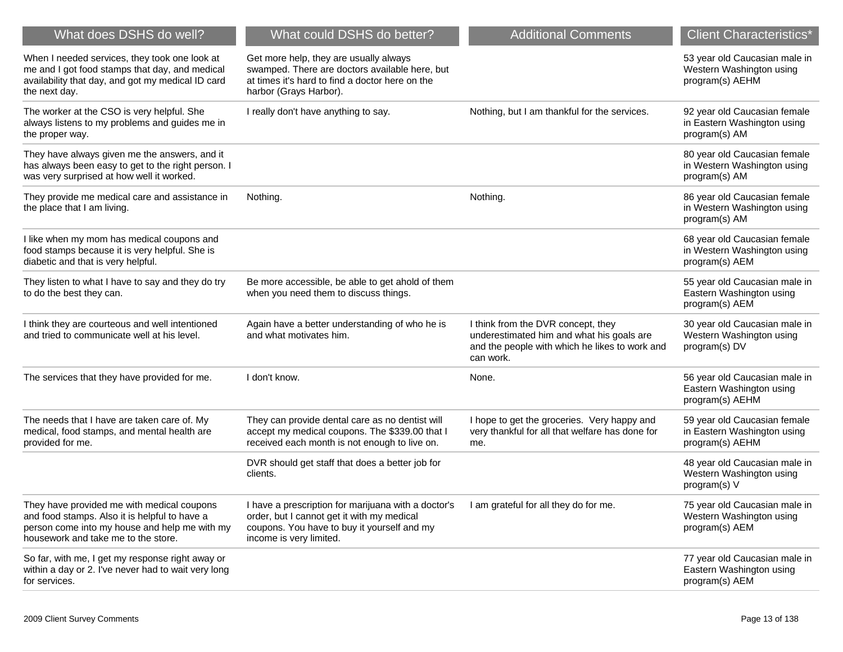| What does DSHS do well?                                                                                                                                                             | What could DSHS do better?                                                                                                                                                  | <b>Additional Comments</b>                                                                                                                     | <b>Client Characteristics*</b>                                                 |
|-------------------------------------------------------------------------------------------------------------------------------------------------------------------------------------|-----------------------------------------------------------------------------------------------------------------------------------------------------------------------------|------------------------------------------------------------------------------------------------------------------------------------------------|--------------------------------------------------------------------------------|
| When I needed services, they took one look at<br>me and I got food stamps that day, and medical<br>availability that day, and got my medical ID card<br>the next day.               | Get more help, they are usually always<br>swamped. There are doctors available here, but<br>at times it's hard to find a doctor here on the<br>harbor (Grays Harbor).       |                                                                                                                                                | 53 year old Caucasian male in<br>Western Washington using<br>program(s) AEHM   |
| The worker at the CSO is very helpful. She<br>always listens to my problems and guides me in<br>the proper way.                                                                     | I really don't have anything to say.                                                                                                                                        | Nothing, but I am thankful for the services.                                                                                                   | 92 year old Caucasian female<br>in Eastern Washington using<br>program(s) AM   |
| They have always given me the answers, and it<br>has always been easy to get to the right person. I<br>was very surprised at how well it worked.                                    |                                                                                                                                                                             |                                                                                                                                                | 80 year old Caucasian female<br>in Western Washington using<br>program(s) AM   |
| They provide me medical care and assistance in<br>the place that I am living.                                                                                                       | Nothing.                                                                                                                                                                    | Nothing.                                                                                                                                       | 86 year old Caucasian female<br>in Western Washington using<br>program(s) AM   |
| I like when my mom has medical coupons and<br>food stamps because it is very helpful. She is<br>diabetic and that is very helpful.                                                  |                                                                                                                                                                             |                                                                                                                                                | 68 year old Caucasian female<br>in Western Washington using<br>program(s) AEM  |
| They listen to what I have to say and they do try<br>to do the best they can.                                                                                                       | Be more accessible, be able to get ahold of them<br>when you need them to discuss things.                                                                                   |                                                                                                                                                | 55 year old Caucasian male in<br>Eastern Washington using<br>program(s) AEM    |
| I think they are courteous and well intentioned<br>and tried to communicate well at his level.                                                                                      | Again have a better understanding of who he is<br>and what motivates him.                                                                                                   | I think from the DVR concept, they<br>underestimated him and what his goals are<br>and the people with which he likes to work and<br>can work. | 30 year old Caucasian male in<br>Western Washington using<br>program(s) DV     |
| The services that they have provided for me.                                                                                                                                        | I don't know.                                                                                                                                                               | None.                                                                                                                                          | 56 year old Caucasian male in<br>Eastern Washington using<br>program(s) AEHM   |
| The needs that I have are taken care of. My<br>medical, food stamps, and mental health are<br>provided for me.                                                                      | They can provide dental care as no dentist will<br>accept my medical coupons. The \$339.00 that I<br>received each month is not enough to live on.                          | I hope to get the groceries. Very happy and<br>very thankful for all that welfare has done for<br>me.                                          | 59 year old Caucasian female<br>in Eastern Washington using<br>program(s) AEHM |
|                                                                                                                                                                                     | DVR should get staff that does a better job for<br>clients.                                                                                                                 |                                                                                                                                                | 48 year old Caucasian male in<br>Western Washington using<br>program(s) V      |
| They have provided me with medical coupons<br>and food stamps. Also it is helpful to have a<br>person come into my house and help me with my<br>housework and take me to the store. | I have a prescription for marijuana with a doctor's<br>order, but I cannot get it with my medical<br>coupons. You have to buy it yourself and my<br>income is very limited. | I am grateful for all they do for me.                                                                                                          | 75 year old Caucasian male in<br>Western Washington using<br>program(s) AEM    |
| So far, with me, I get my response right away or<br>within a day or 2. I've never had to wait very long<br>for services.                                                            |                                                                                                                                                                             |                                                                                                                                                | 77 year old Caucasian male in<br>Eastern Washington using<br>program(s) AEM    |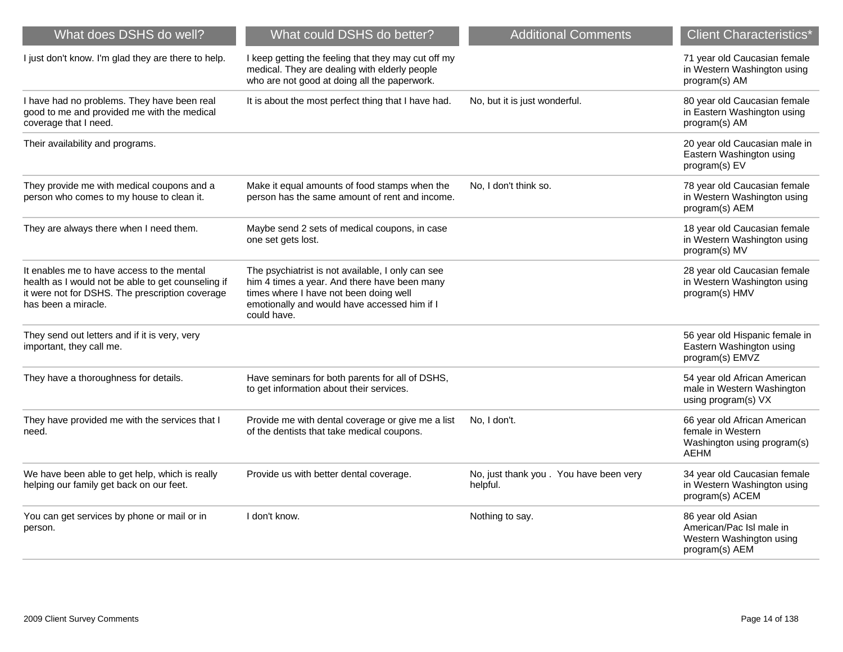| What does DSHS do well?                                                                                                                                                    | What could DSHS do better?                                                                                                                                                                                 | <b>Additional Comments</b>                          | <b>Client Characteristics*</b>                                                                  |
|----------------------------------------------------------------------------------------------------------------------------------------------------------------------------|------------------------------------------------------------------------------------------------------------------------------------------------------------------------------------------------------------|-----------------------------------------------------|-------------------------------------------------------------------------------------------------|
| I just don't know. I'm glad they are there to help.                                                                                                                        | I keep getting the feeling that they may cut off my<br>medical. They are dealing with elderly people<br>who are not good at doing all the paperwork.                                                       |                                                     | 71 year old Caucasian female<br>in Western Washington using<br>program(s) AM                    |
| I have had no problems. They have been real<br>good to me and provided me with the medical<br>coverage that I need.                                                        | It is about the most perfect thing that I have had.                                                                                                                                                        | No, but it is just wonderful.                       | 80 year old Caucasian female<br>in Eastern Washington using<br>program(s) AM                    |
| Their availability and programs.                                                                                                                                           |                                                                                                                                                                                                            |                                                     | 20 year old Caucasian male in<br>Eastern Washington using<br>program(s) EV                      |
| They provide me with medical coupons and a<br>person who comes to my house to clean it.                                                                                    | Make it equal amounts of food stamps when the<br>person has the same amount of rent and income.                                                                                                            | No, I don't think so.                               | 78 year old Caucasian female<br>in Western Washington using<br>program(s) AEM                   |
| They are always there when I need them.                                                                                                                                    | Maybe send 2 sets of medical coupons, in case<br>one set gets lost.                                                                                                                                        |                                                     | 18 year old Caucasian female<br>in Western Washington using<br>program(s) MV                    |
| It enables me to have access to the mental<br>health as I would not be able to get counseling if<br>it were not for DSHS. The prescription coverage<br>has been a miracle. | The psychiatrist is not available, I only can see<br>him 4 times a year. And there have been many<br>times where I have not been doing well<br>emotionally and would have accessed him if I<br>could have. |                                                     | 28 year old Caucasian female<br>in Western Washington using<br>program(s) HMV                   |
| They send out letters and if it is very, very<br>important, they call me.                                                                                                  |                                                                                                                                                                                                            |                                                     | 56 year old Hispanic female in<br>Eastern Washington using<br>program(s) EMVZ                   |
| They have a thoroughness for details.                                                                                                                                      | Have seminars for both parents for all of DSHS,<br>to get information about their services.                                                                                                                |                                                     | 54 year old African American<br>male in Western Washington<br>using program(s) VX               |
| They have provided me with the services that I<br>need.                                                                                                                    | Provide me with dental coverage or give me a list<br>of the dentists that take medical coupons.                                                                                                            | No, I don't.                                        | 66 year old African American<br>female in Western<br>Washington using program(s)<br><b>AEHM</b> |
| We have been able to get help, which is really<br>helping our family get back on our feet.                                                                                 | Provide us with better dental coverage.                                                                                                                                                                    | No, just thank you . You have been very<br>helpful. | 34 year old Caucasian female<br>in Western Washington using<br>program(s) ACEM                  |
| You can get services by phone or mail or in<br>person.                                                                                                                     | I don't know.                                                                                                                                                                                              | Nothing to say.                                     | 86 year old Asian<br>American/Pac Isl male in<br>Western Washington using<br>program(s) AEM     |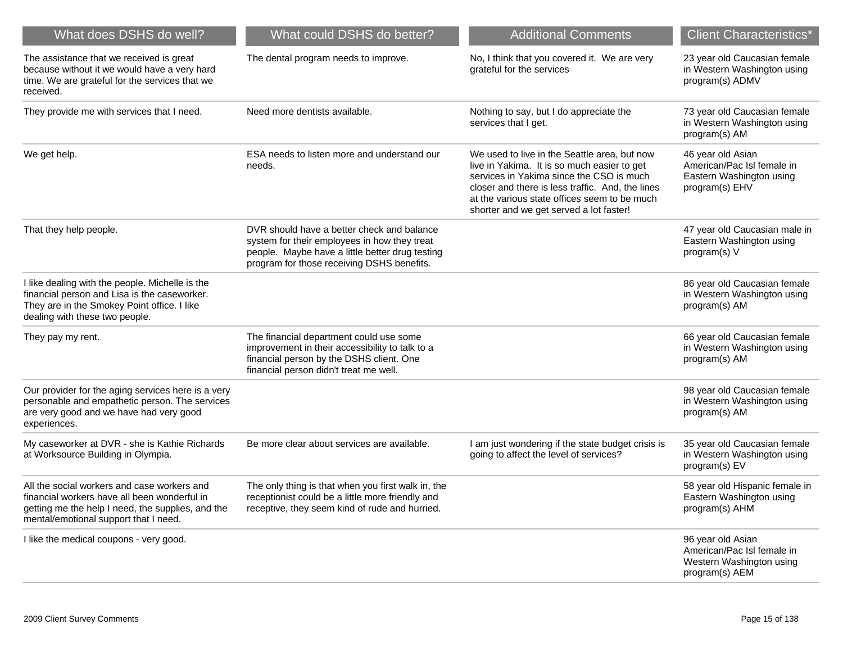| What does DSHS do well?                                                                                                                                                                   | What could DSHS do better?                                                                                                                                                                  | <b>Additional Comments</b>                                                                                                                                                                                                                                                             | <b>Client Characteristics*</b>                                                                |
|-------------------------------------------------------------------------------------------------------------------------------------------------------------------------------------------|---------------------------------------------------------------------------------------------------------------------------------------------------------------------------------------------|----------------------------------------------------------------------------------------------------------------------------------------------------------------------------------------------------------------------------------------------------------------------------------------|-----------------------------------------------------------------------------------------------|
| The assistance that we received is great<br>because without it we would have a very hard<br>time. We are grateful for the services that we<br>received.                                   | The dental program needs to improve.                                                                                                                                                        | No, I think that you covered it. We are very<br>grateful for the services                                                                                                                                                                                                              | 23 year old Caucasian female<br>in Western Washington using<br>program(s) ADMV                |
| They provide me with services that I need.                                                                                                                                                | Need more dentists available.                                                                                                                                                               | Nothing to say, but I do appreciate the<br>services that I get.                                                                                                                                                                                                                        | 73 year old Caucasian female<br>in Western Washington using<br>program(s) AM                  |
| We get help.                                                                                                                                                                              | ESA needs to listen more and understand our<br>needs.                                                                                                                                       | We used to live in the Seattle area, but now<br>live in Yakima. It is so much easier to get<br>services in Yakima since the CSO is much<br>closer and there is less traffic. And, the lines<br>at the various state offices seem to be much<br>shorter and we get served a lot faster! | 46 year old Asian<br>American/Pac Isl female in<br>Eastern Washington using<br>program(s) EHV |
| That they help people.                                                                                                                                                                    | DVR should have a better check and balance<br>system for their employees in how they treat<br>people. Maybe have a little better drug testing<br>program for those receiving DSHS benefits. |                                                                                                                                                                                                                                                                                        | 47 year old Caucasian male in<br>Eastern Washington using<br>program(s) V                     |
| I like dealing with the people. Michelle is the<br>financial person and Lisa is the caseworker.<br>They are in the Smokey Point office. I like<br>dealing with these two people.          |                                                                                                                                                                                             |                                                                                                                                                                                                                                                                                        | 86 year old Caucasian female<br>in Western Washington using<br>program(s) AM                  |
| They pay my rent.                                                                                                                                                                         | The financial department could use some<br>improvement in their accessibility to talk to a<br>financial person by the DSHS client. One<br>financial person didn't treat me well.            |                                                                                                                                                                                                                                                                                        | 66 year old Caucasian female<br>in Western Washington using<br>program(s) AM                  |
| Our provider for the aging services here is a very<br>personable and empathetic person. The services<br>are very good and we have had very good<br>experiences.                           |                                                                                                                                                                                             |                                                                                                                                                                                                                                                                                        | 98 year old Caucasian female<br>in Western Washington using<br>program(s) AM                  |
| My caseworker at DVR - she is Kathie Richards<br>at Worksource Building in Olympia.                                                                                                       | Be more clear about services are available.                                                                                                                                                 | I am just wondering if the state budget crisis is<br>going to affect the level of services?                                                                                                                                                                                            | 35 year old Caucasian female<br>in Western Washington using<br>program(s) EV                  |
| All the social workers and case workers and<br>financial workers have all been wonderful in<br>getting me the help I need, the supplies, and the<br>mental/emotional support that I need. | The only thing is that when you first walk in, the<br>receptionist could be a little more friendly and<br>receptive, they seem kind of rude and hurried.                                    |                                                                                                                                                                                                                                                                                        | 58 year old Hispanic female in<br>Eastern Washington using<br>program(s) AHM                  |
| I like the medical coupons - very good.                                                                                                                                                   |                                                                                                                                                                                             |                                                                                                                                                                                                                                                                                        | 96 year old Asian<br>American/Pac Isl female in<br>Western Washington using<br>program(s) AEM |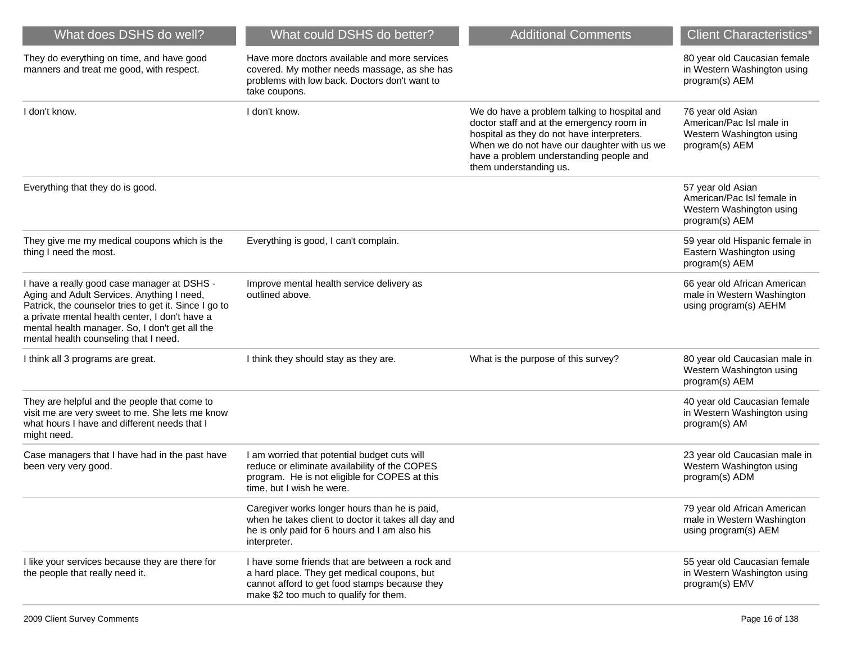| What does DSHS do well?                                                                                                                                                                                                                                                                         | What could DSHS do better?                                                                                                                                                                | <b>Additional Comments</b>                                                                                                                                                                                                                                  | <b>Client Characteristics*</b>                                                                |
|-------------------------------------------------------------------------------------------------------------------------------------------------------------------------------------------------------------------------------------------------------------------------------------------------|-------------------------------------------------------------------------------------------------------------------------------------------------------------------------------------------|-------------------------------------------------------------------------------------------------------------------------------------------------------------------------------------------------------------------------------------------------------------|-----------------------------------------------------------------------------------------------|
| They do everything on time, and have good<br>manners and treat me good, with respect.                                                                                                                                                                                                           | Have more doctors available and more services<br>covered. My mother needs massage, as she has<br>problems with low back. Doctors don't want to<br>take coupons.                           |                                                                                                                                                                                                                                                             | 80 year old Caucasian female<br>in Western Washington using<br>program(s) AEM                 |
| I don't know.                                                                                                                                                                                                                                                                                   | I don't know.                                                                                                                                                                             | We do have a problem talking to hospital and<br>doctor staff and at the emergency room in<br>hospital as they do not have interpreters.<br>When we do not have our daughter with us we<br>have a problem understanding people and<br>them understanding us. | 76 year old Asian<br>American/Pac Isl male in<br>Western Washington using<br>program(s) AEM   |
| Everything that they do is good.                                                                                                                                                                                                                                                                |                                                                                                                                                                                           |                                                                                                                                                                                                                                                             | 57 year old Asian<br>American/Pac Isl female in<br>Western Washington using<br>program(s) AEM |
| They give me my medical coupons which is the<br>thing I need the most.                                                                                                                                                                                                                          | Everything is good, I can't complain.                                                                                                                                                     |                                                                                                                                                                                                                                                             | 59 year old Hispanic female in<br>Eastern Washington using<br>program(s) AEM                  |
| I have a really good case manager at DSHS -<br>Aging and Adult Services. Anything I need,<br>Patrick, the counselor tries to get it. Since I go to<br>a private mental health center, I don't have a<br>mental health manager. So, I don't get all the<br>mental health counseling that I need. | Improve mental health service delivery as<br>outlined above.                                                                                                                              |                                                                                                                                                                                                                                                             | 66 year old African American<br>male in Western Washington<br>using program(s) AEHM           |
| I think all 3 programs are great.                                                                                                                                                                                                                                                               | I think they should stay as they are.                                                                                                                                                     | What is the purpose of this survey?                                                                                                                                                                                                                         | 80 year old Caucasian male in<br>Western Washington using<br>program(s) AEM                   |
| They are helpful and the people that come to<br>visit me are very sweet to me. She lets me know<br>what hours I have and different needs that I<br>might need.                                                                                                                                  |                                                                                                                                                                                           |                                                                                                                                                                                                                                                             | 40 year old Caucasian female<br>in Western Washington using<br>program(s) AM                  |
| Case managers that I have had in the past have<br>been very very good.                                                                                                                                                                                                                          | I am worried that potential budget cuts will<br>reduce or eliminate availability of the COPES<br>program. He is not eligible for COPES at this<br>time, but I wish he were.               |                                                                                                                                                                                                                                                             | 23 year old Caucasian male in<br>Western Washington using<br>program(s) ADM                   |
|                                                                                                                                                                                                                                                                                                 | Caregiver works longer hours than he is paid,<br>when he takes client to doctor it takes all day and<br>he is only paid for 6 hours and I am also his<br>interpreter.                     |                                                                                                                                                                                                                                                             | 79 year old African American<br>male in Western Washington<br>using program(s) AEM            |
| I like your services because they are there for<br>the people that really need it.                                                                                                                                                                                                              | I have some friends that are between a rock and<br>a hard place. They get medical coupons, but<br>cannot afford to get food stamps because they<br>make \$2 too much to qualify for them. |                                                                                                                                                                                                                                                             | 55 year old Caucasian female<br>in Western Washington using<br>program(s) EMV                 |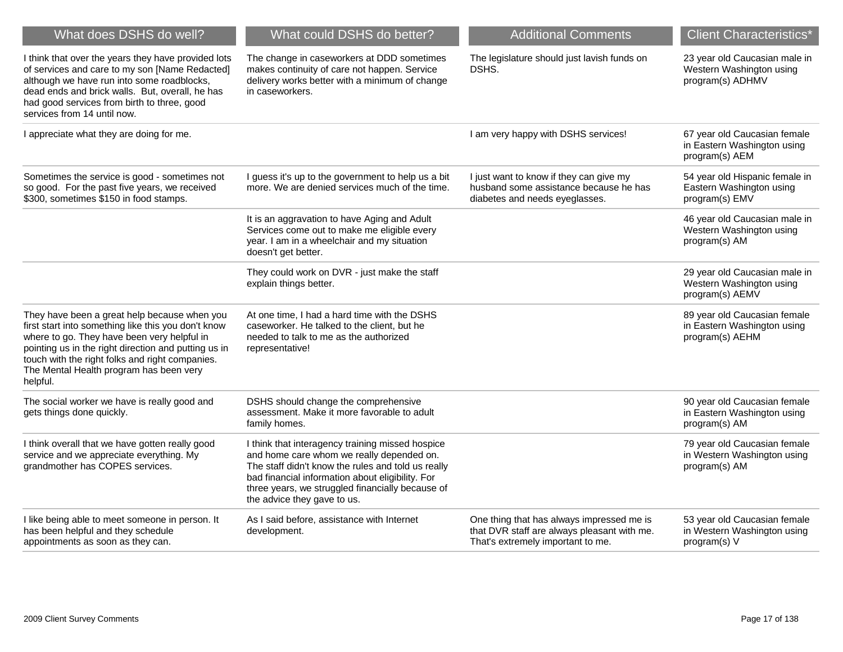| What does DSHS do well?                                                                                                                                                                                                                                                                                              | What could DSHS do better?                                                                                                                                                                                                                                                                 | <b>Additional Comments</b>                                                                                                    | <b>Client Characteristics*</b>                                                 |
|----------------------------------------------------------------------------------------------------------------------------------------------------------------------------------------------------------------------------------------------------------------------------------------------------------------------|--------------------------------------------------------------------------------------------------------------------------------------------------------------------------------------------------------------------------------------------------------------------------------------------|-------------------------------------------------------------------------------------------------------------------------------|--------------------------------------------------------------------------------|
| I think that over the years they have provided lots<br>of services and care to my son [Name Redacted]<br>although we have run into some roadblocks,<br>dead ends and brick walls. But, overall, he has<br>had good services from birth to three, good<br>services from 14 until now.                                 | The change in caseworkers at DDD sometimes<br>makes continuity of care not happen. Service<br>delivery works better with a minimum of change<br>in caseworkers.                                                                                                                            | The legislature should just lavish funds on<br>DSHS.                                                                          | 23 year old Caucasian male in<br>Western Washington using<br>program(s) ADHMV  |
| I appreciate what they are doing for me.                                                                                                                                                                                                                                                                             |                                                                                                                                                                                                                                                                                            | I am very happy with DSHS services!                                                                                           | 67 year old Caucasian female<br>in Eastern Washington using<br>program(s) AEM  |
| Sometimes the service is good - sometimes not<br>so good. For the past five years, we received<br>\$300, sometimes \$150 in food stamps.                                                                                                                                                                             | I guess it's up to the government to help us a bit<br>more. We are denied services much of the time.                                                                                                                                                                                       | I just want to know if they can give my<br>husband some assistance because he has<br>diabetes and needs eyeglasses.           | 54 year old Hispanic female in<br>Eastern Washington using<br>program(s) EMV   |
|                                                                                                                                                                                                                                                                                                                      | It is an aggravation to have Aging and Adult<br>Services come out to make me eligible every<br>year. I am in a wheelchair and my situation<br>doesn't get better.                                                                                                                          |                                                                                                                               | 46 year old Caucasian male in<br>Western Washington using<br>program(s) AM     |
|                                                                                                                                                                                                                                                                                                                      | They could work on DVR - just make the staff<br>explain things better.                                                                                                                                                                                                                     |                                                                                                                               | 29 year old Caucasian male in<br>Western Washington using<br>program(s) AEMV   |
| They have been a great help because when you<br>first start into something like this you don't know<br>where to go. They have been very helpful in<br>pointing us in the right direction and putting us in<br>touch with the right folks and right companies.<br>The Mental Health program has been very<br>helpful. | At one time, I had a hard time with the DSHS<br>caseworker. He talked to the client, but he<br>needed to talk to me as the authorized<br>representative!                                                                                                                                   |                                                                                                                               | 89 year old Caucasian female<br>in Eastern Washington using<br>program(s) AEHM |
| The social worker we have is really good and<br>gets things done quickly.                                                                                                                                                                                                                                            | DSHS should change the comprehensive<br>assessment. Make it more favorable to adult<br>family homes.                                                                                                                                                                                       |                                                                                                                               | 90 year old Caucasian female<br>in Eastern Washington using<br>program(s) AM   |
| I think overall that we have gotten really good<br>service and we appreciate everything. My<br>grandmother has COPES services.                                                                                                                                                                                       | I think that interagency training missed hospice<br>and home care whom we really depended on.<br>The staff didn't know the rules and told us really<br>bad financial information about eligibility. For<br>three years, we struggled financially because of<br>the advice they gave to us. |                                                                                                                               | 79 year old Caucasian female<br>in Western Washington using<br>program(s) AM   |
| I like being able to meet someone in person. It<br>has been helpful and they schedule<br>appointments as soon as they can.                                                                                                                                                                                           | As I said before, assistance with Internet<br>development.                                                                                                                                                                                                                                 | One thing that has always impressed me is<br>that DVR staff are always pleasant with me.<br>That's extremely important to me. | 53 year old Caucasian female<br>in Western Washington using<br>program(s) V    |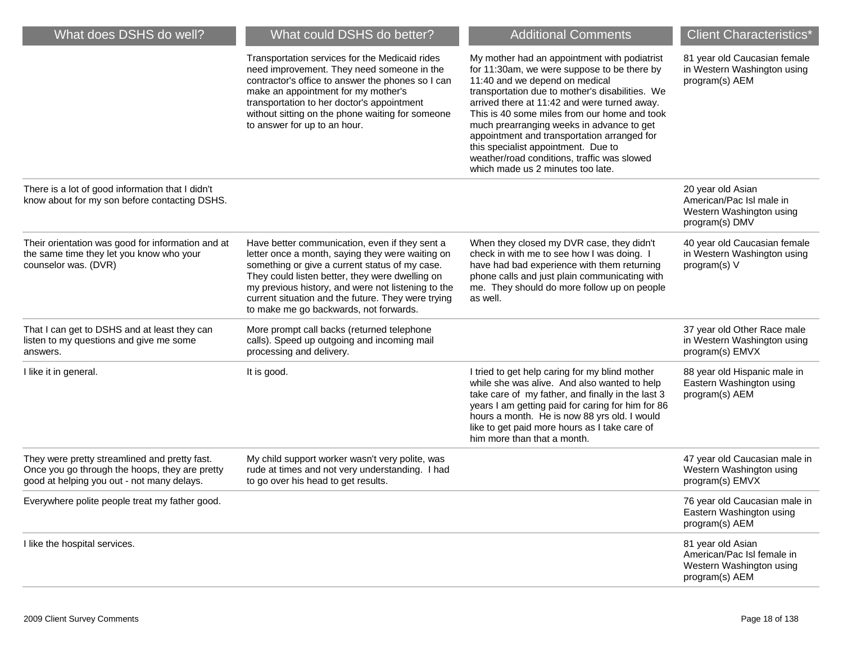| What does DSHS do well?                                                                                                                       | What could DSHS do better?                                                                                                                                                                                                                                                                                                                                    | <b>Additional Comments</b>                                                                                                                                                                                                                                                                                                                                                                                                                                                                              | <b>Client Characteristics*</b>                                                                |
|-----------------------------------------------------------------------------------------------------------------------------------------------|---------------------------------------------------------------------------------------------------------------------------------------------------------------------------------------------------------------------------------------------------------------------------------------------------------------------------------------------------------------|---------------------------------------------------------------------------------------------------------------------------------------------------------------------------------------------------------------------------------------------------------------------------------------------------------------------------------------------------------------------------------------------------------------------------------------------------------------------------------------------------------|-----------------------------------------------------------------------------------------------|
|                                                                                                                                               | Transportation services for the Medicaid rides<br>need improvement. They need someone in the<br>contractor's office to answer the phones so I can<br>make an appointment for my mother's<br>transportation to her doctor's appointment<br>without sitting on the phone waiting for someone<br>to answer for up to an hour.                                    | My mother had an appointment with podiatrist<br>for 11:30am, we were suppose to be there by<br>11:40 and we depend on medical<br>transportation due to mother's disabilities. We<br>arrived there at 11:42 and were turned away.<br>This is 40 some miles from our home and took<br>much prearranging weeks in advance to get<br>appointment and transportation arranged for<br>this specialist appointment. Due to<br>weather/road conditions, traffic was slowed<br>which made us 2 minutes too late. | 81 year old Caucasian female<br>in Western Washington using<br>program(s) AEM                 |
| There is a lot of good information that I didn't<br>know about for my son before contacting DSHS.                                             |                                                                                                                                                                                                                                                                                                                                                               |                                                                                                                                                                                                                                                                                                                                                                                                                                                                                                         | 20 year old Asian<br>American/Pac Isl male in<br>Western Washington using<br>program(s) DMV   |
| Their orientation was good for information and at<br>the same time they let you know who your<br>counselor was. (DVR)                         | Have better communication, even if they sent a<br>letter once a month, saying they were waiting on<br>something or give a current status of my case.<br>They could listen better, they were dwelling on<br>my previous history, and were not listening to the<br>current situation and the future. They were trying<br>to make me go backwards, not forwards. | When they closed my DVR case, they didn't<br>check in with me to see how I was doing. I<br>have had bad experience with them returning<br>phone calls and just plain communicating with<br>me. They should do more follow up on people<br>as well.                                                                                                                                                                                                                                                      | 40 year old Caucasian female<br>in Western Washington using<br>program(s) V                   |
| That I can get to DSHS and at least they can<br>listen to my questions and give me some<br>answers.                                           | More prompt call backs (returned telephone<br>calls). Speed up outgoing and incoming mail<br>processing and delivery.                                                                                                                                                                                                                                         |                                                                                                                                                                                                                                                                                                                                                                                                                                                                                                         | 37 year old Other Race male<br>in Western Washington using<br>program(s) EMVX                 |
| I like it in general.                                                                                                                         | It is good.                                                                                                                                                                                                                                                                                                                                                   | I tried to get help caring for my blind mother<br>while she was alive. And also wanted to help<br>take care of my father, and finally in the last 3<br>years I am getting paid for caring for him for 86<br>hours a month. He is now 88 yrs old. I would<br>like to get paid more hours as I take care of<br>him more than that a month.                                                                                                                                                                | 88 year old Hispanic male in<br>Eastern Washington using<br>program(s) AEM                    |
| They were pretty streamlined and pretty fast.<br>Once you go through the hoops, they are pretty<br>good at helping you out - not many delays. | My child support worker wasn't very polite, was<br>rude at times and not very understanding. I had<br>to go over his head to get results.                                                                                                                                                                                                                     |                                                                                                                                                                                                                                                                                                                                                                                                                                                                                                         | 47 year old Caucasian male in<br>Western Washington using<br>program(s) EMVX                  |
| Everywhere polite people treat my father good.                                                                                                |                                                                                                                                                                                                                                                                                                                                                               |                                                                                                                                                                                                                                                                                                                                                                                                                                                                                                         | 76 year old Caucasian male in<br>Eastern Washington using<br>program(s) AEM                   |
| I like the hospital services.                                                                                                                 |                                                                                                                                                                                                                                                                                                                                                               |                                                                                                                                                                                                                                                                                                                                                                                                                                                                                                         | 81 year old Asian<br>American/Pac Isl female in<br>Western Washington using<br>program(s) AEM |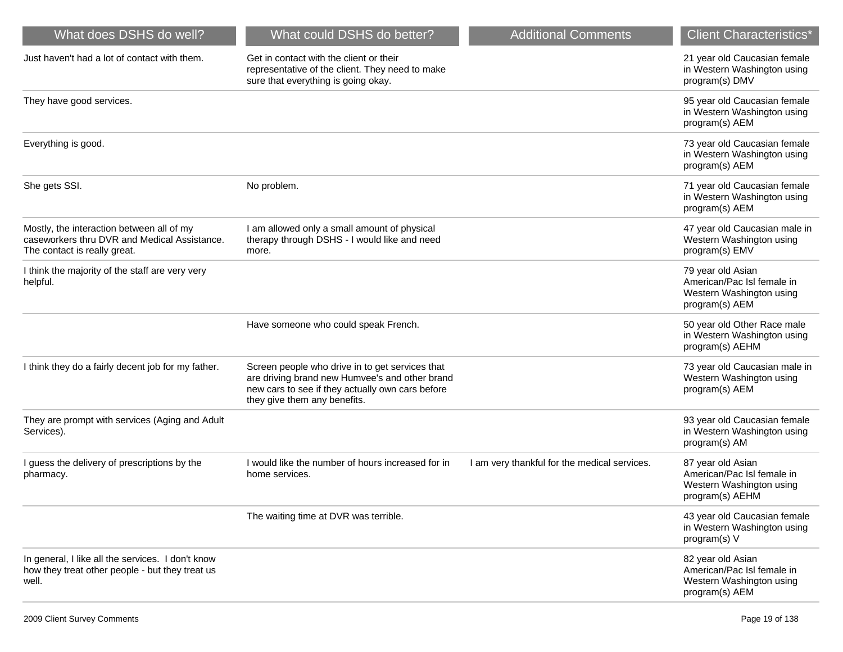| What does DSHS do well?                                                                                                   | What could DSHS do better?                                                                                                                                                            | <b>Additional Comments</b>                   | <b>Client Characteristics*</b>                                                                 |
|---------------------------------------------------------------------------------------------------------------------------|---------------------------------------------------------------------------------------------------------------------------------------------------------------------------------------|----------------------------------------------|------------------------------------------------------------------------------------------------|
| Just haven't had a lot of contact with them.                                                                              | Get in contact with the client or their<br>representative of the client. They need to make<br>sure that everything is going okay.                                                     |                                              | 21 year old Caucasian female<br>in Western Washington using<br>program(s) DMV                  |
| They have good services.                                                                                                  |                                                                                                                                                                                       |                                              | 95 year old Caucasian female<br>in Western Washington using<br>program(s) AEM                  |
| Everything is good.                                                                                                       |                                                                                                                                                                                       |                                              | 73 year old Caucasian female<br>in Western Washington using<br>program(s) AEM                  |
| She gets SSI.                                                                                                             | No problem.                                                                                                                                                                           |                                              | 71 year old Caucasian female<br>in Western Washington using<br>program(s) AEM                  |
| Mostly, the interaction between all of my<br>caseworkers thru DVR and Medical Assistance.<br>The contact is really great. | I am allowed only a small amount of physical<br>therapy through DSHS - I would like and need<br>more.                                                                                 |                                              | 47 year old Caucasian male in<br>Western Washington using<br>program(s) EMV                    |
| I think the majority of the staff are very very<br>helpful.                                                               |                                                                                                                                                                                       |                                              | 79 year old Asian<br>American/Pac Isl female in<br>Western Washington using<br>program(s) AEM  |
|                                                                                                                           | Have someone who could speak French.                                                                                                                                                  |                                              | 50 year old Other Race male<br>in Western Washington using<br>program(s) AEHM                  |
| I think they do a fairly decent job for my father.                                                                        | Screen people who drive in to get services that<br>are driving brand new Humvee's and other brand<br>new cars to see if they actually own cars before<br>they give them any benefits. |                                              | 73 year old Caucasian male in<br>Western Washington using<br>program(s) AEM                    |
| They are prompt with services (Aging and Adult<br>Services).                                                              |                                                                                                                                                                                       |                                              | 93 year old Caucasian female<br>in Western Washington using<br>program(s) AM                   |
| I guess the delivery of prescriptions by the<br>pharmacy.                                                                 | I would like the number of hours increased for in<br>home services.                                                                                                                   | I am very thankful for the medical services. | 87 year old Asian<br>American/Pac Isl female in<br>Western Washington using<br>program(s) AEHM |
|                                                                                                                           | The waiting time at DVR was terrible.                                                                                                                                                 |                                              | 43 year old Caucasian female<br>in Western Washington using<br>program(s) V                    |
| In general, I like all the services. I don't know<br>how they treat other people - but they treat us<br>well.             |                                                                                                                                                                                       |                                              | 82 year old Asian<br>American/Pac Isl female in<br>Western Washington using<br>program(s) AEM  |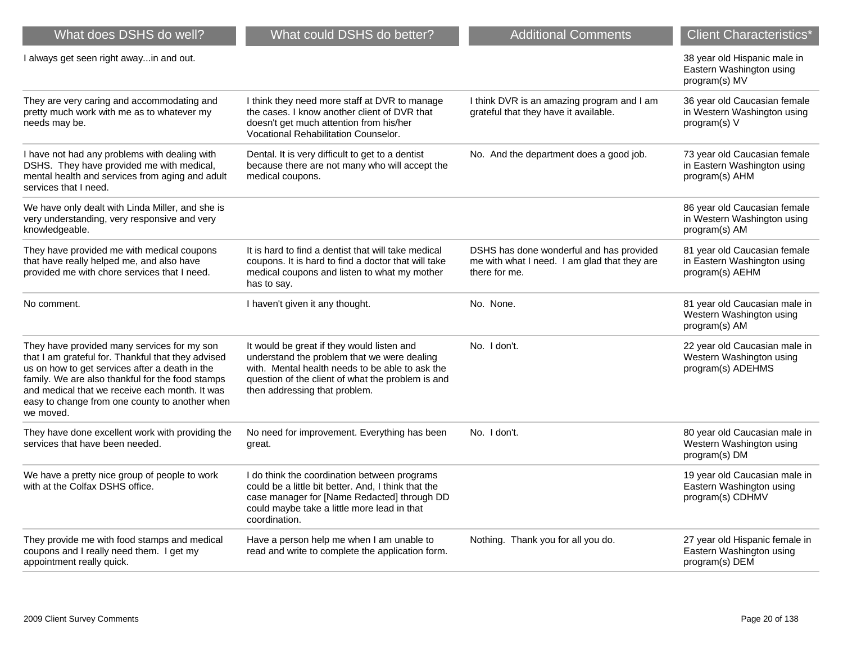| What does DSHS do well?                                                                                                                                                                                                                                                                                                  | What could DSHS do better?                                                                                                                                                                                                         | <b>Additional Comments</b>                                                                                | <b>Client Characteristics*</b>                                                 |
|--------------------------------------------------------------------------------------------------------------------------------------------------------------------------------------------------------------------------------------------------------------------------------------------------------------------------|------------------------------------------------------------------------------------------------------------------------------------------------------------------------------------------------------------------------------------|-----------------------------------------------------------------------------------------------------------|--------------------------------------------------------------------------------|
| I always get seen right awayin and out.                                                                                                                                                                                                                                                                                  |                                                                                                                                                                                                                                    |                                                                                                           | 38 year old Hispanic male in<br>Eastern Washington using<br>program(s) MV      |
| They are very caring and accommodating and<br>pretty much work with me as to whatever my<br>needs may be.                                                                                                                                                                                                                | I think they need more staff at DVR to manage<br>the cases. I know another client of DVR that<br>doesn't get much attention from his/her<br>Vocational Rehabilitation Counselor.                                                   | I think DVR is an amazing program and I am<br>grateful that they have it available.                       | 36 year old Caucasian female<br>in Western Washington using<br>program(s) V    |
| I have not had any problems with dealing with<br>DSHS. They have provided me with medical,<br>mental health and services from aging and adult<br>services that I need.                                                                                                                                                   | Dental. It is very difficult to get to a dentist<br>because there are not many who will accept the<br>medical coupons.                                                                                                             | No. And the department does a good job.                                                                   | 73 year old Caucasian female<br>in Eastern Washington using<br>program(s) AHM  |
| We have only dealt with Linda Miller, and she is<br>very understanding, very responsive and very<br>knowledgeable.                                                                                                                                                                                                       |                                                                                                                                                                                                                                    |                                                                                                           | 86 year old Caucasian female<br>in Western Washington using<br>program(s) AM   |
| They have provided me with medical coupons<br>that have really helped me, and also have<br>provided me with chore services that I need.                                                                                                                                                                                  | It is hard to find a dentist that will take medical<br>coupons. It is hard to find a doctor that will take<br>medical coupons and listen to what my mother<br>has to say.                                                          | DSHS has done wonderful and has provided<br>me with what I need. I am glad that they are<br>there for me. | 81 year old Caucasian female<br>in Eastern Washington using<br>program(s) AEHM |
| No comment.                                                                                                                                                                                                                                                                                                              | I haven't given it any thought.                                                                                                                                                                                                    | No. None.                                                                                                 | 81 year old Caucasian male in<br>Western Washington using<br>program(s) AM     |
| They have provided many services for my son<br>that I am grateful for. Thankful that they advised<br>us on how to get services after a death in the<br>family. We are also thankful for the food stamps<br>and medical that we receive each month. It was<br>easy to change from one county to another when<br>we moved. | It would be great if they would listen and<br>understand the problem that we were dealing<br>with. Mental health needs to be able to ask the<br>question of the client of what the problem is and<br>then addressing that problem. | No. I don't.                                                                                              | 22 year old Caucasian male in<br>Western Washington using<br>program(s) ADEHMS |
| They have done excellent work with providing the<br>services that have been needed.                                                                                                                                                                                                                                      | No need for improvement. Everything has been<br>great.                                                                                                                                                                             | No. I don't.                                                                                              | 80 year old Caucasian male in<br>Western Washington using<br>program(s) DM     |
| We have a pretty nice group of people to work<br>with at the Colfax DSHS office.                                                                                                                                                                                                                                         | I do think the coordination between programs<br>could be a little bit better. And, I think that the<br>case manager for [Name Redacted] through DD<br>could maybe take a little more lead in that<br>coordination.                 |                                                                                                           | 19 year old Caucasian male in<br>Eastern Washington using<br>program(s) CDHMV  |
| They provide me with food stamps and medical<br>coupons and I really need them. I get my<br>appointment really quick.                                                                                                                                                                                                    | Have a person help me when I am unable to<br>read and write to complete the application form.                                                                                                                                      | Nothing. Thank you for all you do.                                                                        | 27 year old Hispanic female in<br>Eastern Washington using<br>program(s) DEM   |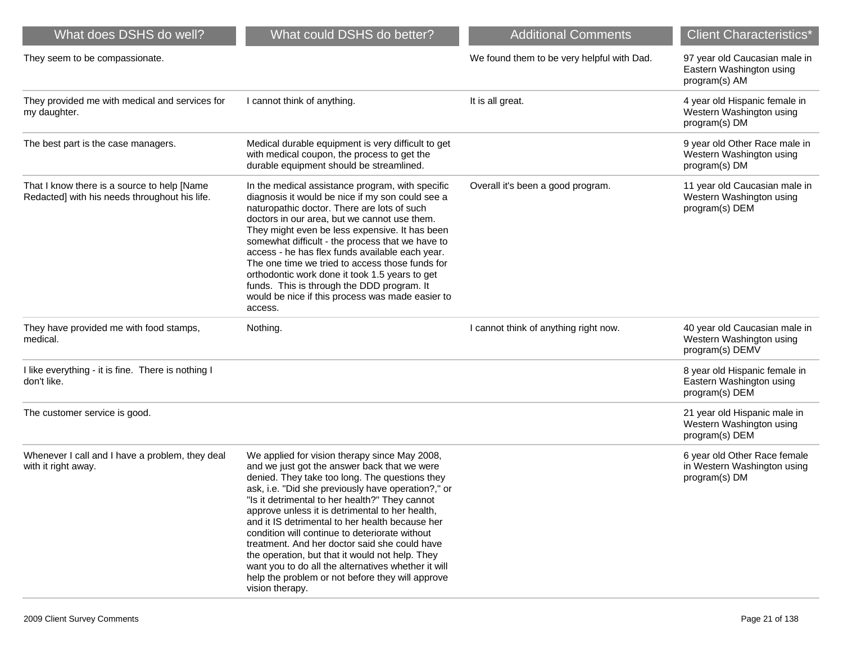| What does DSHS do well?                                                                      | What could DSHS do better?                                                                                                                                                                                                                                                                                                                                                                                                                                                                                                                                                                                                                        | <b>Additional Comments</b>                 | <b>Client Characteristics*</b>                                               |
|----------------------------------------------------------------------------------------------|---------------------------------------------------------------------------------------------------------------------------------------------------------------------------------------------------------------------------------------------------------------------------------------------------------------------------------------------------------------------------------------------------------------------------------------------------------------------------------------------------------------------------------------------------------------------------------------------------------------------------------------------------|--------------------------------------------|------------------------------------------------------------------------------|
| They seem to be compassionate.                                                               |                                                                                                                                                                                                                                                                                                                                                                                                                                                                                                                                                                                                                                                   | We found them to be very helpful with Dad. | 97 year old Caucasian male in<br>Eastern Washington using<br>program(s) AM   |
| They provided me with medical and services for<br>my daughter.                               | I cannot think of anything.                                                                                                                                                                                                                                                                                                                                                                                                                                                                                                                                                                                                                       | It is all great.                           | 4 year old Hispanic female in<br>Western Washington using<br>program(s) DM   |
| The best part is the case managers.                                                          | Medical durable equipment is very difficult to get<br>with medical coupon, the process to get the<br>durable equipment should be streamlined.                                                                                                                                                                                                                                                                                                                                                                                                                                                                                                     |                                            | 9 year old Other Race male in<br>Western Washington using<br>program(s) DM   |
| That I know there is a source to help [Name<br>Redacted] with his needs throughout his life. | In the medical assistance program, with specific<br>diagnosis it would be nice if my son could see a<br>naturopathic doctor. There are lots of such<br>doctors in our area, but we cannot use them.<br>They might even be less expensive. It has been<br>somewhat difficult - the process that we have to<br>access - he has flex funds available each year.<br>The one time we tried to access those funds for<br>orthodontic work done it took 1.5 years to get<br>funds. This is through the DDD program. It<br>would be nice if this process was made easier to<br>access.                                                                    | Overall it's been a good program.          | 11 year old Caucasian male in<br>Western Washington using<br>program(s) DEM  |
| They have provided me with food stamps,<br>medical.                                          | Nothing.                                                                                                                                                                                                                                                                                                                                                                                                                                                                                                                                                                                                                                          | I cannot think of anything right now.      | 40 year old Caucasian male in<br>Western Washington using<br>program(s) DEMV |
| I like everything - it is fine. There is nothing I<br>don't like.                            |                                                                                                                                                                                                                                                                                                                                                                                                                                                                                                                                                                                                                                                   |                                            | 8 year old Hispanic female in<br>Eastern Washington using<br>program(s) DEM  |
| The customer service is good.                                                                |                                                                                                                                                                                                                                                                                                                                                                                                                                                                                                                                                                                                                                                   |                                            | 21 year old Hispanic male in<br>Western Washington using<br>program(s) DEM   |
| Whenever I call and I have a problem, they deal<br>with it right away.                       | We applied for vision therapy since May 2008,<br>and we just got the answer back that we were<br>denied. They take too long. The questions they<br>ask, i.e. "Did she previously have operation?," or<br>"Is it detrimental to her health?" They cannot<br>approve unless it is detrimental to her health,<br>and it IS detrimental to her health because her<br>condition will continue to deteriorate without<br>treatment. And her doctor said she could have<br>the operation, but that it would not help. They<br>want you to do all the alternatives whether it will<br>help the problem or not before they will approve<br>vision therapy. |                                            | 6 year old Other Race female<br>in Western Washington using<br>program(s) DM |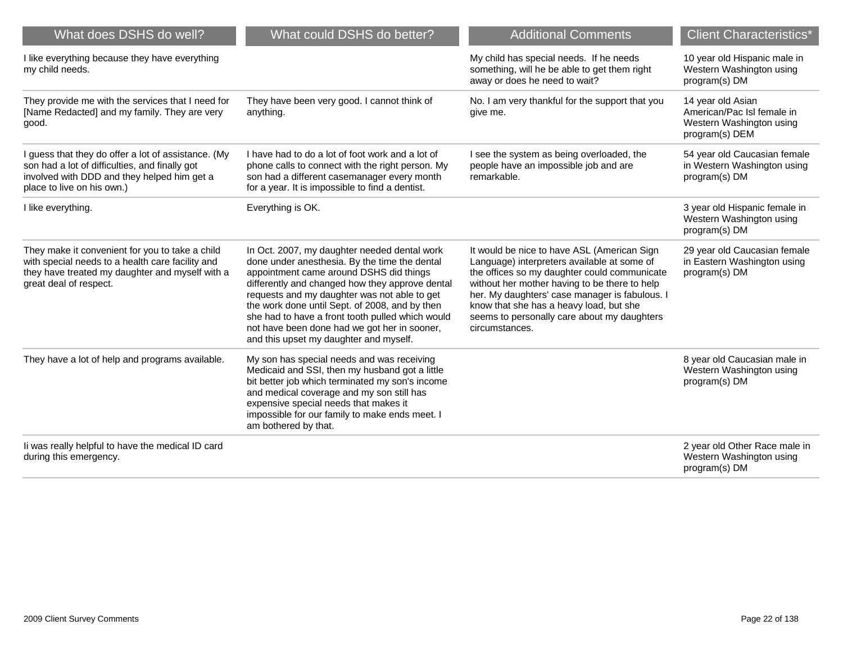| What does DSHS do well?                                                                                                                                                            | What could DSHS do better?                                                                                                                                                                                                                                                                                                                                                                                                                  | <b>Additional Comments</b>                                                                                                                                                                                                                                                                                                                                | <b>Client Characteristics*</b>                                                                |
|------------------------------------------------------------------------------------------------------------------------------------------------------------------------------------|---------------------------------------------------------------------------------------------------------------------------------------------------------------------------------------------------------------------------------------------------------------------------------------------------------------------------------------------------------------------------------------------------------------------------------------------|-----------------------------------------------------------------------------------------------------------------------------------------------------------------------------------------------------------------------------------------------------------------------------------------------------------------------------------------------------------|-----------------------------------------------------------------------------------------------|
| I like everything because they have everything<br>my child needs.                                                                                                                  |                                                                                                                                                                                                                                                                                                                                                                                                                                             | My child has special needs. If he needs<br>something, will he be able to get them right<br>away or does he need to wait?                                                                                                                                                                                                                                  | 10 year old Hispanic male in<br>Western Washington using<br>program(s) DM                     |
| They provide me with the services that I need for<br>[Name Redacted] and my family. They are very<br>good.                                                                         | They have been very good. I cannot think of<br>anything.                                                                                                                                                                                                                                                                                                                                                                                    | No. I am very thankful for the support that you<br>give me.                                                                                                                                                                                                                                                                                               | 14 year old Asian<br>American/Pac Isl female in<br>Western Washington using<br>program(s) DEM |
| I guess that they do offer a lot of assistance. (My<br>son had a lot of difficulties, and finally got<br>involved with DDD and they helped him get a<br>place to live on his own.) | I have had to do a lot of foot work and a lot of<br>phone calls to connect with the right person. My<br>son had a different casemanager every month<br>for a year. It is impossible to find a dentist.                                                                                                                                                                                                                                      | I see the system as being overloaded, the<br>people have an impossible job and are<br>remarkable.                                                                                                                                                                                                                                                         | 54 year old Caucasian female<br>in Western Washington using<br>program(s) DM                  |
| I like everything.                                                                                                                                                                 | Everything is OK.                                                                                                                                                                                                                                                                                                                                                                                                                           |                                                                                                                                                                                                                                                                                                                                                           | 3 year old Hispanic female in<br>Western Washington using<br>program(s) DM                    |
| They make it convenient for you to take a child<br>with special needs to a health care facility and<br>they have treated my daughter and myself with a<br>great deal of respect.   | In Oct. 2007, my daughter needed dental work<br>done under anesthesia. By the time the dental<br>appointment came around DSHS did things<br>differently and changed how they approve dental<br>requests and my daughter was not able to get<br>the work done until Sept. of 2008, and by then<br>she had to have a front tooth pulled which would<br>not have been done had we got her in sooner,<br>and this upset my daughter and myself. | It would be nice to have ASL (American Sign<br>Language) interpreters available at some of<br>the offices so my daughter could communicate<br>without her mother having to be there to help<br>her. My daughters' case manager is fabulous. I<br>know that she has a heavy load, but she<br>seems to personally care about my daughters<br>circumstances. | 29 year old Caucasian female<br>in Eastern Washington using<br>program(s) DM                  |
| They have a lot of help and programs available.                                                                                                                                    | My son has special needs and was receiving<br>Medicaid and SSI, then my husband got a little<br>bit better job which terminated my son's income<br>and medical coverage and my son still has<br>expensive special needs that makes it<br>impossible for our family to make ends meet. I<br>am bothered by that.                                                                                                                             |                                                                                                                                                                                                                                                                                                                                                           | 8 year old Caucasian male in<br>Western Washington using<br>program(s) DM                     |
| li was really helpful to have the medical ID card<br>during this emergency.                                                                                                        |                                                                                                                                                                                                                                                                                                                                                                                                                                             |                                                                                                                                                                                                                                                                                                                                                           | 2 year old Other Race male in<br>Western Washington using<br>program(s) DM                    |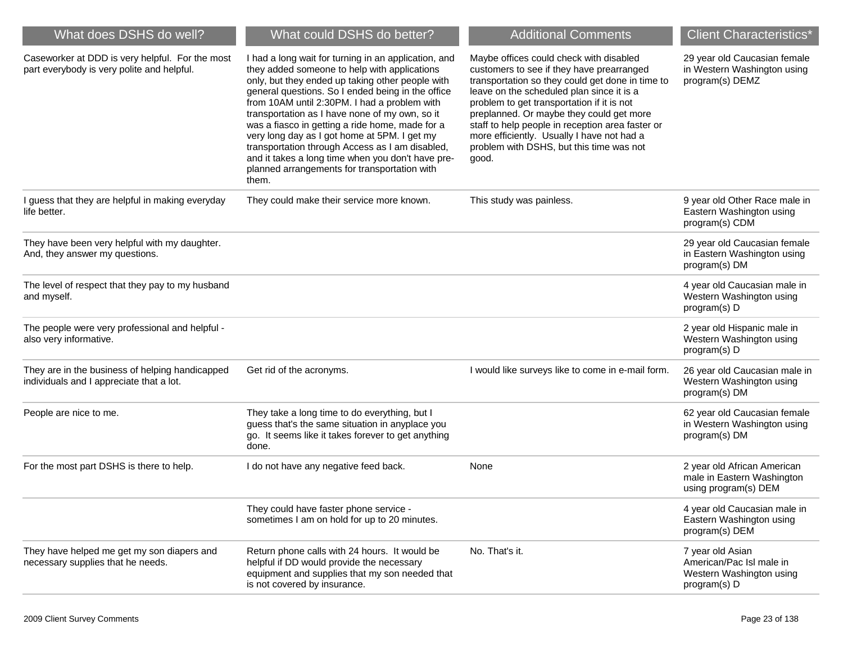| What does DSHS do well?                                                                       | What could DSHS do better?                                                                                                                                                                                                                                                                                                                                                                                                                                                                                                                                                          | <b>Additional Comments</b>                                                                                                                                                                                                                                                                                                                                                                                                             | <b>Client Characteristics*</b>                                                           |
|-----------------------------------------------------------------------------------------------|-------------------------------------------------------------------------------------------------------------------------------------------------------------------------------------------------------------------------------------------------------------------------------------------------------------------------------------------------------------------------------------------------------------------------------------------------------------------------------------------------------------------------------------------------------------------------------------|----------------------------------------------------------------------------------------------------------------------------------------------------------------------------------------------------------------------------------------------------------------------------------------------------------------------------------------------------------------------------------------------------------------------------------------|------------------------------------------------------------------------------------------|
| Caseworker at DDD is very helpful. For the most<br>part everybody is very polite and helpful. | I had a long wait for turning in an application, and<br>they added someone to help with applications<br>only, but they ended up taking other people with<br>general questions. So I ended being in the office<br>from 10AM until 2:30PM. I had a problem with<br>transportation as I have none of my own, so it<br>was a fiasco in getting a ride home, made for a<br>very long day as I got home at 5PM. I get my<br>transportation through Access as I am disabled,<br>and it takes a long time when you don't have pre-<br>planned arrangements for transportation with<br>them. | Maybe offices could check with disabled<br>customers to see if they have prearranged<br>transportation so they could get done in time to<br>leave on the scheduled plan since it is a<br>problem to get transportation if it is not<br>preplanned. Or maybe they could get more<br>staff to help people in reception area faster or<br>more efficiently. Usually I have not had a<br>problem with DSHS, but this time was not<br>good. | 29 year old Caucasian female<br>in Western Washington using<br>program(s) DEMZ           |
| I guess that they are helpful in making everyday<br>life better.                              | They could make their service more known.                                                                                                                                                                                                                                                                                                                                                                                                                                                                                                                                           | This study was painless.                                                                                                                                                                                                                                                                                                                                                                                                               | 9 year old Other Race male in<br>Eastern Washington using<br>program(s) CDM              |
| They have been very helpful with my daughter.<br>And, they answer my questions.               |                                                                                                                                                                                                                                                                                                                                                                                                                                                                                                                                                                                     |                                                                                                                                                                                                                                                                                                                                                                                                                                        | 29 year old Caucasian female<br>in Eastern Washington using<br>program(s) DM             |
| The level of respect that they pay to my husband<br>and myself.                               |                                                                                                                                                                                                                                                                                                                                                                                                                                                                                                                                                                                     |                                                                                                                                                                                                                                                                                                                                                                                                                                        | 4 year old Caucasian male in<br>Western Washington using<br>program(s) D                 |
| The people were very professional and helpful -<br>also very informative.                     |                                                                                                                                                                                                                                                                                                                                                                                                                                                                                                                                                                                     |                                                                                                                                                                                                                                                                                                                                                                                                                                        | 2 year old Hispanic male in<br>Western Washington using<br>program(s) D                  |
| They are in the business of helping handicapped<br>individuals and I appreciate that a lot.   | Get rid of the acronyms.                                                                                                                                                                                                                                                                                                                                                                                                                                                                                                                                                            | I would like surveys like to come in e-mail form.                                                                                                                                                                                                                                                                                                                                                                                      | 26 year old Caucasian male in<br>Western Washington using<br>program(s) DM               |
| People are nice to me.                                                                        | They take a long time to do everything, but I<br>guess that's the same situation in anyplace you<br>go. It seems like it takes forever to get anything<br>done.                                                                                                                                                                                                                                                                                                                                                                                                                     |                                                                                                                                                                                                                                                                                                                                                                                                                                        | 62 year old Caucasian female<br>in Western Washington using<br>program(s) DM             |
| For the most part DSHS is there to help.                                                      | I do not have any negative feed back.                                                                                                                                                                                                                                                                                                                                                                                                                                                                                                                                               | None                                                                                                                                                                                                                                                                                                                                                                                                                                   | 2 year old African American<br>male in Eastern Washington<br>using program(s) DEM        |
|                                                                                               | They could have faster phone service -<br>sometimes I am on hold for up to 20 minutes.                                                                                                                                                                                                                                                                                                                                                                                                                                                                                              |                                                                                                                                                                                                                                                                                                                                                                                                                                        | 4 year old Caucasian male in<br>Eastern Washington using<br>program(s) DEM               |
| They have helped me get my son diapers and<br>necessary supplies that he needs.               | Return phone calls with 24 hours. It would be<br>helpful if DD would provide the necessary<br>equipment and supplies that my son needed that<br>is not covered by insurance.                                                                                                                                                                                                                                                                                                                                                                                                        | No. That's it.                                                                                                                                                                                                                                                                                                                                                                                                                         | 7 year old Asian<br>American/Pac Isl male in<br>Western Washington using<br>program(s) D |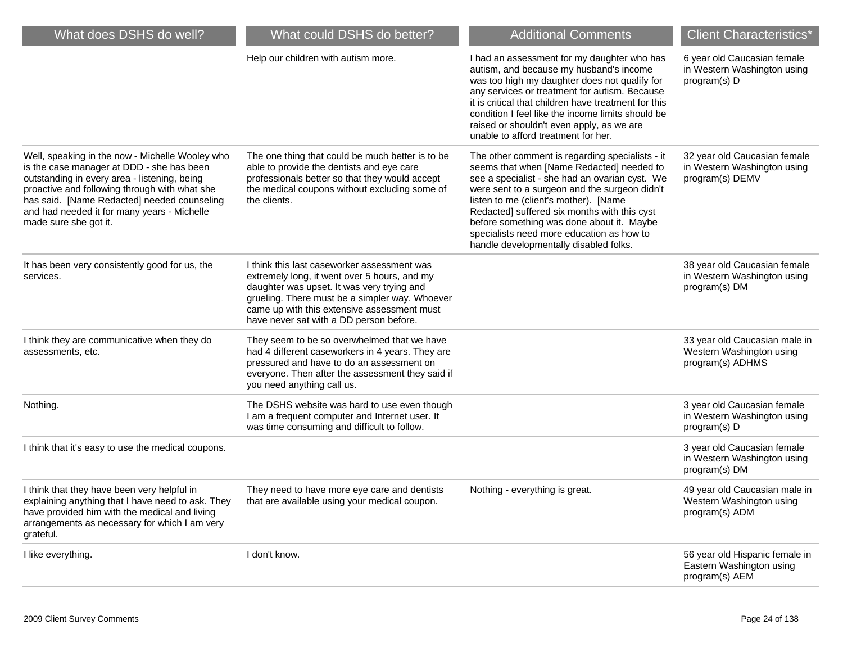| What does DSHS do well?                                                                                                                                                                                                                                                                                              | What could DSHS do better?                                                                                                                                                                                                                                                            | <b>Additional Comments</b>                                                                                                                                                                                                                                                                                                                                                                                                   | <b>Client Characteristics*</b>                                                 |
|----------------------------------------------------------------------------------------------------------------------------------------------------------------------------------------------------------------------------------------------------------------------------------------------------------------------|---------------------------------------------------------------------------------------------------------------------------------------------------------------------------------------------------------------------------------------------------------------------------------------|------------------------------------------------------------------------------------------------------------------------------------------------------------------------------------------------------------------------------------------------------------------------------------------------------------------------------------------------------------------------------------------------------------------------------|--------------------------------------------------------------------------------|
|                                                                                                                                                                                                                                                                                                                      | Help our children with autism more.                                                                                                                                                                                                                                                   | I had an assessment for my daughter who has<br>autism, and because my husband's income<br>was too high my daughter does not qualify for<br>any services or treatment for autism. Because<br>it is critical that children have treatment for this<br>condition I feel like the income limits should be<br>raised or shouldn't even apply, as we are<br>unable to afford treatment for her.                                    | 6 year old Caucasian female<br>in Western Washington using<br>program(s) D     |
| Well, speaking in the now - Michelle Wooley who<br>is the case manager at DDD - she has been<br>outstanding in every area - listening, being<br>proactive and following through with what she<br>has said. [Name Redacted] needed counseling<br>and had needed it for many years - Michelle<br>made sure she got it. | The one thing that could be much better is to be<br>able to provide the dentists and eye care<br>professionals better so that they would accept<br>the medical coupons without excluding some of<br>the clients.                                                                      | The other comment is regarding specialists - it<br>seems that when [Name Redacted] needed to<br>see a specialist - she had an ovarian cyst. We<br>were sent to a surgeon and the surgeon didn't<br>listen to me (client's mother). [Name<br>Redacted] suffered six months with this cyst<br>before something was done about it. Maybe<br>specialists need more education as how to<br>handle developmentally disabled folks. | 32 year old Caucasian female<br>in Western Washington using<br>program(s) DEMV |
| It has been very consistently good for us, the<br>services.                                                                                                                                                                                                                                                          | I think this last caseworker assessment was<br>extremely long, it went over 5 hours, and my<br>daughter was upset. It was very trying and<br>grueling. There must be a simpler way. Whoever<br>came up with this extensive assessment must<br>have never sat with a DD person before. |                                                                                                                                                                                                                                                                                                                                                                                                                              | 38 year old Caucasian female<br>in Western Washington using<br>program(s) DM   |
| I think they are communicative when they do<br>assessments, etc.                                                                                                                                                                                                                                                     | They seem to be so overwhelmed that we have<br>had 4 different caseworkers in 4 years. They are<br>pressured and have to do an assessment on<br>everyone. Then after the assessment they said if<br>you need anything call us.                                                        |                                                                                                                                                                                                                                                                                                                                                                                                                              | 33 year old Caucasian male in<br>Western Washington using<br>program(s) ADHMS  |
| Nothing.                                                                                                                                                                                                                                                                                                             | The DSHS website was hard to use even though<br>I am a frequent computer and Internet user. It<br>was time consuming and difficult to follow.                                                                                                                                         |                                                                                                                                                                                                                                                                                                                                                                                                                              | 3 year old Caucasian female<br>in Western Washington using<br>program(s) D     |
| I think that it's easy to use the medical coupons.                                                                                                                                                                                                                                                                   |                                                                                                                                                                                                                                                                                       |                                                                                                                                                                                                                                                                                                                                                                                                                              | 3 year old Caucasian female<br>in Western Washington using<br>program(s) DM    |
| I think that they have been very helpful in<br>explaining anything that I have need to ask. They<br>have provided him with the medical and living<br>arrangements as necessary for which I am very<br>grateful.                                                                                                      | They need to have more eye care and dentists<br>that are available using your medical coupon.                                                                                                                                                                                         | Nothing - everything is great.                                                                                                                                                                                                                                                                                                                                                                                               | 49 year old Caucasian male in<br>Western Washington using<br>program(s) ADM    |
| I like everything.                                                                                                                                                                                                                                                                                                   | I don't know.                                                                                                                                                                                                                                                                         |                                                                                                                                                                                                                                                                                                                                                                                                                              | 56 year old Hispanic female in<br>Eastern Washington using<br>program(s) AEM   |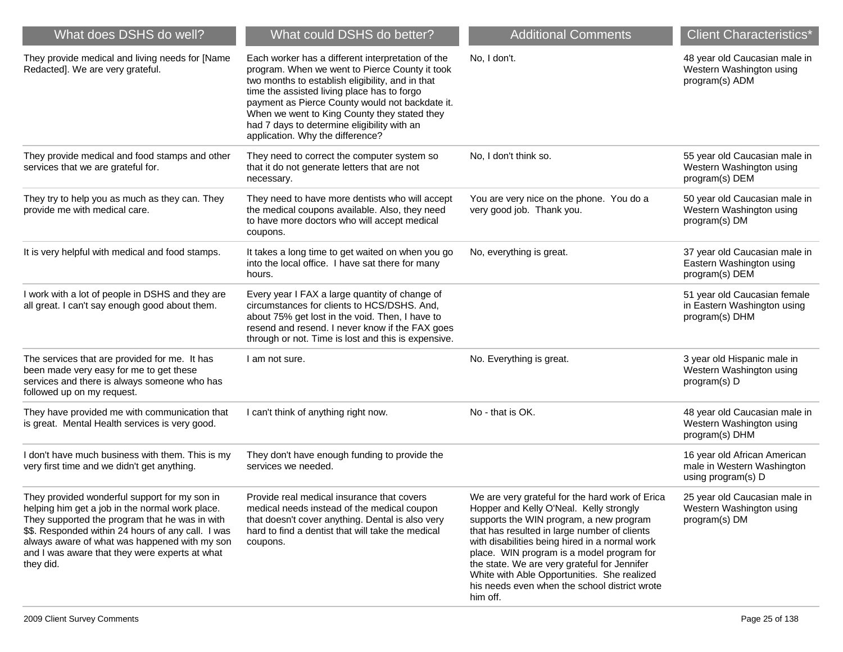| What does DSHS do well?                                                                                                                                                                                                                                                                                                  | What could DSHS do better?                                                                                                                                                                                                                                                                                                                                                                   | <b>Additional Comments</b>                                                                                                                                                                                                                                                                                                                                                                                                                       | <b>Client Characteristics*</b>                                                   |
|--------------------------------------------------------------------------------------------------------------------------------------------------------------------------------------------------------------------------------------------------------------------------------------------------------------------------|----------------------------------------------------------------------------------------------------------------------------------------------------------------------------------------------------------------------------------------------------------------------------------------------------------------------------------------------------------------------------------------------|--------------------------------------------------------------------------------------------------------------------------------------------------------------------------------------------------------------------------------------------------------------------------------------------------------------------------------------------------------------------------------------------------------------------------------------------------|----------------------------------------------------------------------------------|
| They provide medical and living needs for [Name<br>Redacted]. We are very grateful.                                                                                                                                                                                                                                      | Each worker has a different interpretation of the<br>program. When we went to Pierce County it took<br>two months to establish eligibility, and in that<br>time the assisted living place has to forgo<br>payment as Pierce County would not backdate it.<br>When we went to King County they stated they<br>had 7 days to determine eligibility with an<br>application. Why the difference? | No, I don't.                                                                                                                                                                                                                                                                                                                                                                                                                                     | 48 year old Caucasian male in<br>Western Washington using<br>program(s) ADM      |
| They provide medical and food stamps and other<br>services that we are grateful for.                                                                                                                                                                                                                                     | They need to correct the computer system so<br>that it do not generate letters that are not<br>necessary.                                                                                                                                                                                                                                                                                    | No, I don't think so.                                                                                                                                                                                                                                                                                                                                                                                                                            | 55 year old Caucasian male in<br>Western Washington using<br>program(s) DEM      |
| They try to help you as much as they can. They<br>provide me with medical care.                                                                                                                                                                                                                                          | They need to have more dentists who will accept<br>the medical coupons available. Also, they need<br>to have more doctors who will accept medical<br>coupons.                                                                                                                                                                                                                                | You are very nice on the phone. You do a<br>very good job. Thank you.                                                                                                                                                                                                                                                                                                                                                                            | 50 year old Caucasian male in<br>Western Washington using<br>program(s) DM       |
| It is very helpful with medical and food stamps.                                                                                                                                                                                                                                                                         | It takes a long time to get waited on when you go<br>into the local office. I have sat there for many<br>hours.                                                                                                                                                                                                                                                                              | No, everything is great.                                                                                                                                                                                                                                                                                                                                                                                                                         | 37 year old Caucasian male in<br>Eastern Washington using<br>program(s) DEM      |
| I work with a lot of people in DSHS and they are<br>all great. I can't say enough good about them.                                                                                                                                                                                                                       | Every year I FAX a large quantity of change of<br>circumstances for clients to HCS/DSHS. And,<br>about 75% get lost in the void. Then, I have to<br>resend and resend. I never know if the FAX goes<br>through or not. Time is lost and this is expensive.                                                                                                                                   |                                                                                                                                                                                                                                                                                                                                                                                                                                                  | 51 year old Caucasian female<br>in Eastern Washington using<br>program(s) DHM    |
| The services that are provided for me. It has<br>been made very easy for me to get these<br>services and there is always someone who has<br>followed up on my request.                                                                                                                                                   | I am not sure.                                                                                                                                                                                                                                                                                                                                                                               | No. Everything is great.                                                                                                                                                                                                                                                                                                                                                                                                                         | 3 year old Hispanic male in<br>Western Washington using<br>program(s) D          |
| They have provided me with communication that<br>is great. Mental Health services is very good.                                                                                                                                                                                                                          | I can't think of anything right now.                                                                                                                                                                                                                                                                                                                                                         | No - that is OK.                                                                                                                                                                                                                                                                                                                                                                                                                                 | 48 year old Caucasian male in<br>Western Washington using<br>program(s) DHM      |
| I don't have much business with them. This is my<br>very first time and we didn't get anything.                                                                                                                                                                                                                          | They don't have enough funding to provide the<br>services we needed.                                                                                                                                                                                                                                                                                                                         |                                                                                                                                                                                                                                                                                                                                                                                                                                                  | 16 year old African American<br>male in Western Washington<br>using program(s) D |
| They provided wonderful support for my son in<br>helping him get a job in the normal work place.<br>They supported the program that he was in with<br>\$\$. Responded within 24 hours of any call. I was<br>always aware of what was happened with my son<br>and I was aware that they were experts at what<br>they did. | Provide real medical insurance that covers<br>medical needs instead of the medical coupon<br>that doesn't cover anything. Dental is also very<br>hard to find a dentist that will take the medical<br>coupons.                                                                                                                                                                               | We are very grateful for the hard work of Erica<br>Hopper and Kelly O'Neal. Kelly strongly<br>supports the WIN program, a new program<br>that has resulted in large number of clients<br>with disabilities being hired in a normal work<br>place. WIN program is a model program for<br>the state. We are very grateful for Jennifer<br>White with Able Opportunities. She realized<br>his needs even when the school district wrote<br>him off. | 25 year old Caucasian male in<br>Western Washington using<br>program(s) DM       |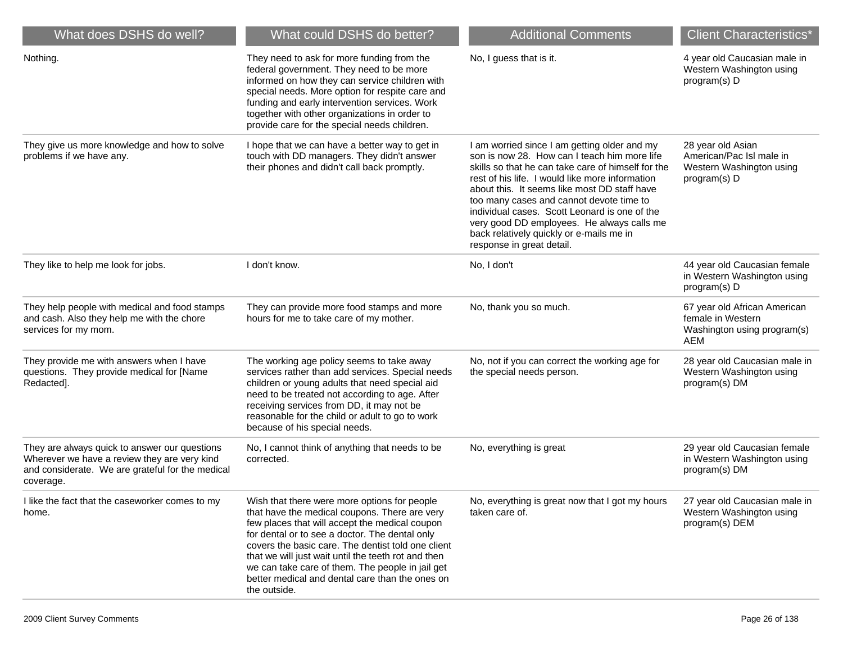| What does DSHS do well?                                                                                                                                        | What could DSHS do better?                                                                                                                                                                                                                                                                                                                                                                                                            | <b>Additional Comments</b>                                                                                                                                                                                                                                                                                                                                                                                                                                                | <b>Client Characteristics*</b>                                                                 |
|----------------------------------------------------------------------------------------------------------------------------------------------------------------|---------------------------------------------------------------------------------------------------------------------------------------------------------------------------------------------------------------------------------------------------------------------------------------------------------------------------------------------------------------------------------------------------------------------------------------|---------------------------------------------------------------------------------------------------------------------------------------------------------------------------------------------------------------------------------------------------------------------------------------------------------------------------------------------------------------------------------------------------------------------------------------------------------------------------|------------------------------------------------------------------------------------------------|
| Nothing.                                                                                                                                                       | They need to ask for more funding from the<br>federal government. They need to be more<br>informed on how they can service children with<br>special needs. More option for respite care and<br>funding and early intervention services. Work<br>together with other organizations in order to<br>provide care for the special needs children.                                                                                         | No, I guess that is it.                                                                                                                                                                                                                                                                                                                                                                                                                                                   | 4 year old Caucasian male in<br>Western Washington using<br>program(s) D                       |
| They give us more knowledge and how to solve<br>problems if we have any.                                                                                       | I hope that we can have a better way to get in<br>touch with DD managers. They didn't answer<br>their phones and didn't call back promptly.                                                                                                                                                                                                                                                                                           | I am worried since I am getting older and my<br>son is now 28. How can I teach him more life<br>skills so that he can take care of himself for the<br>rest of his life. I would like more information<br>about this. It seems like most DD staff have<br>too many cases and cannot devote time to<br>individual cases. Scott Leonard is one of the<br>very good DD employees. He always calls me<br>back relatively quickly or e-mails me in<br>response in great detail. | 28 year old Asian<br>American/Pac Isl male in<br>Western Washington using<br>program(s) D      |
| They like to help me look for jobs.                                                                                                                            | I don't know.                                                                                                                                                                                                                                                                                                                                                                                                                         | No, I don't                                                                                                                                                                                                                                                                                                                                                                                                                                                               | 44 year old Caucasian female<br>in Western Washington using<br>program(s) D                    |
| They help people with medical and food stamps<br>and cash. Also they help me with the chore<br>services for my mom.                                            | They can provide more food stamps and more<br>hours for me to take care of my mother.                                                                                                                                                                                                                                                                                                                                                 | No, thank you so much.                                                                                                                                                                                                                                                                                                                                                                                                                                                    | 67 year old African American<br>female in Western<br>Washington using program(s)<br><b>AEM</b> |
| They provide me with answers when I have<br>questions. They provide medical for [Name<br>Redacted].                                                            | The working age policy seems to take away<br>services rather than add services. Special needs<br>children or young adults that need special aid<br>need to be treated not according to age. After<br>receiving services from DD, it may not be<br>reasonable for the child or adult to go to work<br>because of his special needs.                                                                                                    | No, not if you can correct the working age for<br>the special needs person.                                                                                                                                                                                                                                                                                                                                                                                               | 28 year old Caucasian male in<br>Western Washington using<br>program(s) DM                     |
| They are always quick to answer our questions<br>Wherever we have a review they are very kind<br>and considerate. We are grateful for the medical<br>coverage. | No, I cannot think of anything that needs to be<br>corrected.                                                                                                                                                                                                                                                                                                                                                                         | No, everything is great                                                                                                                                                                                                                                                                                                                                                                                                                                                   | 29 year old Caucasian female<br>in Western Washington using<br>program(s) DM                   |
| I like the fact that the caseworker comes to my<br>home.                                                                                                       | Wish that there were more options for people<br>that have the medical coupons. There are very<br>few places that will accept the medical coupon<br>for dental or to see a doctor. The dental only<br>covers the basic care. The dentist told one client<br>that we will just wait until the teeth rot and then<br>we can take care of them. The people in jail get<br>better medical and dental care than the ones on<br>the outside. | No, everything is great now that I got my hours<br>taken care of.                                                                                                                                                                                                                                                                                                                                                                                                         | 27 year old Caucasian male in<br>Western Washington using<br>program(s) DEM                    |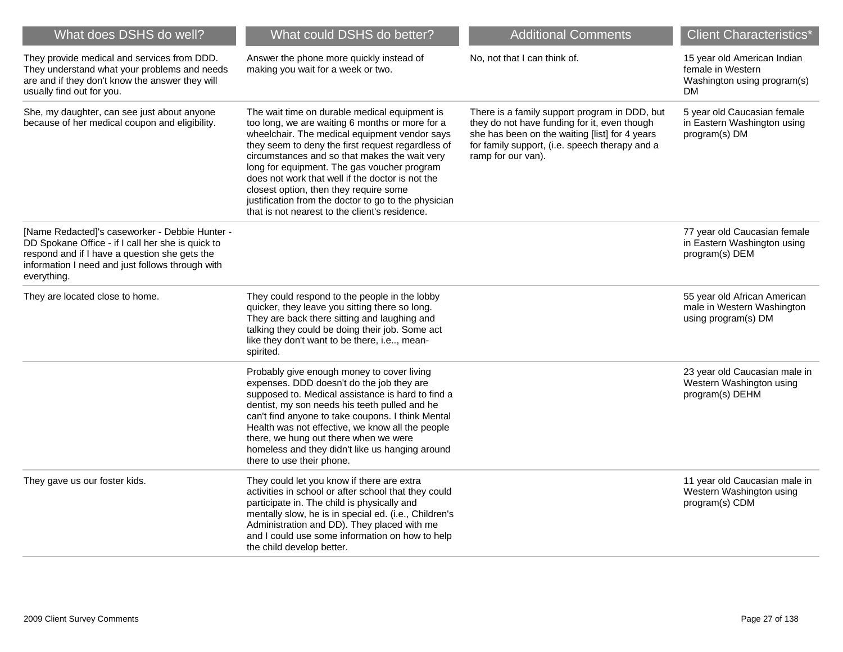| What does DSHS do well?                                                                                                                                                                                                 | What could DSHS do better?                                                                                                                                                                                                                                                                                                                                                                                                                                                                                     | <b>Additional Comments</b>                                                                                                                                                                                              | <b>Client Characteristics*</b>                                                               |
|-------------------------------------------------------------------------------------------------------------------------------------------------------------------------------------------------------------------------|----------------------------------------------------------------------------------------------------------------------------------------------------------------------------------------------------------------------------------------------------------------------------------------------------------------------------------------------------------------------------------------------------------------------------------------------------------------------------------------------------------------|-------------------------------------------------------------------------------------------------------------------------------------------------------------------------------------------------------------------------|----------------------------------------------------------------------------------------------|
| They provide medical and services from DDD.<br>They understand what your problems and needs<br>are and if they don't know the answer they will<br>usually find out for you.                                             | Answer the phone more quickly instead of<br>making you wait for a week or two.                                                                                                                                                                                                                                                                                                                                                                                                                                 | No, not that I can think of.                                                                                                                                                                                            | 15 year old American Indian<br>female in Western<br>Washington using program(s)<br><b>DM</b> |
| She, my daughter, can see just about anyone<br>because of her medical coupon and eligibility.                                                                                                                           | The wait time on durable medical equipment is<br>too long, we are waiting 6 months or more for a<br>wheelchair. The medical equipment vendor says<br>they seem to deny the first request regardless of<br>circumstances and so that makes the wait very<br>long for equipment. The gas voucher program<br>does not work that well if the doctor is not the<br>closest option, then they require some<br>justification from the doctor to go to the physician<br>that is not nearest to the client's residence. | There is a family support program in DDD, but<br>they do not have funding for it, even though<br>she has been on the waiting [list] for 4 years<br>for family support, (i.e. speech therapy and a<br>ramp for our van). | 5 year old Caucasian female<br>in Eastern Washington using<br>program(s) DM                  |
| [Name Redacted]'s caseworker - Debbie Hunter -<br>DD Spokane Office - if I call her she is quick to<br>respond and if I have a question she gets the<br>information I need and just follows through with<br>everything. |                                                                                                                                                                                                                                                                                                                                                                                                                                                                                                                |                                                                                                                                                                                                                         | 77 year old Caucasian female<br>in Eastern Washington using<br>program(s) DEM                |
| They are located close to home.                                                                                                                                                                                         | They could respond to the people in the lobby<br>quicker, they leave you sitting there so long.<br>They are back there sitting and laughing and<br>talking they could be doing their job. Some act<br>like they don't want to be there, i.e, mean-<br>spirited.                                                                                                                                                                                                                                                |                                                                                                                                                                                                                         | 55 year old African American<br>male in Western Washington<br>using program(s) DM            |
|                                                                                                                                                                                                                         | Probably give enough money to cover living<br>expenses. DDD doesn't do the job they are<br>supposed to. Medical assistance is hard to find a<br>dentist, my son needs his teeth pulled and he<br>can't find anyone to take coupons. I think Mental<br>Health was not effective, we know all the people<br>there, we hung out there when we were<br>homeless and they didn't like us hanging around<br>there to use their phone.                                                                                |                                                                                                                                                                                                                         | 23 year old Caucasian male in<br>Western Washington using<br>program(s) DEHM                 |
| They gave us our foster kids.                                                                                                                                                                                           | They could let you know if there are extra<br>activities in school or after school that they could<br>participate in. The child is physically and<br>mentally slow, he is in special ed. (i.e., Children's<br>Administration and DD). They placed with me<br>and I could use some information on how to help<br>the child develop better.                                                                                                                                                                      |                                                                                                                                                                                                                         | 11 year old Caucasian male in<br>Western Washington using<br>program(s) CDM                  |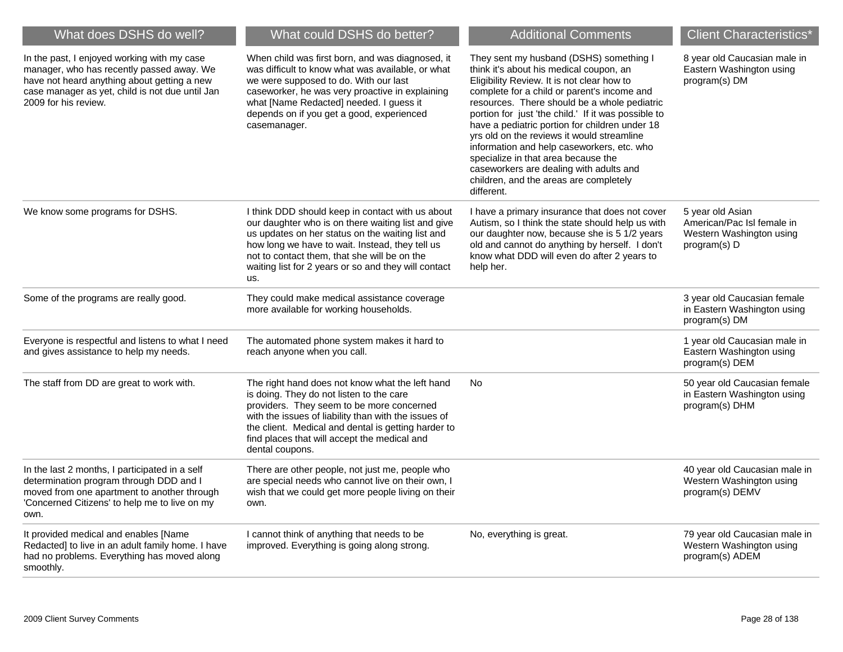| What does DSHS do well?                                                                                                                                                                                            | What could DSHS do better?                                                                                                                                                                                                                                                                                                   | <b>Additional Comments</b>                                                                                                                                                                                                                                                                                                                                                                                                                                                                                                                                                     | <b>Client Characteristics*</b>                                                             |
|--------------------------------------------------------------------------------------------------------------------------------------------------------------------------------------------------------------------|------------------------------------------------------------------------------------------------------------------------------------------------------------------------------------------------------------------------------------------------------------------------------------------------------------------------------|--------------------------------------------------------------------------------------------------------------------------------------------------------------------------------------------------------------------------------------------------------------------------------------------------------------------------------------------------------------------------------------------------------------------------------------------------------------------------------------------------------------------------------------------------------------------------------|--------------------------------------------------------------------------------------------|
| In the past, I enjoyed working with my case<br>manager, who has recently passed away. We<br>have not heard anything about getting a new<br>case manager as yet, child is not due until Jan<br>2009 for his review. | When child was first born, and was diagnosed, it<br>was difficult to know what was available, or what<br>we were supposed to do. With our last<br>caseworker, he was very proactive in explaining<br>what [Name Redacted] needed. I guess it<br>depends on if you get a good, experienced<br>casemanager.                    | They sent my husband (DSHS) something I<br>think it's about his medical coupon, an<br>Eligibility Review. It is not clear how to<br>complete for a child or parent's income and<br>resources. There should be a whole pediatric<br>portion for just 'the child.' If it was possible to<br>have a pediatric portion for children under 18<br>yrs old on the reviews it would streamline<br>information and help caseworkers, etc. who<br>specialize in that area because the<br>caseworkers are dealing with adults and<br>children, and the areas are completely<br>different. | 8 year old Caucasian male in<br>Eastern Washington using<br>program(s) DM                  |
| We know some programs for DSHS.                                                                                                                                                                                    | I think DDD should keep in contact with us about<br>our daughter who is on there waiting list and give<br>us updates on her status on the waiting list and<br>how long we have to wait. Instead, they tell us<br>not to contact them, that she will be on the<br>waiting list for 2 years or so and they will contact<br>us. | I have a primary insurance that does not cover<br>Autism, so I think the state should help us with<br>our daughter now, because she is 5 1/2 years<br>old and cannot do anything by herself. I don't<br>know what DDD will even do after 2 years to<br>help her.                                                                                                                                                                                                                                                                                                               | 5 year old Asian<br>American/Pac Isl female in<br>Western Washington using<br>program(s) D |
| Some of the programs are really good.                                                                                                                                                                              | They could make medical assistance coverage<br>more available for working households.                                                                                                                                                                                                                                        |                                                                                                                                                                                                                                                                                                                                                                                                                                                                                                                                                                                | 3 year old Caucasian female<br>in Eastern Washington using<br>program(s) DM                |
| Everyone is respectful and listens to what I need<br>and gives assistance to help my needs.                                                                                                                        | The automated phone system makes it hard to<br>reach anyone when you call.                                                                                                                                                                                                                                                   |                                                                                                                                                                                                                                                                                                                                                                                                                                                                                                                                                                                | 1 year old Caucasian male in<br>Eastern Washington using<br>program(s) DEM                 |
| The staff from DD are great to work with.                                                                                                                                                                          | The right hand does not know what the left hand<br>is doing. They do not listen to the care<br>providers. They seem to be more concerned<br>with the issues of liability than with the issues of<br>the client. Medical and dental is getting harder to<br>find places that will accept the medical and<br>dental coupons.   | <b>No</b>                                                                                                                                                                                                                                                                                                                                                                                                                                                                                                                                                                      | 50 year old Caucasian female<br>in Eastern Washington using<br>program(s) DHM              |
| In the last 2 months, I participated in a self<br>determination program through DDD and I<br>moved from one apartment to another through<br>'Concerned Citizens' to help me to live on my<br>own.                  | There are other people, not just me, people who<br>are special needs who cannot live on their own, I<br>wish that we could get more people living on their<br>own.                                                                                                                                                           |                                                                                                                                                                                                                                                                                                                                                                                                                                                                                                                                                                                | 40 year old Caucasian male in<br>Western Washington using<br>program(s) DEMV               |
| It provided medical and enables [Name<br>Redacted] to live in an adult family home. I have<br>had no problems. Everything has moved along<br>smoothly.                                                             | I cannot think of anything that needs to be<br>improved. Everything is going along strong.                                                                                                                                                                                                                                   | No, everything is great.                                                                                                                                                                                                                                                                                                                                                                                                                                                                                                                                                       | 79 year old Caucasian male in<br>Western Washington using<br>program(s) ADEM               |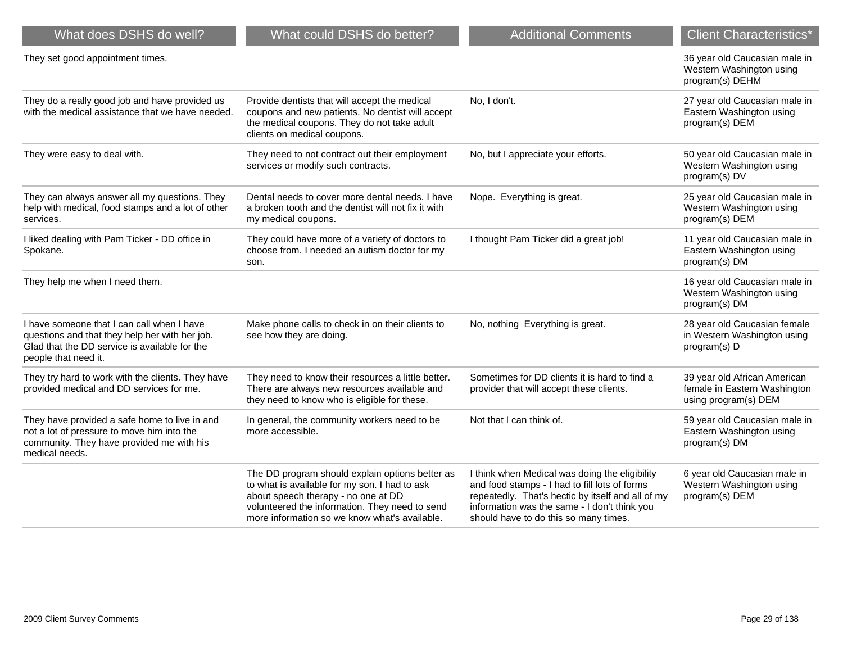| What does DSHS do well?                                                                                                                                               | What could DSHS do better?                                                                                                                                                                                                                 | <b>Additional Comments</b>                                                                                                                                                                                                                    | <b>Client Characteristics*</b>                                                       |
|-----------------------------------------------------------------------------------------------------------------------------------------------------------------------|--------------------------------------------------------------------------------------------------------------------------------------------------------------------------------------------------------------------------------------------|-----------------------------------------------------------------------------------------------------------------------------------------------------------------------------------------------------------------------------------------------|--------------------------------------------------------------------------------------|
| They set good appointment times.                                                                                                                                      |                                                                                                                                                                                                                                            |                                                                                                                                                                                                                                               | 36 year old Caucasian male in<br>Western Washington using<br>program(s) DEHM         |
| They do a really good job and have provided us<br>with the medical assistance that we have needed.                                                                    | Provide dentists that will accept the medical<br>coupons and new patients. No dentist will accept<br>the medical coupons. They do not take adult<br>clients on medical coupons.                                                            | No, I don't.                                                                                                                                                                                                                                  | 27 year old Caucasian male in<br>Eastern Washington using<br>program(s) DEM          |
| They were easy to deal with.                                                                                                                                          | They need to not contract out their employment<br>services or modify such contracts.                                                                                                                                                       | No, but I appreciate your efforts.                                                                                                                                                                                                            | 50 year old Caucasian male in<br>Western Washington using<br>program(s) DV           |
| They can always answer all my questions. They<br>help with medical, food stamps and a lot of other<br>services.                                                       | Dental needs to cover more dental needs. I have<br>a broken tooth and the dentist will not fix it with<br>my medical coupons.                                                                                                              | Nope. Everything is great.                                                                                                                                                                                                                    | 25 year old Caucasian male in<br>Western Washington using<br>program(s) DEM          |
| I liked dealing with Pam Ticker - DD office in<br>Spokane.                                                                                                            | They could have more of a variety of doctors to<br>choose from. I needed an autism doctor for my<br>son.                                                                                                                                   | I thought Pam Ticker did a great job!                                                                                                                                                                                                         | 11 year old Caucasian male in<br>Eastern Washington using<br>program(s) DM           |
| They help me when I need them.                                                                                                                                        |                                                                                                                                                                                                                                            |                                                                                                                                                                                                                                               | 16 year old Caucasian male in<br>Western Washington using<br>program(s) DM           |
| I have someone that I can call when I have<br>questions and that they help her with her job.<br>Glad that the DD service is available for the<br>people that need it. | Make phone calls to check in on their clients to<br>see how they are doing.                                                                                                                                                                | No, nothing Everything is great.                                                                                                                                                                                                              | 28 year old Caucasian female<br>in Western Washington using<br>program(s) D          |
| They try hard to work with the clients. They have<br>provided medical and DD services for me.                                                                         | They need to know their resources a little better.<br>There are always new resources available and<br>they need to know who is eligible for these.                                                                                         | Sometimes for DD clients it is hard to find a<br>provider that will accept these clients.                                                                                                                                                     | 39 year old African American<br>female in Eastern Washington<br>using program(s) DEM |
| They have provided a safe home to live in and<br>not a lot of pressure to move him into the<br>community. They have provided me with his<br>medical needs.            | In general, the community workers need to be<br>more accessible.                                                                                                                                                                           | Not that I can think of.                                                                                                                                                                                                                      | 59 year old Caucasian male in<br>Eastern Washington using<br>program(s) DM           |
|                                                                                                                                                                       | The DD program should explain options better as<br>to what is available for my son. I had to ask<br>about speech therapy - no one at DD<br>volunteered the information. They need to send<br>more information so we know what's available. | I think when Medical was doing the eligibility<br>and food stamps - I had to fill lots of forms<br>repeatedly. That's hectic by itself and all of my<br>information was the same - I don't think you<br>should have to do this so many times. | 6 year old Caucasian male in<br>Western Washington using<br>program(s) DEM           |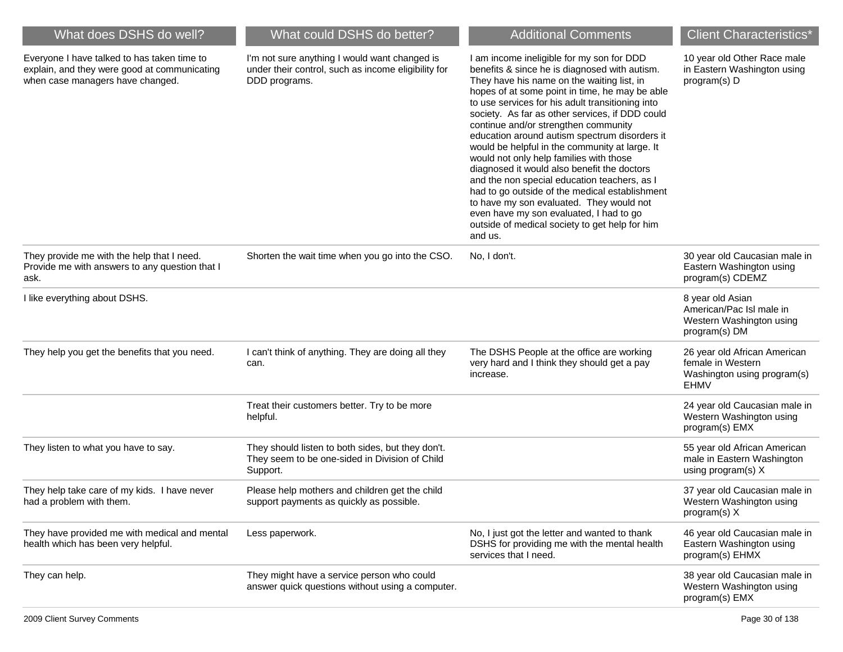| What does DSHS do well?                                                                                                         | What could DSHS do better?                                                                                            | <b>Additional Comments</b>                                                                                                                                                                                                                                                                                                                                                                                                                                                                                                                                                                                                                                                                                                                                                                   | <b>Client Characteristics*</b>                                                                  |
|---------------------------------------------------------------------------------------------------------------------------------|-----------------------------------------------------------------------------------------------------------------------|----------------------------------------------------------------------------------------------------------------------------------------------------------------------------------------------------------------------------------------------------------------------------------------------------------------------------------------------------------------------------------------------------------------------------------------------------------------------------------------------------------------------------------------------------------------------------------------------------------------------------------------------------------------------------------------------------------------------------------------------------------------------------------------------|-------------------------------------------------------------------------------------------------|
| Everyone I have talked to has taken time to<br>explain, and they were good at communicating<br>when case managers have changed. | I'm not sure anything I would want changed is<br>under their control, such as income eligibility for<br>DDD programs. | I am income ineligible for my son for DDD<br>benefits & since he is diagnosed with autism.<br>They have his name on the waiting list, in<br>hopes of at some point in time, he may be able<br>to use services for his adult transitioning into<br>society. As far as other services, if DDD could<br>continue and/or strengthen community<br>education around autism spectrum disorders it<br>would be helpful in the community at large. It<br>would not only help families with those<br>diagnosed it would also benefit the doctors<br>and the non special education teachers, as I<br>had to go outside of the medical establishment<br>to have my son evaluated. They would not<br>even have my son evaluated, I had to go<br>outside of medical society to get help for him<br>and us. | 10 year old Other Race male<br>in Eastern Washington using<br>program(s) D                      |
| They provide me with the help that I need.<br>Provide me with answers to any question that I<br>ask.                            | Shorten the wait time when you go into the CSO.                                                                       | No, I don't.                                                                                                                                                                                                                                                                                                                                                                                                                                                                                                                                                                                                                                                                                                                                                                                 | 30 year old Caucasian male in<br>Eastern Washington using<br>program(s) CDEMZ                   |
| I like everything about DSHS.                                                                                                   |                                                                                                                       |                                                                                                                                                                                                                                                                                                                                                                                                                                                                                                                                                                                                                                                                                                                                                                                              | 8 year old Asian<br>American/Pac Isl male in<br>Western Washington using<br>program(s) DM       |
| They help you get the benefits that you need.                                                                                   | I can't think of anything. They are doing all they<br>can.                                                            | The DSHS People at the office are working<br>very hard and I think they should get a pay<br>increase.                                                                                                                                                                                                                                                                                                                                                                                                                                                                                                                                                                                                                                                                                        | 26 year old African American<br>female in Western<br>Washington using program(s)<br><b>EHMV</b> |
|                                                                                                                                 | Treat their customers better. Try to be more<br>helpful.                                                              |                                                                                                                                                                                                                                                                                                                                                                                                                                                                                                                                                                                                                                                                                                                                                                                              | 24 year old Caucasian male in<br>Western Washington using<br>program(s) EMX                     |
| They listen to what you have to say.                                                                                            | They should listen to both sides, but they don't.<br>They seem to be one-sided in Division of Child<br>Support.       |                                                                                                                                                                                                                                                                                                                                                                                                                                                                                                                                                                                                                                                                                                                                                                                              | 55 year old African American<br>male in Eastern Washington<br>using program(s) X                |
| They help take care of my kids. I have never<br>had a problem with them.                                                        | Please help mothers and children get the child<br>support payments as quickly as possible.                            |                                                                                                                                                                                                                                                                                                                                                                                                                                                                                                                                                                                                                                                                                                                                                                                              | 37 year old Caucasian male in<br>Western Washington using<br>program(s) X                       |
| They have provided me with medical and mental<br>health which has been very helpful.                                            | Less paperwork.                                                                                                       | No, I just got the letter and wanted to thank<br>DSHS for providing me with the mental health<br>services that I need.                                                                                                                                                                                                                                                                                                                                                                                                                                                                                                                                                                                                                                                                       | 46 year old Caucasian male in<br>Eastern Washington using<br>program(s) EHMX                    |
| They can help.                                                                                                                  | They might have a service person who could<br>answer quick questions without using a computer.                        |                                                                                                                                                                                                                                                                                                                                                                                                                                                                                                                                                                                                                                                                                                                                                                                              | 38 year old Caucasian male in<br>Western Washington using<br>program(s) EMX                     |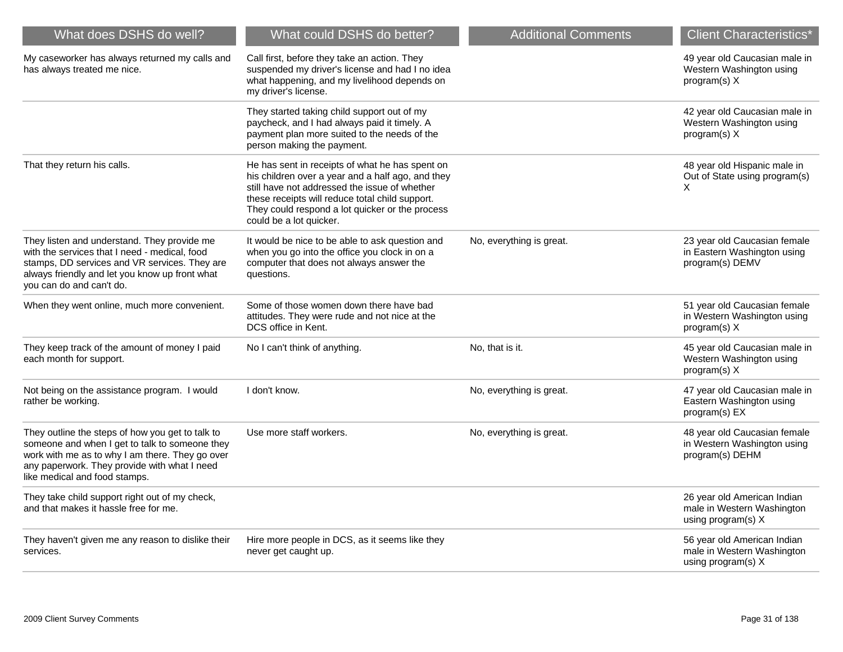| What does DSHS do well?                                                                                                                                                                                                                | What could DSHS do better?                                                                                                                                                                                                                                                             | <b>Additional Comments</b> | <b>Client Characteristics*</b>                                                  |
|----------------------------------------------------------------------------------------------------------------------------------------------------------------------------------------------------------------------------------------|----------------------------------------------------------------------------------------------------------------------------------------------------------------------------------------------------------------------------------------------------------------------------------------|----------------------------|---------------------------------------------------------------------------------|
| My caseworker has always returned my calls and<br>has always treated me nice.                                                                                                                                                          | Call first, before they take an action. They<br>suspended my driver's license and had I no idea<br>what happening, and my livelihood depends on<br>my driver's license.                                                                                                                |                            | 49 year old Caucasian male in<br>Western Washington using<br>program(s) X       |
|                                                                                                                                                                                                                                        | They started taking child support out of my<br>paycheck, and I had always paid it timely. A<br>payment plan more suited to the needs of the<br>person making the payment.                                                                                                              |                            | 42 year old Caucasian male in<br>Western Washington using<br>program(s) X       |
| That they return his calls.                                                                                                                                                                                                            | He has sent in receipts of what he has spent on<br>his children over a year and a half ago, and they<br>still have not addressed the issue of whether<br>these receipts will reduce total child support.<br>They could respond a lot quicker or the process<br>could be a lot quicker. |                            | 48 year old Hispanic male in<br>Out of State using program(s)<br>X              |
| They listen and understand. They provide me<br>with the services that I need - medical, food<br>stamps, DD services and VR services. They are<br>always friendly and let you know up front what<br>you can do and can't do.            | It would be nice to be able to ask question and<br>when you go into the office you clock in on a<br>computer that does not always answer the<br>questions.                                                                                                                             | No, everything is great.   | 23 year old Caucasian female<br>in Eastern Washington using<br>program(s) DEMV  |
| When they went online, much more convenient.                                                                                                                                                                                           | Some of those women down there have bad<br>attitudes. They were rude and not nice at the<br>DCS office in Kent.                                                                                                                                                                        |                            | 51 year old Caucasian female<br>in Western Washington using<br>program(s) X     |
| They keep track of the amount of money I paid<br>each month for support.                                                                                                                                                               | No I can't think of anything.                                                                                                                                                                                                                                                          | No, that is it.            | 45 year old Caucasian male in<br>Western Washington using<br>program(s) X       |
| Not being on the assistance program. I would<br>rather be working.                                                                                                                                                                     | I don't know.                                                                                                                                                                                                                                                                          | No, everything is great.   | 47 year old Caucasian male in<br>Eastern Washington using<br>program(s) EX      |
| They outline the steps of how you get to talk to<br>someone and when I get to talk to someone they<br>work with me as to why I am there. They go over<br>any paperwork. They provide with what I need<br>like medical and food stamps. | Use more staff workers.                                                                                                                                                                                                                                                                | No, everything is great.   | 48 year old Caucasian female<br>in Western Washington using<br>program(s) DEHM  |
| They take child support right out of my check,<br>and that makes it hassle free for me.                                                                                                                                                |                                                                                                                                                                                                                                                                                        |                            | 26 year old American Indian<br>male in Western Washington<br>using program(s) X |
| They haven't given me any reason to dislike their<br>services.                                                                                                                                                                         | Hire more people in DCS, as it seems like they<br>never get caught up.                                                                                                                                                                                                                 |                            | 56 year old American Indian<br>male in Western Washington<br>using program(s) X |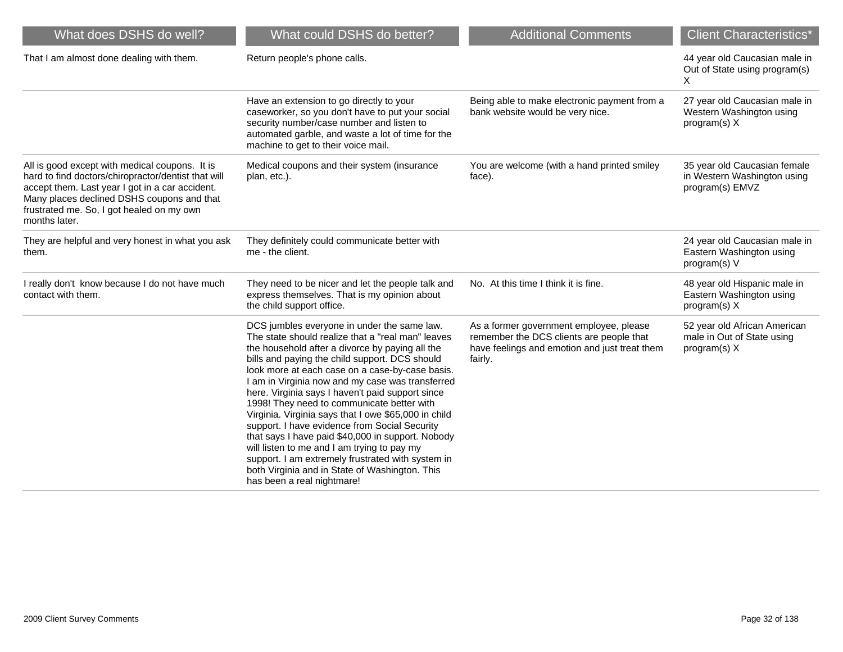| What does DSHS do well?                                                                                                                                                                                                                                              | What could DSHS do better?                                                                                                                                                                                                                                                                                                                                                                                                                                                                                                                                                                                                                                                                                                                                       | <b>Additional Comments</b>                                                                                                                      | <b>Client Characteristics*</b>                                                 |
|----------------------------------------------------------------------------------------------------------------------------------------------------------------------------------------------------------------------------------------------------------------------|------------------------------------------------------------------------------------------------------------------------------------------------------------------------------------------------------------------------------------------------------------------------------------------------------------------------------------------------------------------------------------------------------------------------------------------------------------------------------------------------------------------------------------------------------------------------------------------------------------------------------------------------------------------------------------------------------------------------------------------------------------------|-------------------------------------------------------------------------------------------------------------------------------------------------|--------------------------------------------------------------------------------|
| That I am almost done dealing with them.                                                                                                                                                                                                                             | Return people's phone calls.                                                                                                                                                                                                                                                                                                                                                                                                                                                                                                                                                                                                                                                                                                                                     |                                                                                                                                                 | 44 year old Caucasian male in<br>Out of State using program(s)<br>X            |
|                                                                                                                                                                                                                                                                      | Have an extension to go directly to your<br>caseworker, so you don't have to put your social<br>security number/case number and listen to<br>automated garble, and waste a lot of time for the<br>machine to get to their voice mail.                                                                                                                                                                                                                                                                                                                                                                                                                                                                                                                            | Being able to make electronic payment from a<br>bank website would be very nice.                                                                | 27 year old Caucasian male in<br>Western Washington using<br>program(s) X      |
| All is good except with medical coupons. It is<br>hard to find doctors/chiropractor/dentist that will<br>accept them. Last year I got in a car accident.<br>Many places declined DSHS coupons and that<br>frustrated me. So, I got healed on my own<br>months later. | Medical coupons and their system (insurance<br>plan, etc.).                                                                                                                                                                                                                                                                                                                                                                                                                                                                                                                                                                                                                                                                                                      | You are welcome (with a hand printed smiley<br>face).                                                                                           | 35 year old Caucasian female<br>in Western Washington using<br>program(s) EMVZ |
| They are helpful and very honest in what you ask<br>them.                                                                                                                                                                                                            | They definitely could communicate better with<br>me - the client.                                                                                                                                                                                                                                                                                                                                                                                                                                                                                                                                                                                                                                                                                                |                                                                                                                                                 | 24 year old Caucasian male in<br>Eastern Washington using<br>program(s) V      |
| I really don't know because I do not have much<br>contact with them.                                                                                                                                                                                                 | They need to be nicer and let the people talk and<br>express themselves. That is my opinion about<br>the child support office.                                                                                                                                                                                                                                                                                                                                                                                                                                                                                                                                                                                                                                   | No. At this time I think it is fine.                                                                                                            | 48 year old Hispanic male in<br>Eastern Washington using<br>program(s) X       |
|                                                                                                                                                                                                                                                                      | DCS jumbles everyone in under the same law.<br>The state should realize that a "real man" leaves<br>the household after a divorce by paying all the<br>bills and paying the child support. DCS should<br>look more at each case on a case-by-case basis.<br>I am in Virginia now and my case was transferred<br>here. Virginia says I haven't paid support since<br>1998! They need to communicate better with<br>Virginia. Virginia says that I owe \$65,000 in child<br>support. I have evidence from Social Security<br>that says I have paid \$40,000 in support. Nobody<br>will listen to me and I am trying to pay my<br>support. I am extremely frustrated with system in<br>both Virginia and in State of Washington. This<br>has been a real nightmare! | As a former government employee, please<br>remember the DCS clients are people that<br>have feelings and emotion and just treat them<br>fairly. | 52 year old African American<br>male in Out of State using<br>program(s) X     |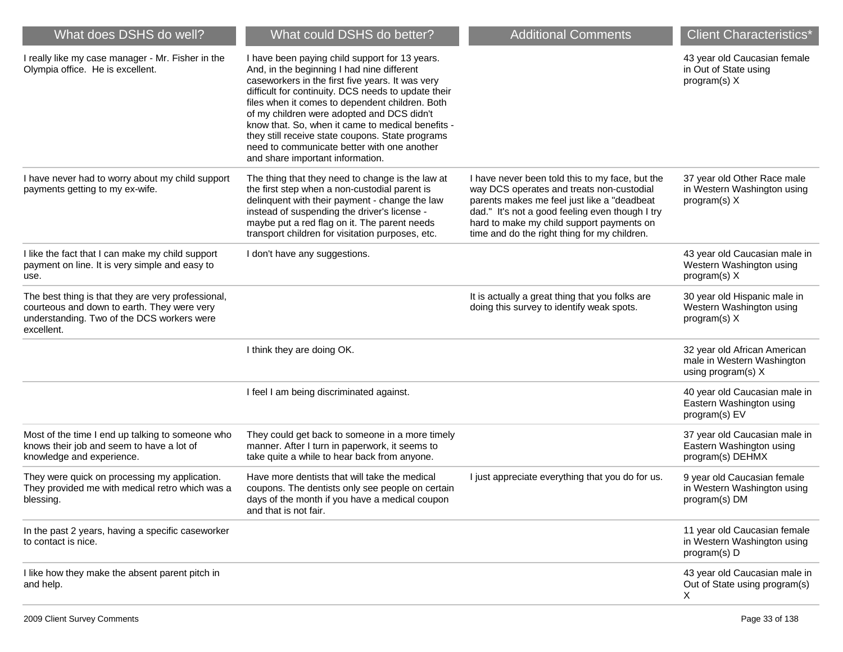| What does DSHS do well?                                                                                                                                       | What could DSHS do better?                                                                                                                                                                                                                                                                                                                                                                                                                                                                           | <b>Additional Comments</b>                                                                                                                                                                                                                                                                  | <b>Client Characteristics*</b>                                                   |
|---------------------------------------------------------------------------------------------------------------------------------------------------------------|------------------------------------------------------------------------------------------------------------------------------------------------------------------------------------------------------------------------------------------------------------------------------------------------------------------------------------------------------------------------------------------------------------------------------------------------------------------------------------------------------|---------------------------------------------------------------------------------------------------------------------------------------------------------------------------------------------------------------------------------------------------------------------------------------------|----------------------------------------------------------------------------------|
| I really like my case manager - Mr. Fisher in the<br>Olympia office. He is excellent.                                                                         | I have been paying child support for 13 years.<br>And, in the beginning I had nine different<br>caseworkers in the first five years. It was very<br>difficult for continuity. DCS needs to update their<br>files when it comes to dependent children. Both<br>of my children were adopted and DCS didn't<br>know that. So, when it came to medical benefits -<br>they still receive state coupons. State programs<br>need to communicate better with one another<br>and share important information. |                                                                                                                                                                                                                                                                                             | 43 year old Caucasian female<br>in Out of State using<br>program(s) X            |
| I have never had to worry about my child support<br>payments getting to my ex-wife.                                                                           | The thing that they need to change is the law at<br>the first step when a non-custodial parent is<br>delinquent with their payment - change the law<br>instead of suspending the driver's license -<br>maybe put a red flag on it. The parent needs<br>transport children for visitation purposes, etc.                                                                                                                                                                                              | I have never been told this to my face, but the<br>way DCS operates and treats non-custodial<br>parents makes me feel just like a "deadbeat<br>dad." It's not a good feeling even though I try<br>hard to make my child support payments on<br>time and do the right thing for my children. | 37 year old Other Race male<br>in Western Washington using<br>program(s) X       |
| I like the fact that I can make my child support<br>payment on line. It is very simple and easy to<br>use.                                                    | I don't have any suggestions.                                                                                                                                                                                                                                                                                                                                                                                                                                                                        |                                                                                                                                                                                                                                                                                             | 43 year old Caucasian male in<br>Western Washington using<br>program(s) X        |
| The best thing is that they are very professional,<br>courteous and down to earth. They were very<br>understanding. Two of the DCS workers were<br>excellent. |                                                                                                                                                                                                                                                                                                                                                                                                                                                                                                      | It is actually a great thing that you folks are<br>doing this survey to identify weak spots.                                                                                                                                                                                                | 30 year old Hispanic male in<br>Western Washington using<br>program(s) X         |
|                                                                                                                                                               | I think they are doing OK.                                                                                                                                                                                                                                                                                                                                                                                                                                                                           |                                                                                                                                                                                                                                                                                             | 32 year old African American<br>male in Western Washington<br>using program(s) X |
|                                                                                                                                                               | I feel I am being discriminated against.                                                                                                                                                                                                                                                                                                                                                                                                                                                             |                                                                                                                                                                                                                                                                                             | 40 year old Caucasian male in<br>Eastern Washington using<br>program(s) EV       |
| Most of the time I end up talking to someone who<br>knows their job and seem to have a lot of<br>knowledge and experience.                                    | They could get back to someone in a more timely<br>manner. After I turn in paperwork, it seems to<br>take quite a while to hear back from anyone.                                                                                                                                                                                                                                                                                                                                                    |                                                                                                                                                                                                                                                                                             | 37 year old Caucasian male in<br>Eastern Washington using<br>program(s) DEHMX    |
| They were quick on processing my application.<br>They provided me with medical retro which was a<br>blessing.                                                 | Have more dentists that will take the medical<br>coupons. The dentists only see people on certain<br>days of the month if you have a medical coupon<br>and that is not fair.                                                                                                                                                                                                                                                                                                                         | I just appreciate everything that you do for us.                                                                                                                                                                                                                                            | 9 year old Caucasian female<br>in Western Washington using<br>program(s) DM      |
| In the past 2 years, having a specific caseworker<br>to contact is nice.                                                                                      |                                                                                                                                                                                                                                                                                                                                                                                                                                                                                                      |                                                                                                                                                                                                                                                                                             | 11 year old Caucasian female<br>in Western Washington using<br>program(s) D      |
| I like how they make the absent parent pitch in<br>and help.                                                                                                  |                                                                                                                                                                                                                                                                                                                                                                                                                                                                                                      |                                                                                                                                                                                                                                                                                             | 43 year old Caucasian male in<br>Out of State using program(s)<br>X              |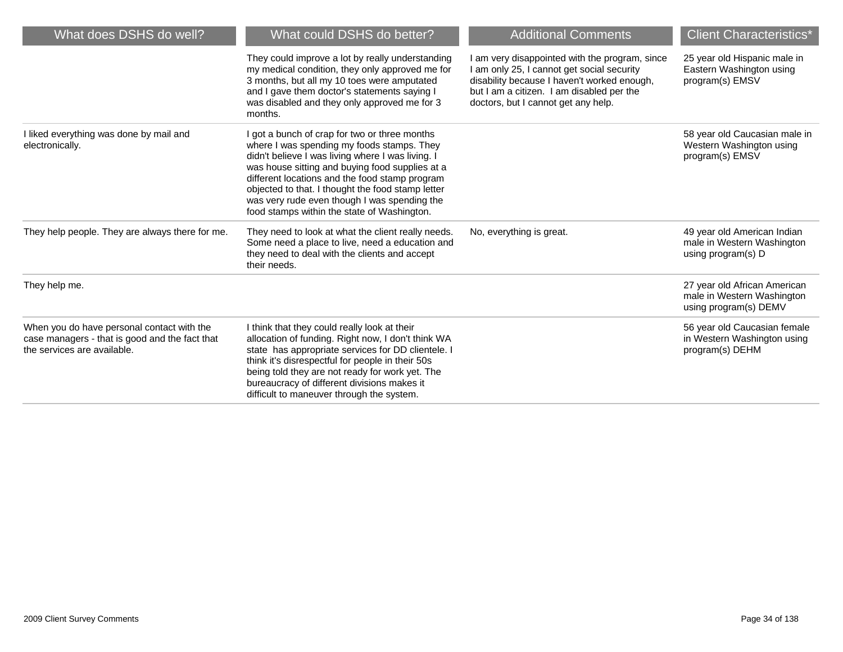| What does DSHS do well?                                                                                                     | What could DSHS do better?                                                                                                                                                                                                                                                                                                                                                                                | <b>Additional Comments</b>                                                                                                                                                                                                  | <b>Client Characteristics*</b>                                                      |
|-----------------------------------------------------------------------------------------------------------------------------|-----------------------------------------------------------------------------------------------------------------------------------------------------------------------------------------------------------------------------------------------------------------------------------------------------------------------------------------------------------------------------------------------------------|-----------------------------------------------------------------------------------------------------------------------------------------------------------------------------------------------------------------------------|-------------------------------------------------------------------------------------|
|                                                                                                                             | They could improve a lot by really understanding<br>my medical condition, they only approved me for<br>3 months, but all my 10 toes were amputated<br>and I gave them doctor's statements saying I<br>was disabled and they only approved me for 3<br>months.                                                                                                                                             | am very disappointed with the program, since<br>am only 25, I cannot get social security<br>disability because I haven't worked enough,<br>but I am a citizen. I am disabled per the<br>doctors, but I cannot get any help. | 25 year old Hispanic male in<br>Eastern Washington using<br>program(s) EMSV         |
| I liked everything was done by mail and<br>electronically.                                                                  | I got a bunch of crap for two or three months<br>where I was spending my foods stamps. They<br>didn't believe I was living where I was living. I<br>was house sitting and buying food supplies at a<br>different locations and the food stamp program<br>objected to that. I thought the food stamp letter<br>was very rude even though I was spending the<br>food stamps within the state of Washington. |                                                                                                                                                                                                                             | 58 year old Caucasian male in<br>Western Washington using<br>program(s) EMSV        |
| They help people. They are always there for me.                                                                             | They need to look at what the client really needs.<br>Some need a place to live, need a education and<br>they need to deal with the clients and accept<br>their needs.                                                                                                                                                                                                                                    | No, everything is great.                                                                                                                                                                                                    | 49 year old American Indian<br>male in Western Washington<br>using program(s) D     |
| They help me.                                                                                                               |                                                                                                                                                                                                                                                                                                                                                                                                           |                                                                                                                                                                                                                             | 27 year old African American<br>male in Western Washington<br>using program(s) DEMV |
| When you do have personal contact with the<br>case managers - that is good and the fact that<br>the services are available. | I think that they could really look at their<br>allocation of funding. Right now, I don't think WA<br>state has appropriate services for DD clientele. I<br>think it's disrespectful for people in their 50s<br>being told they are not ready for work yet. The<br>bureaucracy of different divisions makes it<br>difficult to maneuver through the system.                                               |                                                                                                                                                                                                                             | 56 year old Caucasian female<br>in Western Washington using<br>program(s) DEHM      |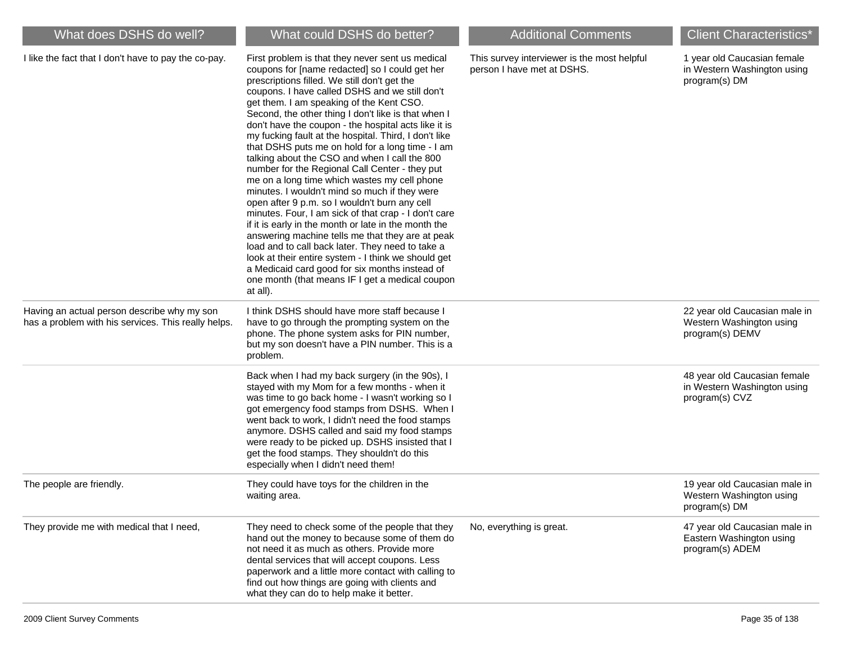| What does DSHS do well?                                                                            | What could DSHS do better?                                                                                                                                                                                                                                                                                                                                                                                                                                                                                                                                                                                                                                                                                                                                                                                                                                                                                                                                                                                                                                                                                                        | <b>Additional Comments</b>                                                | <b>Client Characteristics*</b>                                                |
|----------------------------------------------------------------------------------------------------|-----------------------------------------------------------------------------------------------------------------------------------------------------------------------------------------------------------------------------------------------------------------------------------------------------------------------------------------------------------------------------------------------------------------------------------------------------------------------------------------------------------------------------------------------------------------------------------------------------------------------------------------------------------------------------------------------------------------------------------------------------------------------------------------------------------------------------------------------------------------------------------------------------------------------------------------------------------------------------------------------------------------------------------------------------------------------------------------------------------------------------------|---------------------------------------------------------------------------|-------------------------------------------------------------------------------|
| I like the fact that I don't have to pay the co-pay.                                               | First problem is that they never sent us medical<br>coupons for [name redacted] so I could get her<br>prescriptions filled. We still don't get the<br>coupons. I have called DSHS and we still don't<br>get them. I am speaking of the Kent CSO.<br>Second, the other thing I don't like is that when I<br>don't have the coupon - the hospital acts like it is<br>my fucking fault at the hospital. Third, I don't like<br>that DSHS puts me on hold for a long time - I am<br>talking about the CSO and when I call the 800<br>number for the Regional Call Center - they put<br>me on a long time which wastes my cell phone<br>minutes. I wouldn't mind so much if they were<br>open after 9 p.m. so I wouldn't burn any cell<br>minutes. Four, I am sick of that crap - I don't care<br>if it is early in the month or late in the month the<br>answering machine tells me that they are at peak<br>load and to call back later. They need to take a<br>look at their entire system - I think we should get<br>a Medicaid card good for six months instead of<br>one month (that means IF I get a medical coupon<br>at all). | This survey interviewer is the most helpful<br>person I have met at DSHS. | 1 year old Caucasian female<br>in Western Washington using<br>program(s) DM   |
| Having an actual person describe why my son<br>has a problem with his services. This really helps. | I think DSHS should have more staff because I<br>have to go through the prompting system on the<br>phone. The phone system asks for PIN number,<br>but my son doesn't have a PIN number. This is a<br>problem.                                                                                                                                                                                                                                                                                                                                                                                                                                                                                                                                                                                                                                                                                                                                                                                                                                                                                                                    |                                                                           | 22 year old Caucasian male in<br>Western Washington using<br>program(s) DEMV  |
|                                                                                                    | Back when I had my back surgery (in the 90s), I<br>stayed with my Mom for a few months - when it<br>was time to go back home - I wasn't working so I<br>got emergency food stamps from DSHS. When I<br>went back to work, I didn't need the food stamps<br>anymore. DSHS called and said my food stamps<br>were ready to be picked up. DSHS insisted that I<br>get the food stamps. They shouldn't do this<br>especially when I didn't need them!                                                                                                                                                                                                                                                                                                                                                                                                                                                                                                                                                                                                                                                                                 |                                                                           | 48 year old Caucasian female<br>in Western Washington using<br>program(s) CVZ |
| The people are friendly.                                                                           | They could have toys for the children in the<br>waiting area.                                                                                                                                                                                                                                                                                                                                                                                                                                                                                                                                                                                                                                                                                                                                                                                                                                                                                                                                                                                                                                                                     |                                                                           | 19 year old Caucasian male in<br>Western Washington using<br>program(s) DM    |
| They provide me with medical that I need,                                                          | They need to check some of the people that they<br>hand out the money to because some of them do<br>not need it as much as others. Provide more<br>dental services that will accept coupons. Less<br>paperwork and a little more contact with calling to<br>find out how things are going with clients and<br>what they can do to help make it better.                                                                                                                                                                                                                                                                                                                                                                                                                                                                                                                                                                                                                                                                                                                                                                            | No, everything is great.                                                  | 47 year old Caucasian male in<br>Eastern Washington using<br>program(s) ADEM  |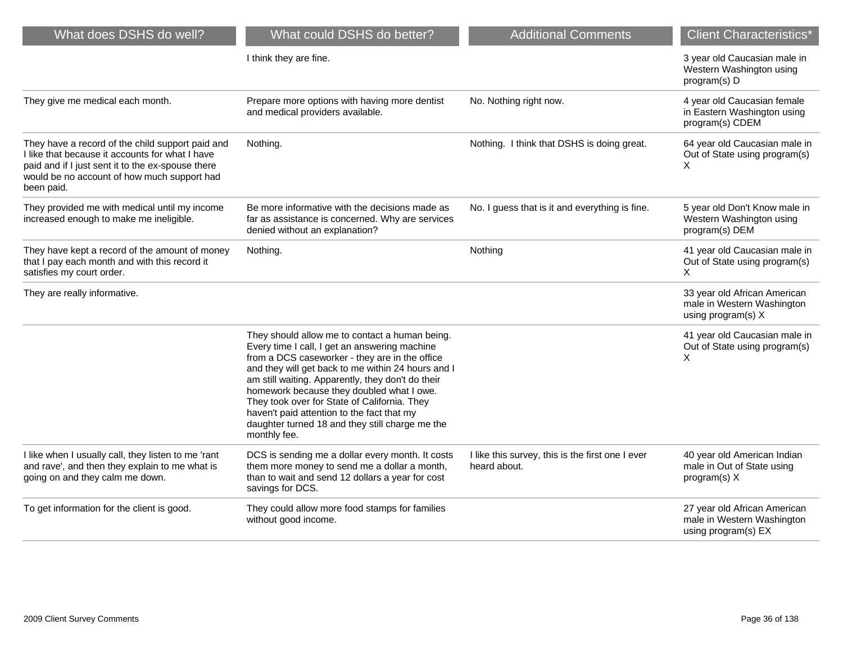| What does DSHS do well?                                                                                                                                                                                               | What could DSHS do better?                                                                                                                                                                                                                                                                                                                                                                                                                                                 | <b>Additional Comments</b>                                       | <b>Client Characteristics*</b>                                                    |
|-----------------------------------------------------------------------------------------------------------------------------------------------------------------------------------------------------------------------|----------------------------------------------------------------------------------------------------------------------------------------------------------------------------------------------------------------------------------------------------------------------------------------------------------------------------------------------------------------------------------------------------------------------------------------------------------------------------|------------------------------------------------------------------|-----------------------------------------------------------------------------------|
|                                                                                                                                                                                                                       | I think they are fine.                                                                                                                                                                                                                                                                                                                                                                                                                                                     |                                                                  | 3 year old Caucasian male in<br>Western Washington using<br>program(s) D          |
| They give me medical each month.                                                                                                                                                                                      | Prepare more options with having more dentist<br>and medical providers available.                                                                                                                                                                                                                                                                                                                                                                                          | No. Nothing right now.                                           | 4 year old Caucasian female<br>in Eastern Washington using<br>program(s) CDEM     |
| They have a record of the child support paid and<br>I like that because it accounts for what I have<br>paid and if I just sent it to the ex-spouse there<br>would be no account of how much support had<br>been paid. | Nothing.                                                                                                                                                                                                                                                                                                                                                                                                                                                                   | Nothing. I think that DSHS is doing great.                       | 64 year old Caucasian male in<br>Out of State using program(s)<br>X               |
| They provided me with medical until my income<br>increased enough to make me ineligible.                                                                                                                              | Be more informative with the decisions made as<br>far as assistance is concerned. Why are services<br>denied without an explanation?                                                                                                                                                                                                                                                                                                                                       | No. I guess that is it and everything is fine.                   | 5 year old Don't Know male in<br>Western Washington using<br>program(s) DEM       |
| They have kept a record of the amount of money<br>that I pay each month and with this record it<br>satisfies my court order.                                                                                          | Nothing.                                                                                                                                                                                                                                                                                                                                                                                                                                                                   | Nothing                                                          | 41 year old Caucasian male in<br>Out of State using program(s)<br>X               |
| They are really informative.                                                                                                                                                                                          |                                                                                                                                                                                                                                                                                                                                                                                                                                                                            |                                                                  | 33 year old African American<br>male in Western Washington<br>using program(s) X  |
|                                                                                                                                                                                                                       | They should allow me to contact a human being.<br>Every time I call, I get an answering machine<br>from a DCS caseworker - they are in the office<br>and they will get back to me within 24 hours and I<br>am still waiting. Apparently, they don't do their<br>homework because they doubled what I owe.<br>They took over for State of California. They<br>haven't paid attention to the fact that my<br>daughter turned 18 and they still charge me the<br>monthly fee. |                                                                  | 41 year old Caucasian male in<br>Out of State using program(s)<br>X               |
| I like when I usually call, they listen to me 'rant<br>and rave', and then they explain to me what is<br>going on and they calm me down.                                                                              | DCS is sending me a dollar every month. It costs<br>them more money to send me a dollar a month,<br>than to wait and send 12 dollars a year for cost<br>savings for DCS.                                                                                                                                                                                                                                                                                                   | I like this survey, this is the first one I ever<br>heard about. | 40 year old American Indian<br>male in Out of State using<br>$program(s)$ X       |
| To get information for the client is good.                                                                                                                                                                            | They could allow more food stamps for families<br>without good income.                                                                                                                                                                                                                                                                                                                                                                                                     |                                                                  | 27 year old African American<br>male in Western Washington<br>using program(s) EX |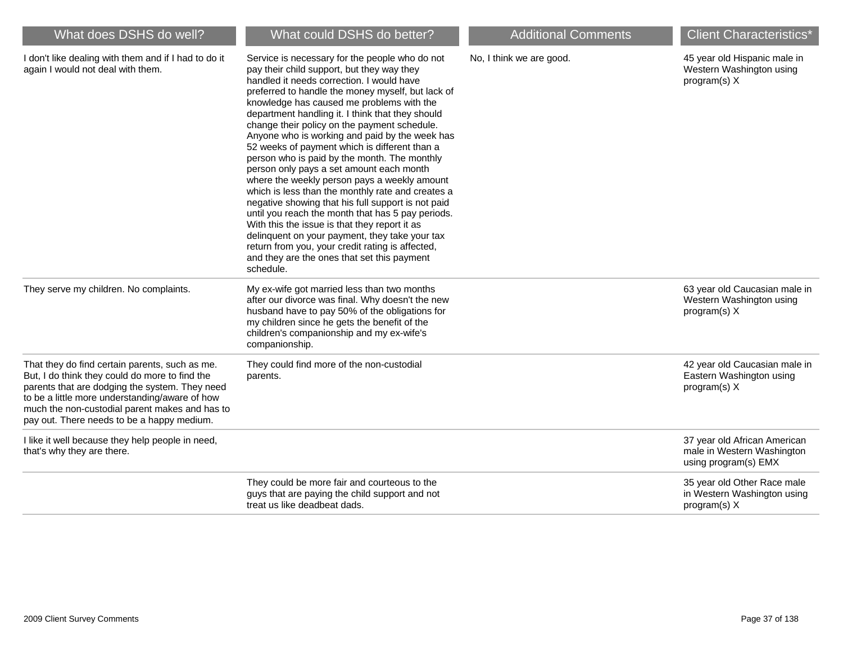| What does DSHS do well?                                                                                                                                                                                                                                                                              | What could DSHS do better?                                                                                                                                                                                                                                                                                                                                                                                                                                                                                                                                                                                                                                                                                                                                                                                                                                                                                                                                                        | <b>Additional Comments</b> | <b>Client Characteristics*</b>                                                     |
|------------------------------------------------------------------------------------------------------------------------------------------------------------------------------------------------------------------------------------------------------------------------------------------------------|-----------------------------------------------------------------------------------------------------------------------------------------------------------------------------------------------------------------------------------------------------------------------------------------------------------------------------------------------------------------------------------------------------------------------------------------------------------------------------------------------------------------------------------------------------------------------------------------------------------------------------------------------------------------------------------------------------------------------------------------------------------------------------------------------------------------------------------------------------------------------------------------------------------------------------------------------------------------------------------|----------------------------|------------------------------------------------------------------------------------|
| I don't like dealing with them and if I had to do it<br>again I would not deal with them.                                                                                                                                                                                                            | Service is necessary for the people who do not<br>pay their child support, but they way they<br>handled it needs correction. I would have<br>preferred to handle the money myself, but lack of<br>knowledge has caused me problems with the<br>department handling it. I think that they should<br>change their policy on the payment schedule.<br>Anyone who is working and paid by the week has<br>52 weeks of payment which is different than a<br>person who is paid by the month. The monthly<br>person only pays a set amount each month<br>where the weekly person pays a weekly amount<br>which is less than the monthly rate and creates a<br>negative showing that his full support is not paid<br>until you reach the month that has 5 pay periods.<br>With this the issue is that they report it as<br>delinquent on your payment, they take your tax<br>return from you, your credit rating is affected,<br>and they are the ones that set this payment<br>schedule. | No, I think we are good.   | 45 year old Hispanic male in<br>Western Washington using<br>$program(s)$ X         |
| They serve my children. No complaints.                                                                                                                                                                                                                                                               | My ex-wife got married less than two months<br>after our divorce was final. Why doesn't the new<br>husband have to pay 50% of the obligations for<br>my children since he gets the benefit of the<br>children's companionship and my ex-wife's<br>companionship.                                                                                                                                                                                                                                                                                                                                                                                                                                                                                                                                                                                                                                                                                                                  |                            | 63 year old Caucasian male in<br>Western Washington using<br>program(s) X          |
| That they do find certain parents, such as me.<br>But, I do think they could do more to find the<br>parents that are dodging the system. They need<br>to be a little more understanding/aware of how<br>much the non-custodial parent makes and has to<br>pay out. There needs to be a happy medium. | They could find more of the non-custodial<br>parents.                                                                                                                                                                                                                                                                                                                                                                                                                                                                                                                                                                                                                                                                                                                                                                                                                                                                                                                             |                            | 42 year old Caucasian male in<br>Eastern Washington using<br>program(s) X          |
| I like it well because they help people in need,<br>that's why they are there.                                                                                                                                                                                                                       |                                                                                                                                                                                                                                                                                                                                                                                                                                                                                                                                                                                                                                                                                                                                                                                                                                                                                                                                                                                   |                            | 37 year old African American<br>male in Western Washington<br>using program(s) EMX |
|                                                                                                                                                                                                                                                                                                      | They could be more fair and courteous to the<br>guys that are paying the child support and not<br>treat us like deadbeat dads.                                                                                                                                                                                                                                                                                                                                                                                                                                                                                                                                                                                                                                                                                                                                                                                                                                                    |                            | 35 year old Other Race male<br>in Western Washington using<br>program(s) X         |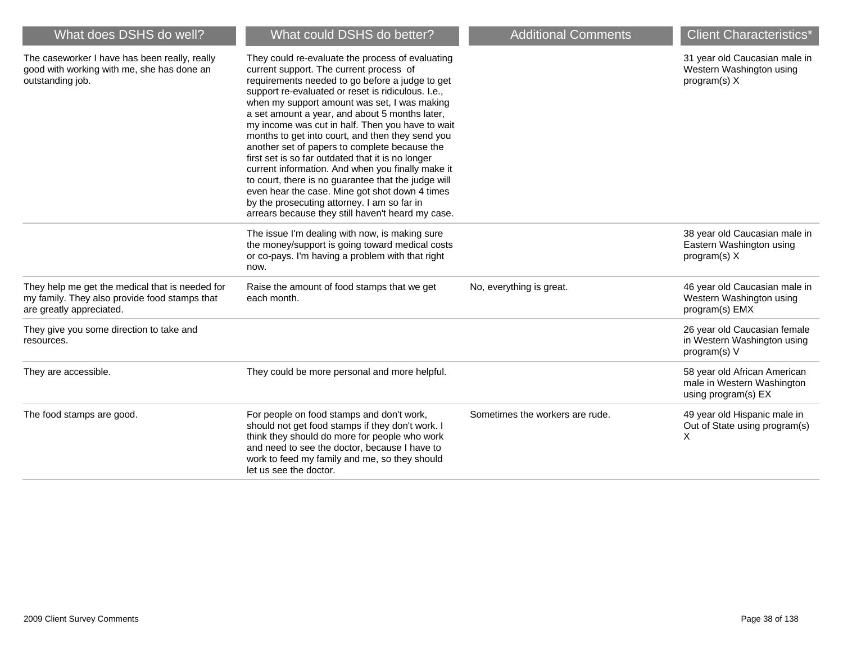| What does DSHS do well?                                                                                                      | What could DSHS do better?                                                                                                                                                                                                                                                                                                                                                                                                                                                                                                                                                                                                                                                                                                                                                             | <b>Additional Comments</b>      | <b>Client Characteristics</b> *                                                   |
|------------------------------------------------------------------------------------------------------------------------------|----------------------------------------------------------------------------------------------------------------------------------------------------------------------------------------------------------------------------------------------------------------------------------------------------------------------------------------------------------------------------------------------------------------------------------------------------------------------------------------------------------------------------------------------------------------------------------------------------------------------------------------------------------------------------------------------------------------------------------------------------------------------------------------|---------------------------------|-----------------------------------------------------------------------------------|
| The caseworker I have has been really, really<br>good with working with me, she has done an<br>outstanding job.              | They could re-evaluate the process of evaluating<br>current support. The current process of<br>requirements needed to go before a judge to get<br>support re-evaluated or reset is ridiculous. I.e.,<br>when my support amount was set, I was making<br>a set amount a year, and about 5 months later,<br>my income was cut in half. Then you have to wait<br>months to get into court, and then they send you<br>another set of papers to complete because the<br>first set is so far outdated that it is no longer<br>current information. And when you finally make it<br>to court, there is no guarantee that the judge will<br>even hear the case. Mine got shot down 4 times<br>by the prosecuting attorney. I am so far in<br>arrears because they still haven't heard my case. |                                 | 31 year old Caucasian male in<br>Western Washington using<br>program(s) X         |
|                                                                                                                              | The issue I'm dealing with now, is making sure<br>the money/support is going toward medical costs<br>or co-pays. I'm having a problem with that right<br>now.                                                                                                                                                                                                                                                                                                                                                                                                                                                                                                                                                                                                                          |                                 | 38 year old Caucasian male in<br>Eastern Washington using<br>$program(s)$ X       |
| They help me get the medical that is needed for<br>my family. They also provide food stamps that<br>are greatly appreciated. | Raise the amount of food stamps that we get<br>each month.                                                                                                                                                                                                                                                                                                                                                                                                                                                                                                                                                                                                                                                                                                                             | No, everything is great.        | 46 year old Caucasian male in<br>Western Washington using<br>program(s) EMX       |
| They give you some direction to take and<br>resources.                                                                       |                                                                                                                                                                                                                                                                                                                                                                                                                                                                                                                                                                                                                                                                                                                                                                                        |                                 | 26 year old Caucasian female<br>in Western Washington using<br>program(s) V       |
| They are accessible.                                                                                                         | They could be more personal and more helpful.                                                                                                                                                                                                                                                                                                                                                                                                                                                                                                                                                                                                                                                                                                                                          |                                 | 58 year old African American<br>male in Western Washington<br>using program(s) EX |
| The food stamps are good.                                                                                                    | For people on food stamps and don't work,<br>should not get food stamps if they don't work. I<br>think they should do more for people who work<br>and need to see the doctor, because I have to<br>work to feed my family and me, so they should<br>let us see the doctor.                                                                                                                                                                                                                                                                                                                                                                                                                                                                                                             | Sometimes the workers are rude. | 49 year old Hispanic male in<br>Out of State using program(s)<br>X                |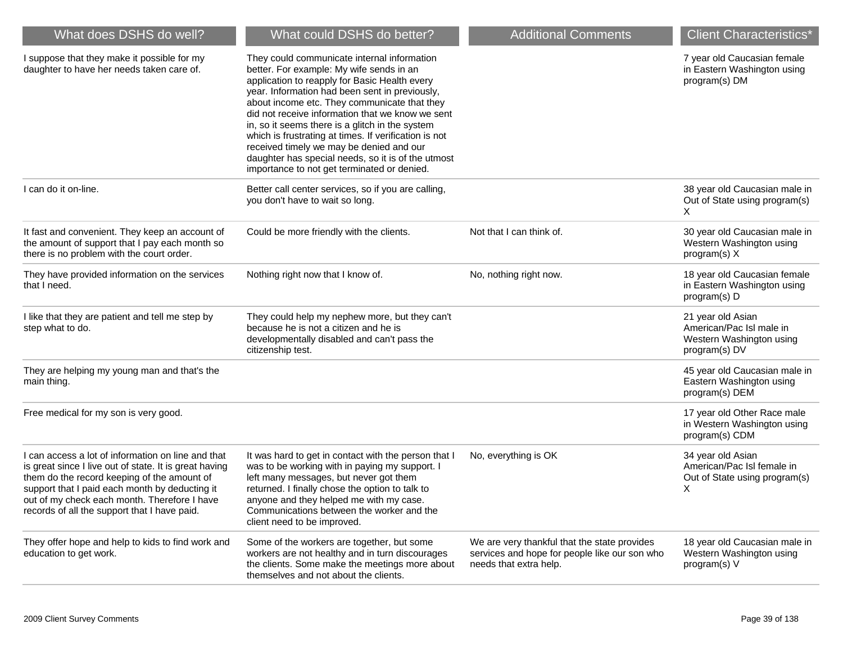| What does DSHS do well?                                                                                                                                                                                                                                                                                       | What could DSHS do better?                                                                                                                                                                                                                                                                                                                                                                                                                                                                                                                                  | <b>Additional Comments</b>                                                                                              | <b>Client Characteristics*</b>                                                             |
|---------------------------------------------------------------------------------------------------------------------------------------------------------------------------------------------------------------------------------------------------------------------------------------------------------------|-------------------------------------------------------------------------------------------------------------------------------------------------------------------------------------------------------------------------------------------------------------------------------------------------------------------------------------------------------------------------------------------------------------------------------------------------------------------------------------------------------------------------------------------------------------|-------------------------------------------------------------------------------------------------------------------------|--------------------------------------------------------------------------------------------|
| I suppose that they make it possible for my<br>daughter to have her needs taken care of.                                                                                                                                                                                                                      | They could communicate internal information<br>better. For example: My wife sends in an<br>application to reapply for Basic Health every<br>year. Information had been sent in previously,<br>about income etc. They communicate that they<br>did not receive information that we know we sent<br>in, so it seems there is a glitch in the system<br>which is frustrating at times. If verification is not<br>received timely we may be denied and our<br>daughter has special needs, so it is of the utmost<br>importance to not get terminated or denied. |                                                                                                                         | 7 year old Caucasian female<br>in Eastern Washington using<br>program(s) DM                |
| I can do it on-line.                                                                                                                                                                                                                                                                                          | Better call center services, so if you are calling,<br>you don't have to wait so long.                                                                                                                                                                                                                                                                                                                                                                                                                                                                      |                                                                                                                         | 38 year old Caucasian male in<br>Out of State using program(s)<br>X.                       |
| It fast and convenient. They keep an account of<br>the amount of support that I pay each month so<br>there is no problem with the court order.                                                                                                                                                                | Could be more friendly with the clients.                                                                                                                                                                                                                                                                                                                                                                                                                                                                                                                    | Not that I can think of.                                                                                                | 30 year old Caucasian male in<br>Western Washington using<br>program(s) X                  |
| They have provided information on the services<br>that I need.                                                                                                                                                                                                                                                | Nothing right now that I know of.                                                                                                                                                                                                                                                                                                                                                                                                                                                                                                                           | No, nothing right now.                                                                                                  | 18 year old Caucasian female<br>in Eastern Washington using<br>program(s) D                |
| I like that they are patient and tell me step by<br>step what to do.                                                                                                                                                                                                                                          | They could help my nephew more, but they can't<br>because he is not a citizen and he is<br>developmentally disabled and can't pass the<br>citizenship test.                                                                                                                                                                                                                                                                                                                                                                                                 |                                                                                                                         | 21 year old Asian<br>American/Pac Isl male in<br>Western Washington using<br>program(s) DV |
| They are helping my young man and that's the<br>main thing.                                                                                                                                                                                                                                                   |                                                                                                                                                                                                                                                                                                                                                                                                                                                                                                                                                             |                                                                                                                         | 45 year old Caucasian male in<br>Eastern Washington using<br>program(s) DEM                |
| Free medical for my son is very good.                                                                                                                                                                                                                                                                         |                                                                                                                                                                                                                                                                                                                                                                                                                                                                                                                                                             |                                                                                                                         | 17 year old Other Race male<br>in Western Washington using<br>program(s) CDM               |
| I can access a lot of information on line and that<br>is great since I live out of state. It is great having<br>them do the record keeping of the amount of<br>support that I paid each month by deducting it<br>out of my check each month. Therefore I have<br>records of all the support that I have paid. | It was hard to get in contact with the person that I<br>was to be working with in paying my support. I<br>left many messages, but never got them<br>returned. I finally chose the option to talk to<br>anyone and they helped me with my case.<br>Communications between the worker and the<br>client need to be improved.                                                                                                                                                                                                                                  | No, everything is OK                                                                                                    | 34 year old Asian<br>American/Pac Isl female in<br>Out of State using program(s)<br>X      |
| They offer hope and help to kids to find work and<br>education to get work.                                                                                                                                                                                                                                   | Some of the workers are together, but some<br>workers are not healthy and in turn discourages<br>the clients. Some make the meetings more about<br>themselves and not about the clients.                                                                                                                                                                                                                                                                                                                                                                    | We are very thankful that the state provides<br>services and hope for people like our son who<br>needs that extra help. | 18 year old Caucasian male in<br>Western Washington using<br>program(s) V                  |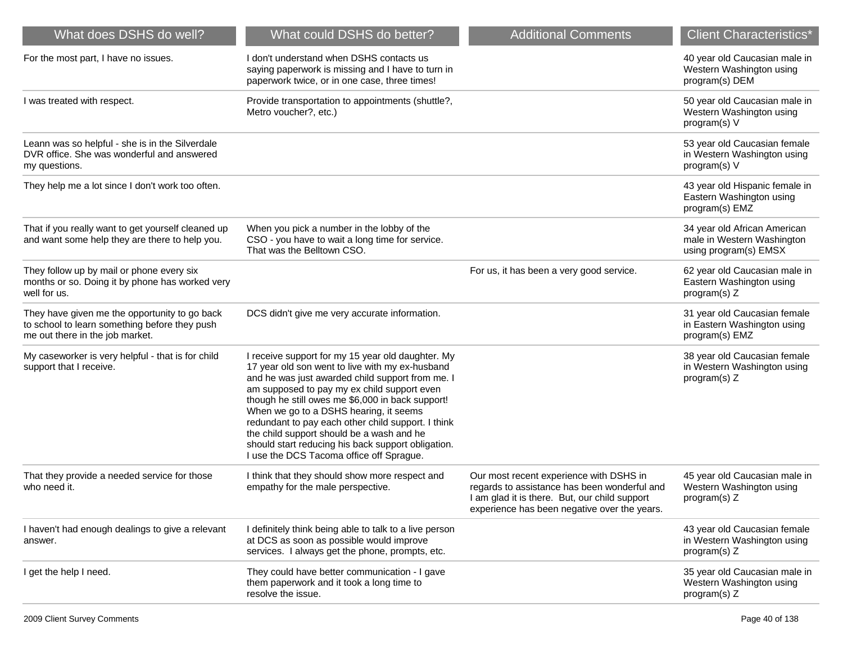| What does DSHS do well?                                                                                                           | What could DSHS do better?                                                                                                                                                                                                                                                                                                                                                                                                                                                                                 | <b>Additional Comments</b>                                                                                                                                                               | <b>Client Characteristics*</b>                                                      |
|-----------------------------------------------------------------------------------------------------------------------------------|------------------------------------------------------------------------------------------------------------------------------------------------------------------------------------------------------------------------------------------------------------------------------------------------------------------------------------------------------------------------------------------------------------------------------------------------------------------------------------------------------------|------------------------------------------------------------------------------------------------------------------------------------------------------------------------------------------|-------------------------------------------------------------------------------------|
| For the most part, I have no issues.                                                                                              | I don't understand when DSHS contacts us<br>saying paperwork is missing and I have to turn in<br>paperwork twice, or in one case, three times!                                                                                                                                                                                                                                                                                                                                                             |                                                                                                                                                                                          | 40 year old Caucasian male in<br>Western Washington using<br>program(s) DEM         |
| I was treated with respect.                                                                                                       | Provide transportation to appointments (shuttle?,<br>Metro voucher?, etc.)                                                                                                                                                                                                                                                                                                                                                                                                                                 |                                                                                                                                                                                          | 50 year old Caucasian male in<br>Western Washington using<br>program(s) V           |
| Leann was so helpful - she is in the Silverdale<br>DVR office. She was wonderful and answered<br>my questions.                    |                                                                                                                                                                                                                                                                                                                                                                                                                                                                                                            |                                                                                                                                                                                          | 53 year old Caucasian female<br>in Western Washington using<br>program(s) V         |
| They help me a lot since I don't work too often.                                                                                  |                                                                                                                                                                                                                                                                                                                                                                                                                                                                                                            |                                                                                                                                                                                          | 43 year old Hispanic female in<br>Eastern Washington using<br>program(s) EMZ        |
| That if you really want to get yourself cleaned up<br>and want some help they are there to help you.                              | When you pick a number in the lobby of the<br>CSO - you have to wait a long time for service.<br>That was the Belltown CSO.                                                                                                                                                                                                                                                                                                                                                                                |                                                                                                                                                                                          | 34 year old African American<br>male in Western Washington<br>using program(s) EMSX |
| They follow up by mail or phone every six<br>months or so. Doing it by phone has worked very<br>well for us.                      |                                                                                                                                                                                                                                                                                                                                                                                                                                                                                                            | For us, it has been a very good service.                                                                                                                                                 | 62 year old Caucasian male in<br>Eastern Washington using<br>program(s) Z           |
| They have given me the opportunity to go back<br>to school to learn something before they push<br>me out there in the job market. | DCS didn't give me very accurate information.                                                                                                                                                                                                                                                                                                                                                                                                                                                              |                                                                                                                                                                                          | 31 year old Caucasian female<br>in Eastern Washington using<br>program(s) EMZ       |
| My caseworker is very helpful - that is for child<br>support that I receive.                                                      | I receive support for my 15 year old daughter. My<br>17 year old son went to live with my ex-husband<br>and he was just awarded child support from me. I<br>am supposed to pay my ex child support even<br>though he still owes me \$6,000 in back support!<br>When we go to a DSHS hearing, it seems<br>redundant to pay each other child support. I think<br>the child support should be a wash and he<br>should start reducing his back support obligation.<br>I use the DCS Tacoma office off Sprague. |                                                                                                                                                                                          | 38 year old Caucasian female<br>in Western Washington using<br>program(s) Z         |
| That they provide a needed service for those<br>who need it.                                                                      | I think that they should show more respect and<br>empathy for the male perspective.                                                                                                                                                                                                                                                                                                                                                                                                                        | Our most recent experience with DSHS in<br>regards to assistance has been wonderful and<br>I am glad it is there. But, our child support<br>experience has been negative over the years. | 45 year old Caucasian male in<br>Western Washington using<br>program(s) $Z$         |
| I haven't had enough dealings to give a relevant<br>answer.                                                                       | I definitely think being able to talk to a live person<br>at DCS as soon as possible would improve<br>services. I always get the phone, prompts, etc.                                                                                                                                                                                                                                                                                                                                                      |                                                                                                                                                                                          | 43 year old Caucasian female<br>in Western Washington using<br>program(s) Z         |
| I get the help I need.                                                                                                            | They could have better communication - I gave<br>them paperwork and it took a long time to<br>resolve the issue.                                                                                                                                                                                                                                                                                                                                                                                           |                                                                                                                                                                                          | 35 year old Caucasian male in<br>Western Washington using<br>program(s) Z           |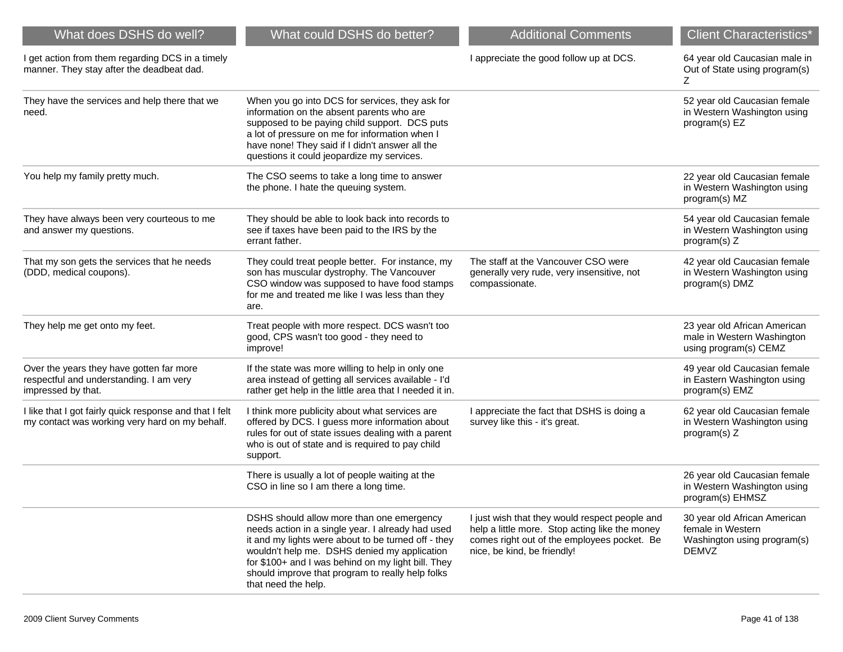| What does DSHS do well?                                                                                   | What could DSHS do better?                                                                                                                                                                                                                                                                                                             | <b>Additional Comments</b>                                                                                                                                                     | <b>Client Characteristics*</b>                                                                   |
|-----------------------------------------------------------------------------------------------------------|----------------------------------------------------------------------------------------------------------------------------------------------------------------------------------------------------------------------------------------------------------------------------------------------------------------------------------------|--------------------------------------------------------------------------------------------------------------------------------------------------------------------------------|--------------------------------------------------------------------------------------------------|
| I get action from them regarding DCS in a timely<br>manner. They stay after the deadbeat dad.             |                                                                                                                                                                                                                                                                                                                                        | I appreciate the good follow up at DCS.                                                                                                                                        | 64 year old Caucasian male in<br>Out of State using program(s)<br>Ζ                              |
| They have the services and help there that we<br>need.                                                    | When you go into DCS for services, they ask for<br>information on the absent parents who are<br>supposed to be paying child support. DCS puts<br>a lot of pressure on me for information when I<br>have none! They said if I didn't answer all the<br>questions it could jeopardize my services.                                       |                                                                                                                                                                                | 52 year old Caucasian female<br>in Western Washington using<br>program(s) EZ                     |
| You help my family pretty much.                                                                           | The CSO seems to take a long time to answer<br>the phone. I hate the queuing system.                                                                                                                                                                                                                                                   |                                                                                                                                                                                | 22 year old Caucasian female<br>in Western Washington using<br>program(s) MZ                     |
| They have always been very courteous to me<br>and answer my questions.                                    | They should be able to look back into records to<br>see if taxes have been paid to the IRS by the<br>errant father.                                                                                                                                                                                                                    |                                                                                                                                                                                | 54 year old Caucasian female<br>in Western Washington using<br>program(s) Z                      |
| That my son gets the services that he needs<br>(DDD, medical coupons).                                    | They could treat people better. For instance, my<br>son has muscular dystrophy. The Vancouver<br>CSO window was supposed to have food stamps<br>for me and treated me like I was less than they<br>are.                                                                                                                                | The staff at the Vancouver CSO were<br>generally very rude, very insensitive, not<br>compassionate.                                                                            | 42 year old Caucasian female<br>in Western Washington using<br>program(s) DMZ                    |
| They help me get onto my feet.                                                                            | Treat people with more respect. DCS wasn't too<br>good, CPS wasn't too good - they need to<br>improve!                                                                                                                                                                                                                                 |                                                                                                                                                                                | 23 year old African American<br>male in Western Washington<br>using program(s) CEMZ              |
| Over the years they have gotten far more<br>respectful and understanding. I am very<br>impressed by that. | If the state was more willing to help in only one<br>area instead of getting all services available - I'd<br>rather get help in the little area that I needed it in.                                                                                                                                                                   |                                                                                                                                                                                | 49 year old Caucasian female<br>in Eastern Washington using<br>program(s) EMZ                    |
| I like that I got fairly quick response and that I felt<br>my contact was working very hard on my behalf. | I think more publicity about what services are<br>offered by DCS. I guess more information about<br>rules for out of state issues dealing with a parent<br>who is out of state and is required to pay child<br>support.                                                                                                                | I appreciate the fact that DSHS is doing a<br>survey like this - it's great.                                                                                                   | 62 year old Caucasian female<br>in Western Washington using<br>program(s) Z                      |
|                                                                                                           | There is usually a lot of people waiting at the<br>CSO in line so I am there a long time.                                                                                                                                                                                                                                              |                                                                                                                                                                                | 26 year old Caucasian female<br>in Western Washington using<br>program(s) EHMSZ                  |
|                                                                                                           | DSHS should allow more than one emergency<br>needs action in a single year. I already had used<br>it and my lights were about to be turned off - they<br>wouldn't help me. DSHS denied my application<br>for \$100+ and I was behind on my light bill. They<br>should improve that program to really help folks<br>that need the help. | I just wish that they would respect people and<br>help a little more. Stop acting like the money<br>comes right out of the employees pocket. Be<br>nice, be kind, be friendly! | 30 year old African American<br>female in Western<br>Washington using program(s)<br><b>DEMVZ</b> |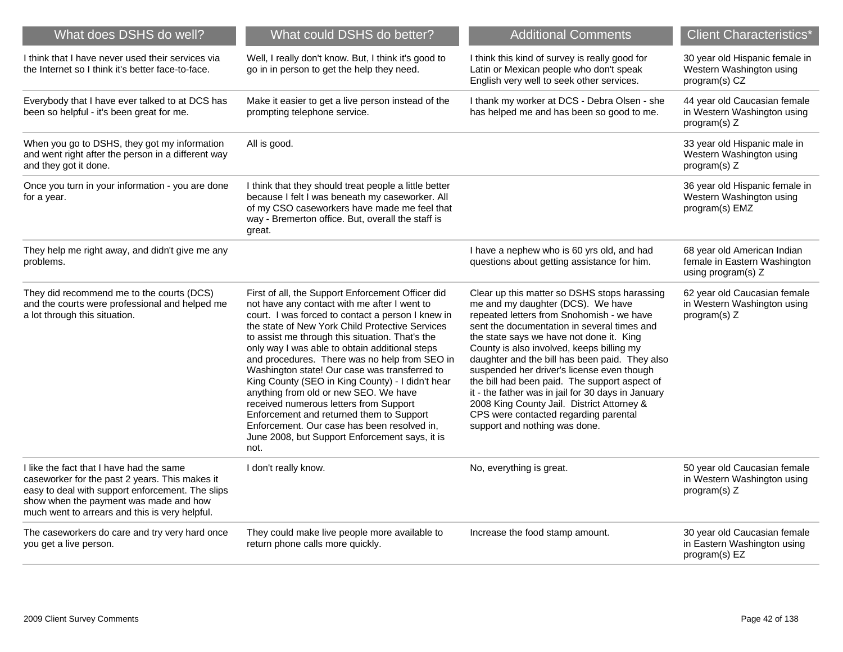| What does DSHS do well?                                                                                                                                                                                                                    | What could DSHS do better?                                                                                                                                                                                                                                                                                                                                                                                                                                                                                                                                                                                                                                                                                   | <b>Additional Comments</b>                                                                                                                                                                                                                                                                                                                                                                                                                                                                                                                                                                            | <b>Client Characteristics*</b>                                                    |
|--------------------------------------------------------------------------------------------------------------------------------------------------------------------------------------------------------------------------------------------|--------------------------------------------------------------------------------------------------------------------------------------------------------------------------------------------------------------------------------------------------------------------------------------------------------------------------------------------------------------------------------------------------------------------------------------------------------------------------------------------------------------------------------------------------------------------------------------------------------------------------------------------------------------------------------------------------------------|-------------------------------------------------------------------------------------------------------------------------------------------------------------------------------------------------------------------------------------------------------------------------------------------------------------------------------------------------------------------------------------------------------------------------------------------------------------------------------------------------------------------------------------------------------------------------------------------------------|-----------------------------------------------------------------------------------|
| I think that I have never used their services via<br>the Internet so I think it's better face-to-face.                                                                                                                                     | Well, I really don't know. But, I think it's good to<br>go in in person to get the help they need.                                                                                                                                                                                                                                                                                                                                                                                                                                                                                                                                                                                                           | I think this kind of survey is really good for<br>Latin or Mexican people who don't speak<br>English very well to seek other services.                                                                                                                                                                                                                                                                                                                                                                                                                                                                | 30 year old Hispanic female in<br>Western Washington using<br>program(s) CZ       |
| Everybody that I have ever talked to at DCS has<br>been so helpful - it's been great for me.                                                                                                                                               | Make it easier to get a live person instead of the<br>prompting telephone service.                                                                                                                                                                                                                                                                                                                                                                                                                                                                                                                                                                                                                           | I thank my worker at DCS - Debra Olsen - she<br>has helped me and has been so good to me.                                                                                                                                                                                                                                                                                                                                                                                                                                                                                                             | 44 year old Caucasian female<br>in Western Washington using<br>program(s) Z       |
| When you go to DSHS, they got my information<br>and went right after the person in a different way<br>and they got it done.                                                                                                                | All is good.                                                                                                                                                                                                                                                                                                                                                                                                                                                                                                                                                                                                                                                                                                 |                                                                                                                                                                                                                                                                                                                                                                                                                                                                                                                                                                                                       | 33 year old Hispanic male in<br>Western Washington using<br>program(s) Z          |
| Once you turn in your information - you are done<br>for a year.                                                                                                                                                                            | I think that they should treat people a little better<br>because I felt I was beneath my caseworker. All<br>of my CSO caseworkers have made me feel that<br>way - Bremerton office. But, overall the staff is<br>great.                                                                                                                                                                                                                                                                                                                                                                                                                                                                                      |                                                                                                                                                                                                                                                                                                                                                                                                                                                                                                                                                                                                       | 36 year old Hispanic female in<br>Western Washington using<br>program(s) EMZ      |
| They help me right away, and didn't give me any<br>problems.                                                                                                                                                                               |                                                                                                                                                                                                                                                                                                                                                                                                                                                                                                                                                                                                                                                                                                              | I have a nephew who is 60 yrs old, and had<br>questions about getting assistance for him.                                                                                                                                                                                                                                                                                                                                                                                                                                                                                                             | 68 year old American Indian<br>female in Eastern Washington<br>using program(s) Z |
| They did recommend me to the courts (DCS)<br>and the courts were professional and helped me<br>a lot through this situation.                                                                                                               | First of all, the Support Enforcement Officer did<br>not have any contact with me after I went to<br>court. I was forced to contact a person I knew in<br>the state of New York Child Protective Services<br>to assist me through this situation. That's the<br>only way I was able to obtain additional steps<br>and procedures. There was no help from SEO in<br>Washington state! Our case was transferred to<br>King County (SEO in King County) - I didn't hear<br>anything from old or new SEO. We have<br>received numerous letters from Support<br>Enforcement and returned them to Support<br>Enforcement. Our case has been resolved in,<br>June 2008, but Support Enforcement says, it is<br>not. | Clear up this matter so DSHS stops harassing<br>me and my daughter (DCS). We have<br>repeated letters from Snohomish - we have<br>sent the documentation in several times and<br>the state says we have not done it. King<br>County is also involved, keeps billing my<br>daughter and the bill has been paid. They also<br>suspended her driver's license even though<br>the bill had been paid. The support aspect of<br>it - the father was in jail for 30 days in January<br>2008 King County Jail. District Attorney &<br>CPS were contacted regarding parental<br>support and nothing was done. | 62 year old Caucasian female<br>in Western Washington using<br>program(s) Z       |
| I like the fact that I have had the same<br>caseworker for the past 2 years. This makes it<br>easy to deal with support enforcement. The slips<br>show when the payment was made and how<br>much went to arrears and this is very helpful. | I don't really know.                                                                                                                                                                                                                                                                                                                                                                                                                                                                                                                                                                                                                                                                                         | No, everything is great.                                                                                                                                                                                                                                                                                                                                                                                                                                                                                                                                                                              | 50 year old Caucasian female<br>in Western Washington using<br>program(s) Z       |
| The caseworkers do care and try very hard once<br>you get a live person.                                                                                                                                                                   | They could make live people more available to<br>return phone calls more quickly.                                                                                                                                                                                                                                                                                                                                                                                                                                                                                                                                                                                                                            | Increase the food stamp amount.                                                                                                                                                                                                                                                                                                                                                                                                                                                                                                                                                                       | 30 year old Caucasian female<br>in Eastern Washington using<br>program(s) EZ      |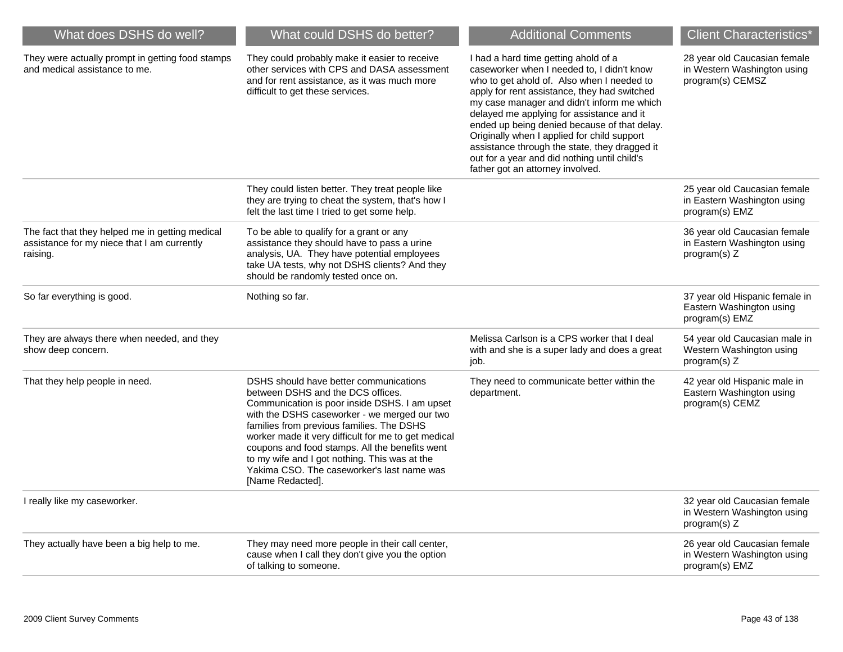| What could DSHS do better?                                                                                                                                                                                                                                                                                                                                                                                                                            | <b>Additional Comments</b>                                                                                                                                                                                                                                                                                                                                                                                                                                                                                      | <b>Client Characteristics*</b>                                                  |
|-------------------------------------------------------------------------------------------------------------------------------------------------------------------------------------------------------------------------------------------------------------------------------------------------------------------------------------------------------------------------------------------------------------------------------------------------------|-----------------------------------------------------------------------------------------------------------------------------------------------------------------------------------------------------------------------------------------------------------------------------------------------------------------------------------------------------------------------------------------------------------------------------------------------------------------------------------------------------------------|---------------------------------------------------------------------------------|
| They could probably make it easier to receive<br>other services with CPS and DASA assessment<br>and for rent assistance, as it was much more<br>difficult to get these services.                                                                                                                                                                                                                                                                      | I had a hard time getting ahold of a<br>caseworker when I needed to, I didn't know<br>who to get ahold of. Also when I needed to<br>apply for rent assistance, they had switched<br>my case manager and didn't inform me which<br>delayed me applying for assistance and it<br>ended up being denied because of that delay.<br>Originally when I applied for child support<br>assistance through the state, they dragged it<br>out for a year and did nothing until child's<br>father got an attorney involved. | 28 year old Caucasian female<br>in Western Washington using<br>program(s) CEMSZ |
| They could listen better. They treat people like<br>they are trying to cheat the system, that's how I<br>felt the last time I tried to get some help.                                                                                                                                                                                                                                                                                                 |                                                                                                                                                                                                                                                                                                                                                                                                                                                                                                                 | 25 year old Caucasian female<br>in Eastern Washington using<br>program(s) EMZ   |
| To be able to qualify for a grant or any<br>assistance they should have to pass a urine<br>analysis, UA. They have potential employees<br>take UA tests, why not DSHS clients? And they<br>should be randomly tested once on.                                                                                                                                                                                                                         |                                                                                                                                                                                                                                                                                                                                                                                                                                                                                                                 | 36 year old Caucasian female<br>in Eastern Washington using<br>program(s) Z     |
| Nothing so far.                                                                                                                                                                                                                                                                                                                                                                                                                                       |                                                                                                                                                                                                                                                                                                                                                                                                                                                                                                                 | 37 year old Hispanic female in<br>Eastern Washington using<br>program(s) EMZ    |
|                                                                                                                                                                                                                                                                                                                                                                                                                                                       | Melissa Carlson is a CPS worker that I deal<br>with and she is a super lady and does a great<br>job.                                                                                                                                                                                                                                                                                                                                                                                                            | 54 year old Caucasian male in<br>Western Washington using<br>program(s) Z       |
| DSHS should have better communications<br>between DSHS and the DCS offices.<br>Communication is poor inside DSHS. I am upset<br>with the DSHS caseworker - we merged our two<br>families from previous families. The DSHS<br>worker made it very difficult for me to get medical<br>coupons and food stamps. All the benefits went<br>to my wife and I got nothing. This was at the<br>Yakima CSO. The caseworker's last name was<br>[Name Redacted]. | They need to communicate better within the<br>department.                                                                                                                                                                                                                                                                                                                                                                                                                                                       | 42 year old Hispanic male in<br>Eastern Washington using<br>program(s) CEMZ     |
|                                                                                                                                                                                                                                                                                                                                                                                                                                                       |                                                                                                                                                                                                                                                                                                                                                                                                                                                                                                                 | 32 year old Caucasian female<br>in Western Washington using<br>program(s) Z     |
| They may need more people in their call center,<br>cause when I call they don't give you the option<br>of talking to someone.                                                                                                                                                                                                                                                                                                                         |                                                                                                                                                                                                                                                                                                                                                                                                                                                                                                                 | 26 year old Caucasian female<br>in Western Washington using<br>program(s) EMZ   |
|                                                                                                                                                                                                                                                                                                                                                                                                                                                       |                                                                                                                                                                                                                                                                                                                                                                                                                                                                                                                 |                                                                                 |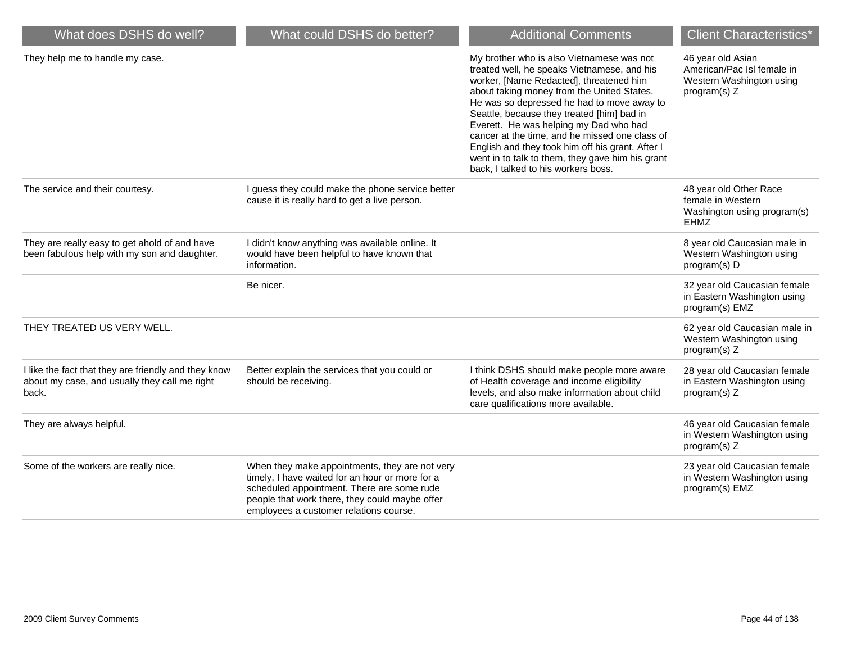| What does DSHS do well?                                                                                        | What could DSHS do better?                                                                                                                                                                                                                  | <b>Additional Comments</b>                                                                                                                                                                                                                                                                                                                                                                                                                                                                                               | <b>Client Characteristics*</b>                                                              |
|----------------------------------------------------------------------------------------------------------------|---------------------------------------------------------------------------------------------------------------------------------------------------------------------------------------------------------------------------------------------|--------------------------------------------------------------------------------------------------------------------------------------------------------------------------------------------------------------------------------------------------------------------------------------------------------------------------------------------------------------------------------------------------------------------------------------------------------------------------------------------------------------------------|---------------------------------------------------------------------------------------------|
| They help me to handle my case.                                                                                |                                                                                                                                                                                                                                             | My brother who is also Vietnamese was not<br>treated well, he speaks Vietnamese, and his<br>worker, [Name Redacted], threatened him<br>about taking money from the United States.<br>He was so depressed he had to move away to<br>Seattle, because they treated [him] bad in<br>Everett. He was helping my Dad who had<br>cancer at the time, and he missed one class of<br>English and they took him off his grant. After I<br>went in to talk to them, they gave him his grant<br>back, I talked to his workers boss. | 46 year old Asian<br>American/Pac Isl female in<br>Western Washington using<br>program(s) Z |
| The service and their courtesy.                                                                                | I guess they could make the phone service better<br>cause it is really hard to get a live person.                                                                                                                                           |                                                                                                                                                                                                                                                                                                                                                                                                                                                                                                                          | 48 year old Other Race<br>female in Western<br>Washington using program(s)<br><b>EHMZ</b>   |
| They are really easy to get ahold of and have<br>been fabulous help with my son and daughter.                  | I didn't know anything was available online. It<br>would have been helpful to have known that<br>information.                                                                                                                               |                                                                                                                                                                                                                                                                                                                                                                                                                                                                                                                          | 8 year old Caucasian male in<br>Western Washington using<br>program(s) D                    |
|                                                                                                                | Be nicer.                                                                                                                                                                                                                                   |                                                                                                                                                                                                                                                                                                                                                                                                                                                                                                                          | 32 year old Caucasian female<br>in Eastern Washington using<br>program(s) EMZ               |
| THEY TREATED US VERY WELL.                                                                                     |                                                                                                                                                                                                                                             |                                                                                                                                                                                                                                                                                                                                                                                                                                                                                                                          | 62 year old Caucasian male in<br>Western Washington using<br>program(s) Z                   |
| I like the fact that they are friendly and they know<br>about my case, and usually they call me right<br>back. | Better explain the services that you could or<br>should be receiving.                                                                                                                                                                       | I think DSHS should make people more aware<br>of Health coverage and income eligibility<br>levels, and also make information about child<br>care qualifications more available.                                                                                                                                                                                                                                                                                                                                          | 28 year old Caucasian female<br>in Eastern Washington using<br>program(s) Z                 |
| They are always helpful.                                                                                       |                                                                                                                                                                                                                                             |                                                                                                                                                                                                                                                                                                                                                                                                                                                                                                                          | 46 year old Caucasian female<br>in Western Washington using<br>program(s) Z                 |
| Some of the workers are really nice.                                                                           | When they make appointments, they are not very<br>timely, I have waited for an hour or more for a<br>scheduled appointment. There are some rude<br>people that work there, they could maybe offer<br>employees a customer relations course. |                                                                                                                                                                                                                                                                                                                                                                                                                                                                                                                          | 23 year old Caucasian female<br>in Western Washington using<br>program(s) EMZ               |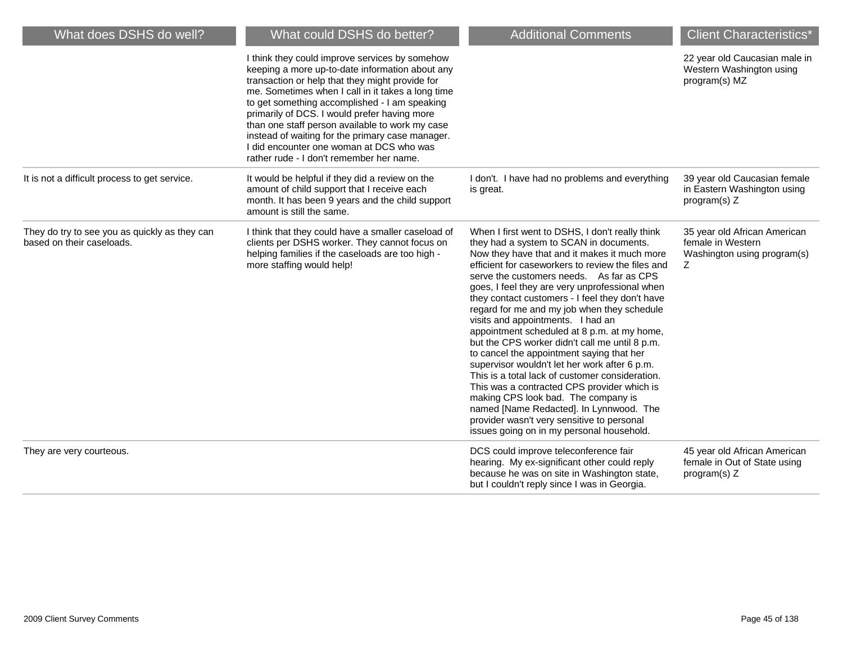| What does DSHS do well?                                                    | What could DSHS do better?                                                                                                                                                                                                                                                                                                                                                                                                                                                                                | <b>Additional Comments</b>                                                                                                                                                                                                                                                                                                                                                                                                                                                                                                                                                                                                                                                                                                                                                                                                                                                                                         | <b>Client Characteristics*</b>                                                        |
|----------------------------------------------------------------------------|-----------------------------------------------------------------------------------------------------------------------------------------------------------------------------------------------------------------------------------------------------------------------------------------------------------------------------------------------------------------------------------------------------------------------------------------------------------------------------------------------------------|--------------------------------------------------------------------------------------------------------------------------------------------------------------------------------------------------------------------------------------------------------------------------------------------------------------------------------------------------------------------------------------------------------------------------------------------------------------------------------------------------------------------------------------------------------------------------------------------------------------------------------------------------------------------------------------------------------------------------------------------------------------------------------------------------------------------------------------------------------------------------------------------------------------------|---------------------------------------------------------------------------------------|
|                                                                            | I think they could improve services by somehow<br>keeping a more up-to-date information about any<br>transaction or help that they might provide for<br>me. Sometimes when I call in it takes a long time<br>to get something accomplished - I am speaking<br>primarily of DCS. I would prefer having more<br>than one staff person available to work my case<br>instead of waiting for the primary case manager.<br>I did encounter one woman at DCS who was<br>rather rude - I don't remember her name. |                                                                                                                                                                                                                                                                                                                                                                                                                                                                                                                                                                                                                                                                                                                                                                                                                                                                                                                    | 22 year old Caucasian male in<br>Western Washington using<br>program(s) MZ            |
| It is not a difficult process to get service.                              | It would be helpful if they did a review on the<br>amount of child support that I receive each<br>month. It has been 9 years and the child support<br>amount is still the same.                                                                                                                                                                                                                                                                                                                           | I don't. I have had no problems and everything<br>is great.                                                                                                                                                                                                                                                                                                                                                                                                                                                                                                                                                                                                                                                                                                                                                                                                                                                        | 39 year old Caucasian female<br>in Eastern Washington using<br>program(s) $Z$         |
| They do try to see you as quickly as they can<br>based on their caseloads. | I think that they could have a smaller caseload of<br>clients per DSHS worker. They cannot focus on<br>helping families if the caseloads are too high -<br>more staffing would help!                                                                                                                                                                                                                                                                                                                      | When I first went to DSHS, I don't really think<br>they had a system to SCAN in documents.<br>Now they have that and it makes it much more<br>efficient for caseworkers to review the files and<br>serve the customers needs. As far as CPS<br>goes, I feel they are very unprofessional when<br>they contact customers - I feel they don't have<br>regard for me and my job when they schedule<br>visits and appointments. I had an<br>appointment scheduled at 8 p.m. at my home,<br>but the CPS worker didn't call me until 8 p.m.<br>to cancel the appointment saying that her<br>supervisor wouldn't let her work after 6 p.m.<br>This is a total lack of customer consideration.<br>This was a contracted CPS provider which is<br>making CPS look bad. The company is<br>named [Name Redacted]. In Lynnwood. The<br>provider wasn't very sensitive to personal<br>issues going on in my personal household. | 35 year old African American<br>female in Western<br>Washington using program(s)<br>Z |
| They are very courteous.                                                   |                                                                                                                                                                                                                                                                                                                                                                                                                                                                                                           | DCS could improve teleconference fair<br>hearing. My ex-significant other could reply<br>because he was on site in Washington state,<br>but I couldn't reply since I was in Georgia.                                                                                                                                                                                                                                                                                                                                                                                                                                                                                                                                                                                                                                                                                                                               | 45 year old African American<br>female in Out of State using<br>program(s) Z          |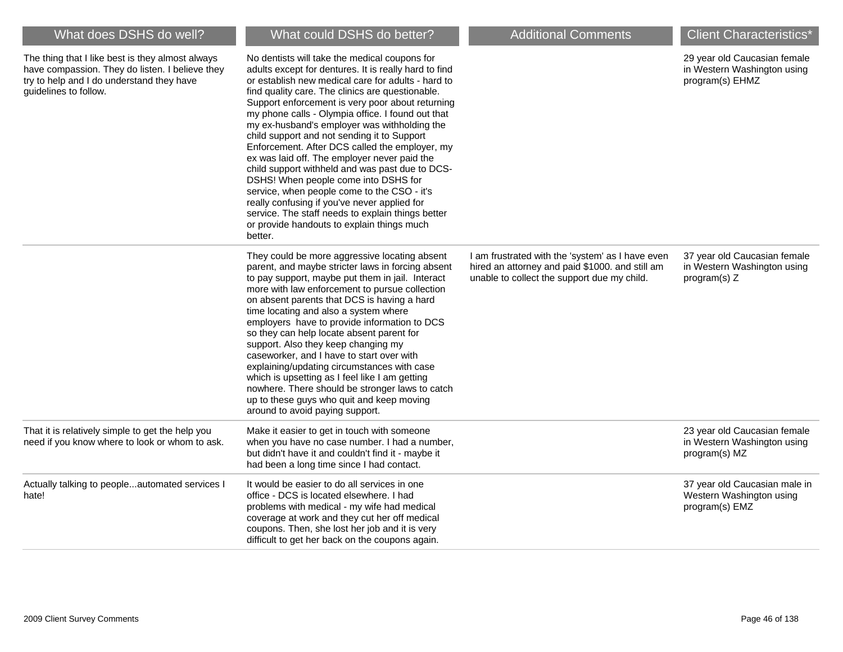| What does DSHS do well?                                                                                                                                                   | What could DSHS do better?                                                                                                                                                                                                                                                                                                                                                                                                                                                                                                                                                                                                                                                                                                                                                                                                         | <b>Additional Comments</b>                                                                                                                         | <b>Client Characteristics</b> *                                                |
|---------------------------------------------------------------------------------------------------------------------------------------------------------------------------|------------------------------------------------------------------------------------------------------------------------------------------------------------------------------------------------------------------------------------------------------------------------------------------------------------------------------------------------------------------------------------------------------------------------------------------------------------------------------------------------------------------------------------------------------------------------------------------------------------------------------------------------------------------------------------------------------------------------------------------------------------------------------------------------------------------------------------|----------------------------------------------------------------------------------------------------------------------------------------------------|--------------------------------------------------------------------------------|
| The thing that I like best is they almost always<br>have compassion. They do listen. I believe they<br>try to help and I do understand they have<br>guidelines to follow. | No dentists will take the medical coupons for<br>adults except for dentures. It is really hard to find<br>or establish new medical care for adults - hard to<br>find quality care. The clinics are questionable.<br>Support enforcement is very poor about returning<br>my phone calls - Olympia office. I found out that<br>my ex-husband's employer was withholding the<br>child support and not sending it to Support<br>Enforcement. After DCS called the employer, my<br>ex was laid off. The employer never paid the<br>child support withheld and was past due to DCS-<br>DSHS! When people come into DSHS for<br>service, when people come to the CSO - it's<br>really confusing if you've never applied for<br>service. The staff needs to explain things better<br>or provide handouts to explain things much<br>better. |                                                                                                                                                    | 29 year old Caucasian female<br>in Western Washington using<br>program(s) EHMZ |
|                                                                                                                                                                           | They could be more aggressive locating absent<br>parent, and maybe stricter laws in forcing absent<br>to pay support, maybe put them in jail. Interact<br>more with law enforcement to pursue collection<br>on absent parents that DCS is having a hard<br>time locating and also a system where<br>employers have to provide information to DCS<br>so they can help locate absent parent for<br>support. Also they keep changing my<br>caseworker, and I have to start over with<br>explaining/updating circumstances with case<br>which is upsetting as I feel like I am getting<br>nowhere. There should be stronger laws to catch<br>up to these guys who quit and keep moving<br>around to avoid paying support.                                                                                                              | I am frustrated with the 'system' as I have even<br>hired an attorney and paid \$1000. and still am<br>unable to collect the support due my child. | 37 year old Caucasian female<br>in Western Washington using<br>program(s) $Z$  |
| That it is relatively simple to get the help you<br>need if you know where to look or whom to ask.                                                                        | Make it easier to get in touch with someone<br>when you have no case number. I had a number,<br>but didn't have it and couldn't find it - maybe it<br>had been a long time since I had contact.                                                                                                                                                                                                                                                                                                                                                                                                                                                                                                                                                                                                                                    |                                                                                                                                                    | 23 year old Caucasian female<br>in Western Washington using<br>program(s) MZ   |
| Actually talking to peopleautomated services I<br>hate!                                                                                                                   | It would be easier to do all services in one<br>office - DCS is located elsewhere. I had<br>problems with medical - my wife had medical<br>coverage at work and they cut her off medical<br>coupons. Then, she lost her job and it is very<br>difficult to get her back on the coupons again.                                                                                                                                                                                                                                                                                                                                                                                                                                                                                                                                      |                                                                                                                                                    | 37 year old Caucasian male in<br>Western Washington using<br>program(s) EMZ    |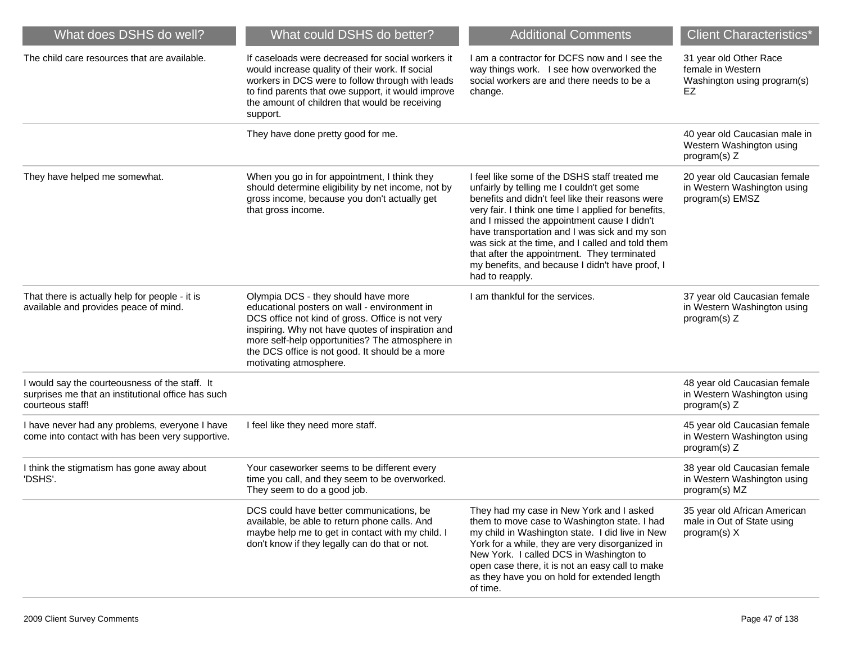| What does DSHS do well?                                                                                                  | What could DSHS do better?                                                                                                                                                                                                                                                                                                   | <b>Additional Comments</b>                                                                                                                                                                                                                                                                                                                                                                                                                                                      | <b>Client Characteristics*</b>                                                   |
|--------------------------------------------------------------------------------------------------------------------------|------------------------------------------------------------------------------------------------------------------------------------------------------------------------------------------------------------------------------------------------------------------------------------------------------------------------------|---------------------------------------------------------------------------------------------------------------------------------------------------------------------------------------------------------------------------------------------------------------------------------------------------------------------------------------------------------------------------------------------------------------------------------------------------------------------------------|----------------------------------------------------------------------------------|
| The child care resources that are available.                                                                             | If caseloads were decreased for social workers it<br>would increase quality of their work. If social<br>workers in DCS were to follow through with leads<br>to find parents that owe support, it would improve<br>the amount of children that would be receiving<br>support.                                                 | I am a contractor for DCFS now and I see the<br>way things work. I see how overworked the<br>social workers are and there needs to be a<br>change.                                                                                                                                                                                                                                                                                                                              | 31 year old Other Race<br>female in Western<br>Washington using program(s)<br>EZ |
|                                                                                                                          | They have done pretty good for me.                                                                                                                                                                                                                                                                                           |                                                                                                                                                                                                                                                                                                                                                                                                                                                                                 | 40 year old Caucasian male in<br>Western Washington using<br>program(s) Z        |
| They have helped me somewhat.                                                                                            | When you go in for appointment, I think they<br>should determine eligibility by net income, not by<br>gross income, because you don't actually get<br>that gross income.                                                                                                                                                     | I feel like some of the DSHS staff treated me<br>unfairly by telling me I couldn't get some<br>benefits and didn't feel like their reasons were<br>very fair. I think one time I applied for benefits,<br>and I missed the appointment cause I didn't<br>have transportation and I was sick and my son<br>was sick at the time, and I called and told them<br>that after the appointment. They terminated<br>my benefits, and because I didn't have proof, I<br>had to reapply. | 20 year old Caucasian female<br>in Western Washington using<br>program(s) EMSZ   |
| That there is actually help for people - it is<br>available and provides peace of mind.                                  | Olympia DCS - they should have more<br>educational posters on wall - environment in<br>DCS office not kind of gross. Office is not very<br>inspiring. Why not have quotes of inspiration and<br>more self-help opportunities? The atmosphere in<br>the DCS office is not good. It should be a more<br>motivating atmosphere. | I am thankful for the services.                                                                                                                                                                                                                                                                                                                                                                                                                                                 | 37 year old Caucasian female<br>in Western Washington using<br>program(s) Z      |
| I would say the courteousness of the staff. It<br>surprises me that an institutional office has such<br>courteous staff! |                                                                                                                                                                                                                                                                                                                              |                                                                                                                                                                                                                                                                                                                                                                                                                                                                                 | 48 year old Caucasian female<br>in Western Washington using<br>program(s) Z      |
| I have never had any problems, everyone I have<br>come into contact with has been very supportive.                       | I feel like they need more staff.                                                                                                                                                                                                                                                                                            |                                                                                                                                                                                                                                                                                                                                                                                                                                                                                 | 45 year old Caucasian female<br>in Western Washington using<br>program(s) Z      |
| I think the stigmatism has gone away about<br>'DSHS'.                                                                    | Your caseworker seems to be different every<br>time you call, and they seem to be overworked.<br>They seem to do a good job.                                                                                                                                                                                                 |                                                                                                                                                                                                                                                                                                                                                                                                                                                                                 | 38 year old Caucasian female<br>in Western Washington using<br>program(s) MZ     |
|                                                                                                                          | DCS could have better communications, be<br>available, be able to return phone calls. And<br>maybe help me to get in contact with my child. I<br>don't know if they legally can do that or not.                                                                                                                              | They had my case in New York and I asked<br>them to move case to Washington state. I had<br>my child in Washington state. I did live in New<br>York for a while, they are very disorganized in<br>New York. I called DCS in Washington to<br>open case there, it is not an easy call to make<br>as they have you on hold for extended length<br>of time.                                                                                                                        | 35 year old African American<br>male in Out of State using<br>program(s) X       |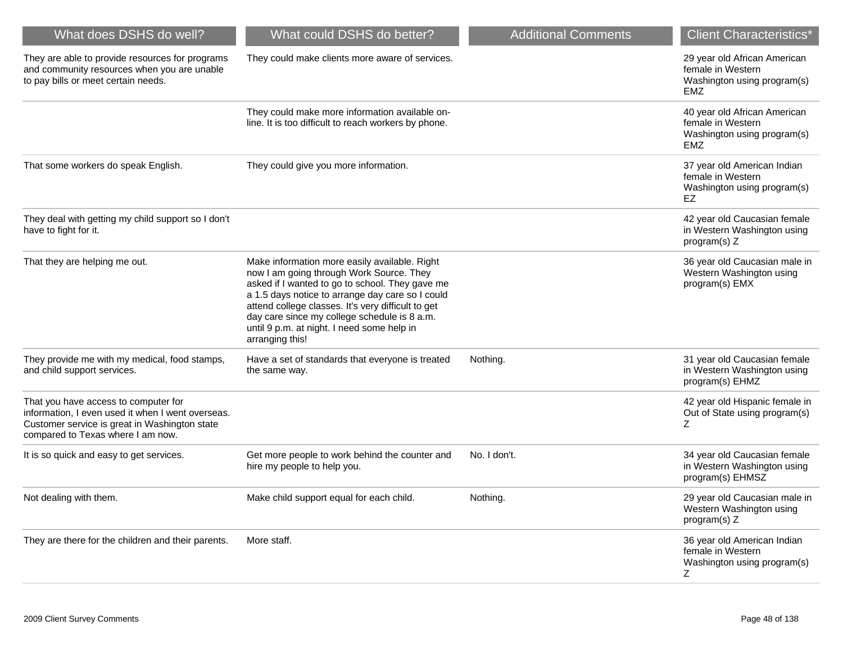| What does DSHS do well?                                                                                                                                                         | What could DSHS do better?                                                                                                                                                                                                                                                                                                                                              | <b>Additional Comments</b> | <b>Client Characteristics*</b>                                                                 |
|---------------------------------------------------------------------------------------------------------------------------------------------------------------------------------|-------------------------------------------------------------------------------------------------------------------------------------------------------------------------------------------------------------------------------------------------------------------------------------------------------------------------------------------------------------------------|----------------------------|------------------------------------------------------------------------------------------------|
| They are able to provide resources for programs<br>and community resources when you are unable<br>to pay bills or meet certain needs.                                           | They could make clients more aware of services.                                                                                                                                                                                                                                                                                                                         |                            | 29 year old African American<br>female in Western<br>Washington using program(s)<br>EMZ        |
|                                                                                                                                                                                 | They could make more information available on-<br>line. It is too difficult to reach workers by phone.                                                                                                                                                                                                                                                                  |                            | 40 year old African American<br>female in Western<br>Washington using program(s)<br><b>EMZ</b> |
| That some workers do speak English.                                                                                                                                             | They could give you more information.                                                                                                                                                                                                                                                                                                                                   |                            | 37 year old American Indian<br>female in Western<br>Washington using program(s)<br>EZ          |
| They deal with getting my child support so I don't<br>have to fight for it.                                                                                                     |                                                                                                                                                                                                                                                                                                                                                                         |                            | 42 year old Caucasian female<br>in Western Washington using<br>program(s) Z                    |
| That they are helping me out.                                                                                                                                                   | Make information more easily available. Right<br>now I am going through Work Source. They<br>asked if I wanted to go to school. They gave me<br>a 1.5 days notice to arrange day care so I could<br>attend college classes. It's very difficult to get<br>day care since my college schedule is 8 a.m.<br>until 9 p.m. at night. I need some help in<br>arranging this! |                            | 36 year old Caucasian male in<br>Western Washington using<br>program(s) EMX                    |
| They provide me with my medical, food stamps,<br>and child support services.                                                                                                    | Have a set of standards that everyone is treated<br>the same way.                                                                                                                                                                                                                                                                                                       | Nothing.                   | 31 year old Caucasian female<br>in Western Washington using<br>program(s) EHMZ                 |
| That you have access to computer for<br>information, I even used it when I went overseas.<br>Customer service is great in Washington state<br>compared to Texas where I am now. |                                                                                                                                                                                                                                                                                                                                                                         |                            | 42 year old Hispanic female in<br>Out of State using program(s)<br>Ζ                           |
| It is so quick and easy to get services.                                                                                                                                        | Get more people to work behind the counter and<br>hire my people to help you.                                                                                                                                                                                                                                                                                           | No. I don't.               | 34 year old Caucasian female<br>in Western Washington using<br>program(s) EHMSZ                |
| Not dealing with them.                                                                                                                                                          | Make child support equal for each child.                                                                                                                                                                                                                                                                                                                                | Nothing.                   | 29 year old Caucasian male in<br>Western Washington using<br>program(s) Z                      |
| They are there for the children and their parents.                                                                                                                              | More staff.                                                                                                                                                                                                                                                                                                                                                             |                            | 36 year old American Indian<br>female in Western<br>Washington using program(s)<br>Ζ           |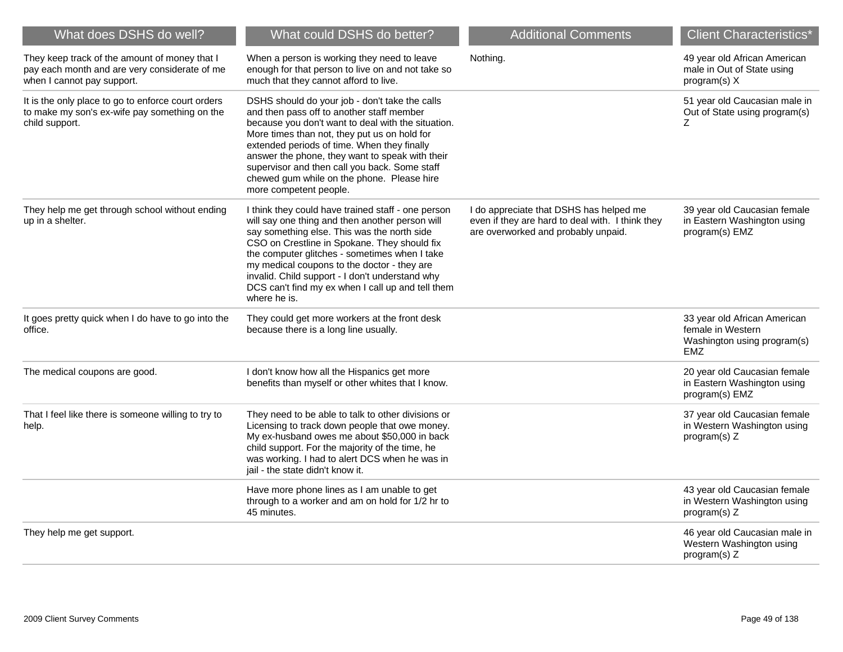| What does DSHS do well?                                                                                                      | What could DSHS do better?                                                                                                                                                                                                                                                                                                                                                                                                   | <b>Additional Comments</b>                                                                                                         | <b>Client Characteristics*</b>                                                           |
|------------------------------------------------------------------------------------------------------------------------------|------------------------------------------------------------------------------------------------------------------------------------------------------------------------------------------------------------------------------------------------------------------------------------------------------------------------------------------------------------------------------------------------------------------------------|------------------------------------------------------------------------------------------------------------------------------------|------------------------------------------------------------------------------------------|
| They keep track of the amount of money that I<br>pay each month and are very considerate of me<br>when I cannot pay support. | When a person is working they need to leave<br>enough for that person to live on and not take so<br>much that they cannot afford to live.                                                                                                                                                                                                                                                                                    | Nothing.                                                                                                                           | 49 year old African American<br>male in Out of State using<br>program(s) X               |
| It is the only place to go to enforce court orders<br>to make my son's ex-wife pay something on the<br>child support.        | DSHS should do your job - don't take the calls<br>and then pass off to another staff member<br>because you don't want to deal with the situation.<br>More times than not, they put us on hold for<br>extended periods of time. When they finally<br>answer the phone, they want to speak with their<br>supervisor and then call you back. Some staff<br>chewed gum while on the phone. Please hire<br>more competent people. |                                                                                                                                    | 51 year old Caucasian male in<br>Out of State using program(s)<br>Z.                     |
| They help me get through school without ending<br>up in a shelter.                                                           | I think they could have trained staff - one person<br>will say one thing and then another person will<br>say something else. This was the north side<br>CSO on Crestline in Spokane. They should fix<br>the computer glitches - sometimes when I take<br>my medical coupons to the doctor - they are<br>invalid. Child support - I don't understand why<br>DCS can't find my ex when I call up and tell them<br>where he is. | I do appreciate that DSHS has helped me<br>even if they are hard to deal with. I think they<br>are overworked and probably unpaid. | 39 year old Caucasian female<br>in Eastern Washington using<br>program(s) EMZ            |
| It goes pretty quick when I do have to go into the<br>office.                                                                | They could get more workers at the front desk<br>because there is a long line usually.                                                                                                                                                                                                                                                                                                                                       |                                                                                                                                    | 33 year old African American<br>female in Western<br>Washington using program(s)<br>EMZ. |
| The medical coupons are good.                                                                                                | I don't know how all the Hispanics get more<br>benefits than myself or other whites that I know.                                                                                                                                                                                                                                                                                                                             |                                                                                                                                    | 20 year old Caucasian female<br>in Eastern Washington using<br>program(s) EMZ            |
| That I feel like there is someone willing to try to<br>help.                                                                 | They need to be able to talk to other divisions or<br>Licensing to track down people that owe money.<br>My ex-husband owes me about \$50,000 in back<br>child support. For the majority of the time, he<br>was working. I had to alert DCS when he was in<br>jail - the state didn't know it.                                                                                                                                |                                                                                                                                    | 37 year old Caucasian female<br>in Western Washington using<br>program(s) Z              |
|                                                                                                                              | Have more phone lines as I am unable to get<br>through to a worker and am on hold for 1/2 hr to<br>45 minutes.                                                                                                                                                                                                                                                                                                               |                                                                                                                                    | 43 year old Caucasian female<br>in Western Washington using<br>program(s) Z              |
| They help me get support.                                                                                                    |                                                                                                                                                                                                                                                                                                                                                                                                                              |                                                                                                                                    | 46 year old Caucasian male in<br>Western Washington using<br>program(s) Z                |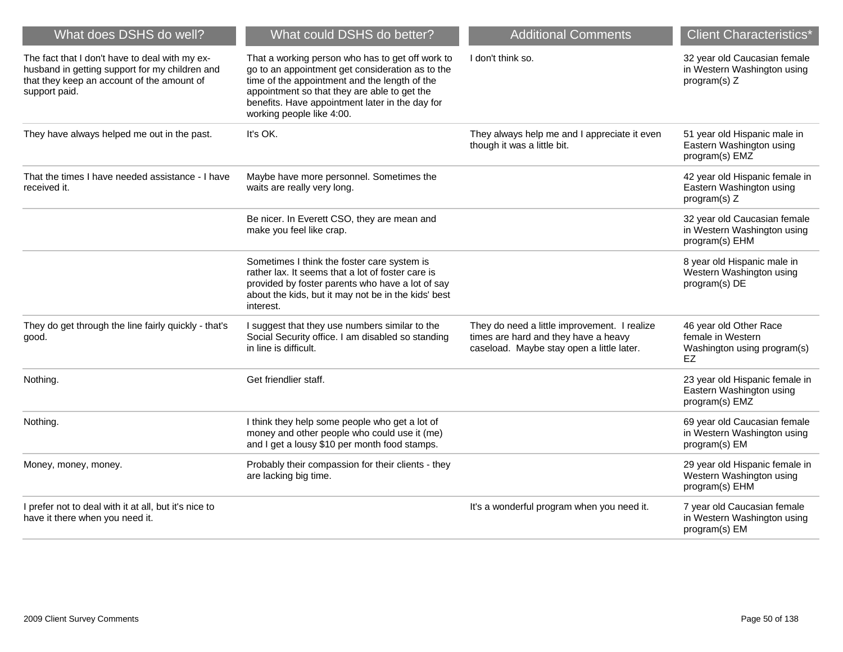| What does DSHS do well?                                                                                                                                         | What could DSHS do better?                                                                                                                                                                                                                                                            | <b>Additional Comments</b>                                                                                                        | <b>Client Characteristics*</b>                                                   |
|-----------------------------------------------------------------------------------------------------------------------------------------------------------------|---------------------------------------------------------------------------------------------------------------------------------------------------------------------------------------------------------------------------------------------------------------------------------------|-----------------------------------------------------------------------------------------------------------------------------------|----------------------------------------------------------------------------------|
| The fact that I don't have to deal with my ex-<br>husband in getting support for my children and<br>that they keep an account of the amount of<br>support paid. | That a working person who has to get off work to<br>go to an appointment get consideration as to the<br>time of the appointment and the length of the<br>appointment so that they are able to get the<br>benefits. Have appointment later in the day for<br>working people like 4:00. | I don't think so.                                                                                                                 | 32 year old Caucasian female<br>in Western Washington using<br>program(s) Z      |
| They have always helped me out in the past.                                                                                                                     | It's OK.                                                                                                                                                                                                                                                                              | They always help me and I appreciate it even<br>though it was a little bit.                                                       | 51 year old Hispanic male in<br>Eastern Washington using<br>program(s) EMZ       |
| That the times I have needed assistance - I have<br>received it.                                                                                                | Maybe have more personnel. Sometimes the<br>waits are really very long.                                                                                                                                                                                                               |                                                                                                                                   | 42 year old Hispanic female in<br>Eastern Washington using<br>program(s) Z       |
|                                                                                                                                                                 | Be nicer. In Everett CSO, they are mean and<br>make you feel like crap.                                                                                                                                                                                                               |                                                                                                                                   | 32 year old Caucasian female<br>in Western Washington using<br>program(s) EHM    |
|                                                                                                                                                                 | Sometimes I think the foster care system is<br>rather lax. It seems that a lot of foster care is<br>provided by foster parents who have a lot of say<br>about the kids, but it may not be in the kids' best<br>interest.                                                              |                                                                                                                                   | 8 year old Hispanic male in<br>Western Washington using<br>program(s) DE         |
| They do get through the line fairly quickly - that's<br>good.                                                                                                   | I suggest that they use numbers similar to the<br>Social Security office. I am disabled so standing<br>in line is difficult.                                                                                                                                                          | They do need a little improvement. I realize<br>times are hard and they have a heavy<br>caseload. Maybe stay open a little later. | 46 year old Other Race<br>female in Western<br>Washington using program(s)<br>EZ |
| Nothing.                                                                                                                                                        | Get friendlier staff.                                                                                                                                                                                                                                                                 |                                                                                                                                   | 23 year old Hispanic female in<br>Eastern Washington using<br>program(s) EMZ     |
| Nothing.                                                                                                                                                        | I think they help some people who get a lot of<br>money and other people who could use it (me)<br>and I get a lousy \$10 per month food stamps.                                                                                                                                       |                                                                                                                                   | 69 year old Caucasian female<br>in Western Washington using<br>program(s) EM     |
| Money, money, money.                                                                                                                                            | Probably their compassion for their clients - they<br>are lacking big time.                                                                                                                                                                                                           |                                                                                                                                   | 29 year old Hispanic female in<br>Western Washington using<br>program(s) EHM     |
| I prefer not to deal with it at all, but it's nice to<br>have it there when you need it.                                                                        |                                                                                                                                                                                                                                                                                       | It's a wonderful program when you need it.                                                                                        | 7 year old Caucasian female<br>in Western Washington using<br>program(s) EM      |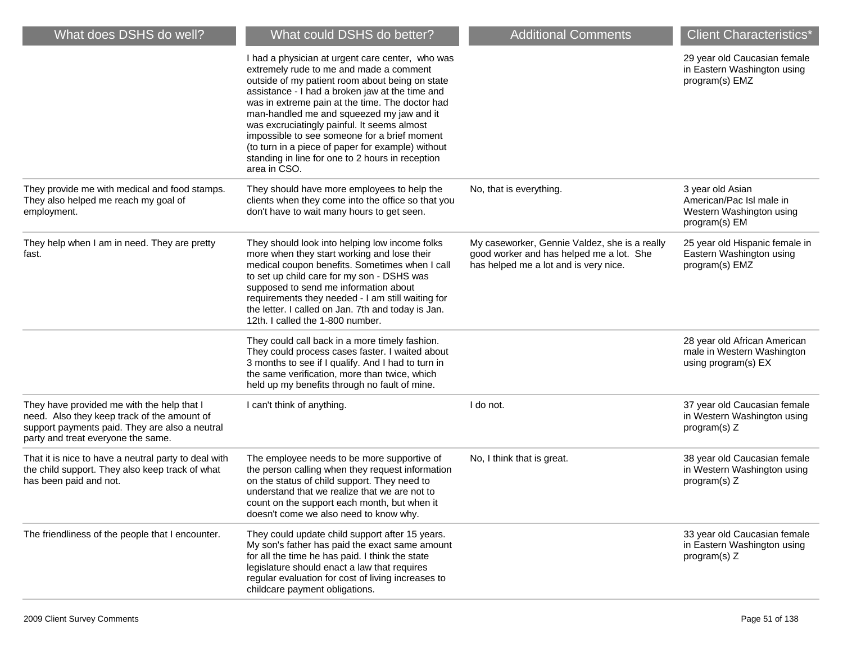| What does DSHS do well?                                                                                                                                                           | What could DSHS do better?                                                                                                                                                                                                                                                                                                                                                                                                                                                                                                | <b>Additional Comments</b>                                                                                                         | <b>Client Characteristics*</b>                                                            |
|-----------------------------------------------------------------------------------------------------------------------------------------------------------------------------------|---------------------------------------------------------------------------------------------------------------------------------------------------------------------------------------------------------------------------------------------------------------------------------------------------------------------------------------------------------------------------------------------------------------------------------------------------------------------------------------------------------------------------|------------------------------------------------------------------------------------------------------------------------------------|-------------------------------------------------------------------------------------------|
|                                                                                                                                                                                   | I had a physician at urgent care center, who was<br>extremely rude to me and made a comment<br>outside of my patient room about being on state<br>assistance - I had a broken jaw at the time and<br>was in extreme pain at the time. The doctor had<br>man-handled me and squeezed my jaw and it<br>was excruciatingly painful. It seems almost<br>impossible to see someone for a brief moment<br>(to turn in a piece of paper for example) without<br>standing in line for one to 2 hours in reception<br>area in CSO. |                                                                                                                                    | 29 year old Caucasian female<br>in Eastern Washington using<br>program(s) EMZ             |
| They provide me with medical and food stamps.<br>They also helped me reach my goal of<br>employment.                                                                              | They should have more employees to help the<br>clients when they come into the office so that you<br>don't have to wait many hours to get seen.                                                                                                                                                                                                                                                                                                                                                                           | No, that is everything.                                                                                                            | 3 year old Asian<br>American/Pac Isl male in<br>Western Washington using<br>program(s) EM |
| They help when I am in need. They are pretty<br>fast.                                                                                                                             | They should look into helping low income folks<br>more when they start working and lose their<br>medical coupon benefits. Sometimes when I call<br>to set up child care for my son - DSHS was<br>supposed to send me information about<br>requirements they needed - I am still waiting for<br>the letter. I called on Jan. 7th and today is Jan.<br>12th. I called the 1-800 number.                                                                                                                                     | My caseworker, Gennie Valdez, she is a really<br>good worker and has helped me a lot. She<br>has helped me a lot and is very nice. | 25 year old Hispanic female in<br>Eastern Washington using<br>program(s) EMZ              |
|                                                                                                                                                                                   | They could call back in a more timely fashion.<br>They could process cases faster. I waited about<br>3 months to see if I qualify. And I had to turn in<br>the same verification, more than twice, which<br>held up my benefits through no fault of mine.                                                                                                                                                                                                                                                                 |                                                                                                                                    | 28 year old African American<br>male in Western Washington<br>using program(s) EX         |
| They have provided me with the help that I<br>need. Also they keep track of the amount of<br>support payments paid. They are also a neutral<br>party and treat everyone the same. | I can't think of anything.                                                                                                                                                                                                                                                                                                                                                                                                                                                                                                | I do not.                                                                                                                          | 37 year old Caucasian female<br>in Western Washington using<br>program(s) Z               |
| That it is nice to have a neutral party to deal with<br>the child support. They also keep track of what<br>has been paid and not.                                                 | The employee needs to be more supportive of<br>the person calling when they request information<br>on the status of child support. They need to<br>understand that we realize that we are not to<br>count on the support each month, but when it<br>doesn't come we also need to know why.                                                                                                                                                                                                                                | No, I think that is great.                                                                                                         | 38 year old Caucasian female<br>in Western Washington using<br>program(s) Z               |
| The friendliness of the people that I encounter.                                                                                                                                  | They could update child support after 15 years.<br>My son's father has paid the exact same amount<br>for all the time he has paid. I think the state<br>legislature should enact a law that requires<br>regular evaluation for cost of living increases to<br>childcare payment obligations.                                                                                                                                                                                                                              |                                                                                                                                    | 33 year old Caucasian female<br>in Eastern Washington using<br>program(s) Z               |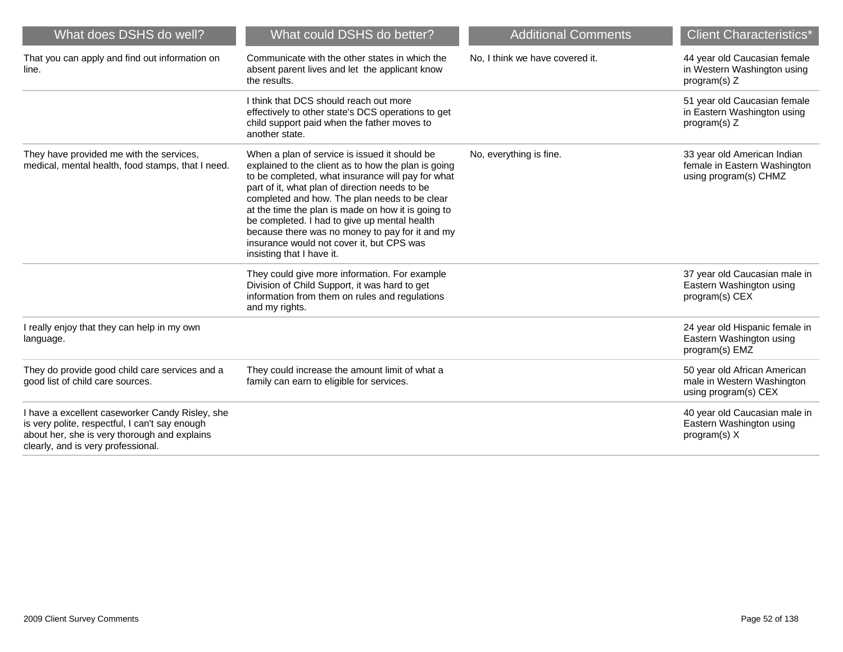| What does DSHS do well?                                                                                                                                                                 | What could DSHS do better?                                                                                                                                                                                                                                                                                                                                                                                                                                                                      | <b>Additional Comments</b>      | <b>Client Characteristics*</b>                                                       |
|-----------------------------------------------------------------------------------------------------------------------------------------------------------------------------------------|-------------------------------------------------------------------------------------------------------------------------------------------------------------------------------------------------------------------------------------------------------------------------------------------------------------------------------------------------------------------------------------------------------------------------------------------------------------------------------------------------|---------------------------------|--------------------------------------------------------------------------------------|
| That you can apply and find out information on<br>line.                                                                                                                                 | Communicate with the other states in which the<br>absent parent lives and let the applicant know<br>the results.                                                                                                                                                                                                                                                                                                                                                                                | No. I think we have covered it. | 44 year old Caucasian female<br>in Western Washington using<br>program(s) $Z$        |
|                                                                                                                                                                                         | I think that DCS should reach out more<br>effectively to other state's DCS operations to get<br>child support paid when the father moves to<br>another state.                                                                                                                                                                                                                                                                                                                                   |                                 | 51 year old Caucasian female<br>in Eastern Washington using<br>program(s) $Z$        |
| They have provided me with the services,<br>medical, mental health, food stamps, that I need.                                                                                           | When a plan of service is issued it should be<br>explained to the client as to how the plan is going<br>to be completed, what insurance will pay for what<br>part of it, what plan of direction needs to be<br>completed and how. The plan needs to be clear<br>at the time the plan is made on how it is going to<br>be completed. I had to give up mental health<br>because there was no money to pay for it and my<br>insurance would not cover it, but CPS was<br>insisting that I have it. | No, everything is fine.         | 33 year old American Indian<br>female in Eastern Washington<br>using program(s) CHMZ |
|                                                                                                                                                                                         | They could give more information. For example<br>Division of Child Support, it was hard to get<br>information from them on rules and regulations<br>and my rights.                                                                                                                                                                                                                                                                                                                              |                                 | 37 year old Caucasian male in<br>Eastern Washington using<br>program(s) CEX          |
| I really enjoy that they can help in my own<br>language.                                                                                                                                |                                                                                                                                                                                                                                                                                                                                                                                                                                                                                                 |                                 | 24 year old Hispanic female in<br>Eastern Washington using<br>program(s) EMZ         |
| They do provide good child care services and a<br>good list of child care sources.                                                                                                      | They could increase the amount limit of what a<br>family can earn to eligible for services.                                                                                                                                                                                                                                                                                                                                                                                                     |                                 | 50 year old African American<br>male in Western Washington<br>using program(s) CEX   |
| I have a excellent caseworker Candy Risley, she<br>is very polite, respectful, I can't say enough<br>about her, she is very thorough and explains<br>clearly, and is very professional. |                                                                                                                                                                                                                                                                                                                                                                                                                                                                                                 |                                 | 40 year old Caucasian male in<br>Eastern Washington using<br>program(s) X            |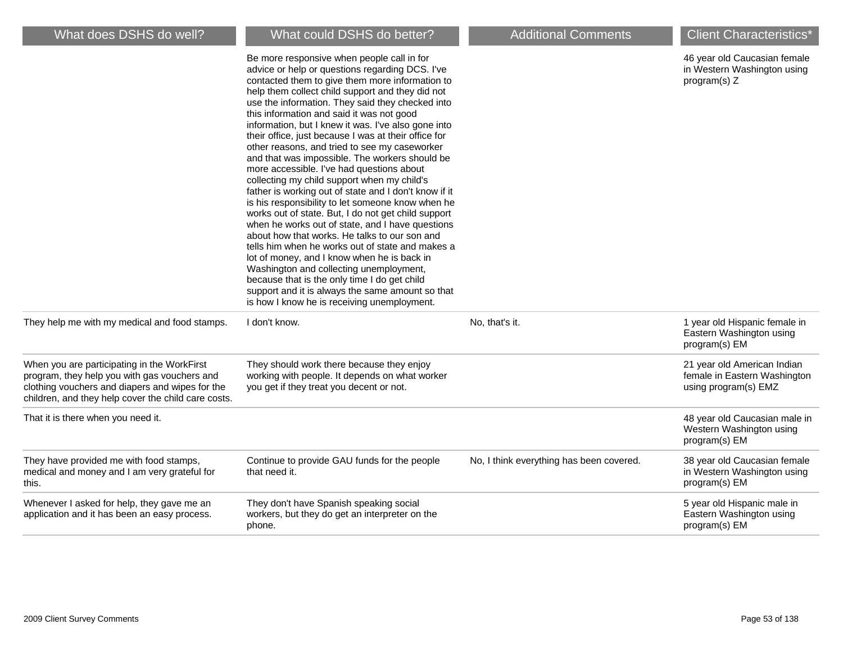| What does DSHS do well?                                                                                                                                                                               | What could DSHS do better?                                                                                                                                                                                                                                                                                                                                                                                                                                                                                                                                                                                                                                                                                                                                                                                                                                                                                                                                                                                                                                                                                                                                                                     | <b>Additional Comments</b>               | <b>Client Characteristics*</b>                                                      |
|-------------------------------------------------------------------------------------------------------------------------------------------------------------------------------------------------------|------------------------------------------------------------------------------------------------------------------------------------------------------------------------------------------------------------------------------------------------------------------------------------------------------------------------------------------------------------------------------------------------------------------------------------------------------------------------------------------------------------------------------------------------------------------------------------------------------------------------------------------------------------------------------------------------------------------------------------------------------------------------------------------------------------------------------------------------------------------------------------------------------------------------------------------------------------------------------------------------------------------------------------------------------------------------------------------------------------------------------------------------------------------------------------------------|------------------------------------------|-------------------------------------------------------------------------------------|
|                                                                                                                                                                                                       | Be more responsive when people call in for<br>advice or help or questions regarding DCS. I've<br>contacted them to give them more information to<br>help them collect child support and they did not<br>use the information. They said they checked into<br>this information and said it was not good<br>information, but I knew it was. I've also gone into<br>their office, just because I was at their office for<br>other reasons, and tried to see my caseworker<br>and that was impossible. The workers should be<br>more accessible. I've had questions about<br>collecting my child support when my child's<br>father is working out of state and I don't know if it<br>is his responsibility to let someone know when he<br>works out of state. But, I do not get child support<br>when he works out of state, and I have questions<br>about how that works. He talks to our son and<br>tells him when he works out of state and makes a<br>lot of money, and I know when he is back in<br>Washington and collecting unemployment,<br>because that is the only time I do get child<br>support and it is always the same amount so that<br>is how I know he is receiving unemployment. |                                          | 46 year old Caucasian female<br>in Western Washington using<br>program(s) $Z$       |
| They help me with my medical and food stamps.                                                                                                                                                         | I don't know.                                                                                                                                                                                                                                                                                                                                                                                                                                                                                                                                                                                                                                                                                                                                                                                                                                                                                                                                                                                                                                                                                                                                                                                  | No, that's it.                           | 1 year old Hispanic female in<br>Eastern Washington using<br>program(s) EM          |
| When you are participating in the WorkFirst<br>program, they help you with gas vouchers and<br>clothing vouchers and diapers and wipes for the<br>children, and they help cover the child care costs. | They should work there because they enjoy<br>working with people. It depends on what worker<br>you get if they treat you decent or not.                                                                                                                                                                                                                                                                                                                                                                                                                                                                                                                                                                                                                                                                                                                                                                                                                                                                                                                                                                                                                                                        |                                          | 21 year old American Indian<br>female in Eastern Washington<br>using program(s) EMZ |
| That it is there when you need it.                                                                                                                                                                    |                                                                                                                                                                                                                                                                                                                                                                                                                                                                                                                                                                                                                                                                                                                                                                                                                                                                                                                                                                                                                                                                                                                                                                                                |                                          | 48 year old Caucasian male in<br>Western Washington using<br>program(s) EM          |
| They have provided me with food stamps,<br>medical and money and I am very grateful for<br>this.                                                                                                      | Continue to provide GAU funds for the people<br>that need it.                                                                                                                                                                                                                                                                                                                                                                                                                                                                                                                                                                                                                                                                                                                                                                                                                                                                                                                                                                                                                                                                                                                                  | No, I think everything has been covered. | 38 year old Caucasian female<br>in Western Washington using<br>program(s) EM        |
| Whenever I asked for help, they gave me an<br>application and it has been an easy process.                                                                                                            | They don't have Spanish speaking social<br>workers, but they do get an interpreter on the<br>phone.                                                                                                                                                                                                                                                                                                                                                                                                                                                                                                                                                                                                                                                                                                                                                                                                                                                                                                                                                                                                                                                                                            |                                          | 5 year old Hispanic male in<br>Eastern Washington using<br>program(s) EM            |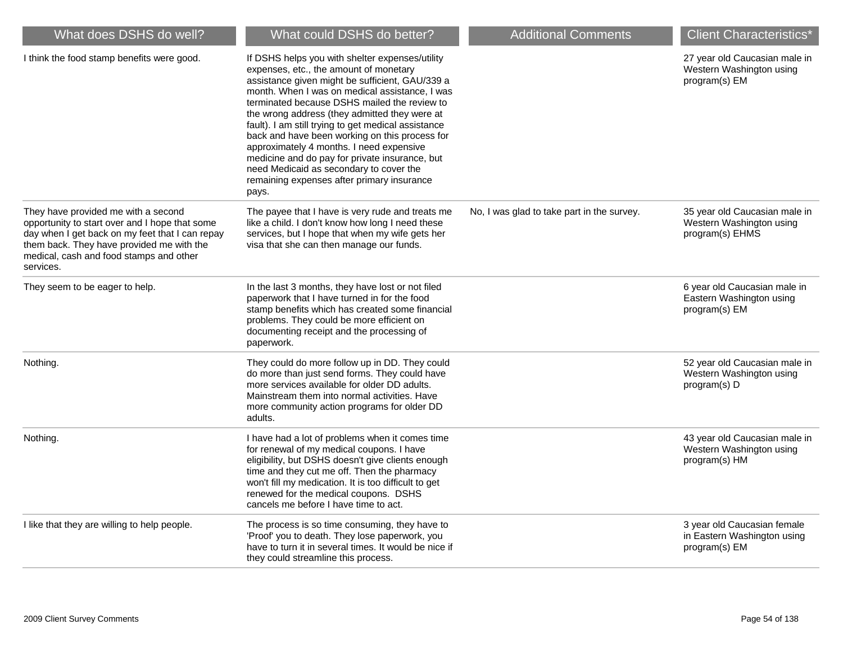| What does DSHS do well?                                                                                                                                                                                                                       | What could DSHS do better?                                                                                                                                                                                                                                                                                                                                                                                                                                                                                                                                                                               | <b>Additional Comments</b>                 | <b>Client Characteristics*</b>                                               |
|-----------------------------------------------------------------------------------------------------------------------------------------------------------------------------------------------------------------------------------------------|----------------------------------------------------------------------------------------------------------------------------------------------------------------------------------------------------------------------------------------------------------------------------------------------------------------------------------------------------------------------------------------------------------------------------------------------------------------------------------------------------------------------------------------------------------------------------------------------------------|--------------------------------------------|------------------------------------------------------------------------------|
| I think the food stamp benefits were good.                                                                                                                                                                                                    | If DSHS helps you with shelter expenses/utility<br>expenses, etc., the amount of monetary<br>assistance given might be sufficient, GAU/339 a<br>month. When I was on medical assistance, I was<br>terminated because DSHS mailed the review to<br>the wrong address (they admitted they were at<br>fault). I am still trying to get medical assistance<br>back and have been working on this process for<br>approximately 4 months. I need expensive<br>medicine and do pay for private insurance, but<br>need Medicaid as secondary to cover the<br>remaining expenses after primary insurance<br>pays. |                                            | 27 year old Caucasian male in<br>Western Washington using<br>program(s) EM   |
| They have provided me with a second<br>opportunity to start over and I hope that some<br>day when I get back on my feet that I can repay<br>them back. They have provided me with the<br>medical, cash and food stamps and other<br>services. | The payee that I have is very rude and treats me<br>like a child. I don't know how long I need these<br>services, but I hope that when my wife gets her<br>visa that she can then manage our funds.                                                                                                                                                                                                                                                                                                                                                                                                      | No, I was glad to take part in the survey. | 35 year old Caucasian male in<br>Western Washington using<br>program(s) EHMS |
| They seem to be eager to help.                                                                                                                                                                                                                | In the last 3 months, they have lost or not filed<br>paperwork that I have turned in for the food<br>stamp benefits which has created some financial<br>problems. They could be more efficient on<br>documenting receipt and the processing of<br>paperwork.                                                                                                                                                                                                                                                                                                                                             |                                            | 6 year old Caucasian male in<br>Eastern Washington using<br>program(s) EM    |
| Nothing.                                                                                                                                                                                                                                      | They could do more follow up in DD. They could<br>do more than just send forms. They could have<br>more services available for older DD adults.<br>Mainstream them into normal activities. Have<br>more community action programs for older DD<br>adults.                                                                                                                                                                                                                                                                                                                                                |                                            | 52 year old Caucasian male in<br>Western Washington using<br>program(s) D    |
| Nothing.                                                                                                                                                                                                                                      | I have had a lot of problems when it comes time<br>for renewal of my medical coupons. I have<br>eligibility, but DSHS doesn't give clients enough<br>time and they cut me off. Then the pharmacy<br>won't fill my medication. It is too difficult to get<br>renewed for the medical coupons. DSHS<br>cancels me before I have time to act.                                                                                                                                                                                                                                                               |                                            | 43 year old Caucasian male in<br>Western Washington using<br>program(s) HM   |
| I like that they are willing to help people.                                                                                                                                                                                                  | The process is so time consuming, they have to<br>'Proof' you to death. They lose paperwork, you<br>have to turn it in several times. It would be nice if<br>they could streamline this process.                                                                                                                                                                                                                                                                                                                                                                                                         |                                            | 3 year old Caucasian female<br>in Eastern Washington using<br>program(s) EM  |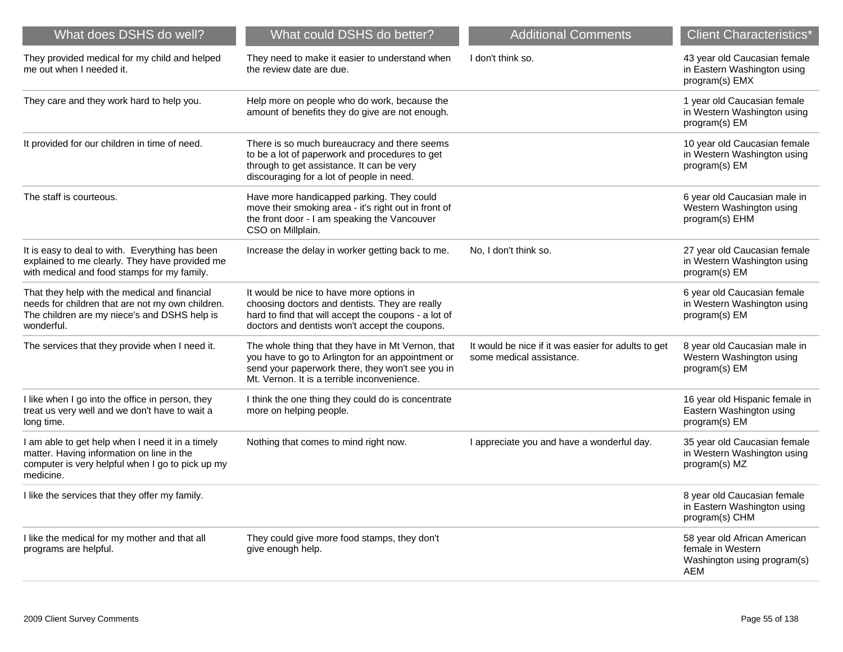| What does DSHS do well?                                                                                                                                         | What could DSHS do better?                                                                                                                                                                                | <b>Additional Comments</b>                                                      | <b>Client Characteristics</b> <sup>*</sup>                                              |
|-----------------------------------------------------------------------------------------------------------------------------------------------------------------|-----------------------------------------------------------------------------------------------------------------------------------------------------------------------------------------------------------|---------------------------------------------------------------------------------|-----------------------------------------------------------------------------------------|
| They provided medical for my child and helped<br>me out when I needed it.                                                                                       | They need to make it easier to understand when<br>the review date are due.                                                                                                                                | I don't think so.                                                               | 43 year old Caucasian female<br>in Eastern Washington using<br>program(s) EMX           |
| They care and they work hard to help you.                                                                                                                       | Help more on people who do work, because the<br>amount of benefits they do give are not enough.                                                                                                           |                                                                                 | 1 year old Caucasian female<br>in Western Washington using<br>program(s) EM             |
| It provided for our children in time of need.                                                                                                                   | There is so much bureaucracy and there seems<br>to be a lot of paperwork and procedures to get<br>through to get assistance. It can be very<br>discouraging for a lot of people in need.                  |                                                                                 | 10 year old Caucasian female<br>in Western Washington using<br>program(s) EM            |
| The staff is courteous.                                                                                                                                         | Have more handicapped parking. They could<br>move their smoking area - it's right out in front of<br>the front door - I am speaking the Vancouver<br>CSO on Millplain.                                    |                                                                                 | 6 year old Caucasian male in<br>Western Washington using<br>program(s) EHM              |
| It is easy to deal to with. Everything has been<br>explained to me clearly. They have provided me<br>with medical and food stamps for my family.                | Increase the delay in worker getting back to me.                                                                                                                                                          | No, I don't think so.                                                           | 27 year old Caucasian female<br>in Western Washington using<br>program(s) EM            |
| That they help with the medical and financial<br>needs for children that are not my own children.<br>The children are my niece's and DSHS help is<br>wonderful. | It would be nice to have more options in<br>choosing doctors and dentists. They are really<br>hard to find that will accept the coupons - a lot of<br>doctors and dentists won't accept the coupons.      |                                                                                 | 6 year old Caucasian female<br>in Western Washington using<br>program(s) EM             |
| The services that they provide when I need it.                                                                                                                  | The whole thing that they have in Mt Vernon, that<br>you have to go to Arlington for an appointment or<br>send your paperwork there, they won't see you in<br>Mt. Vernon. It is a terrible inconvenience. | It would be nice if it was easier for adults to get<br>some medical assistance. | 8 year old Caucasian male in<br>Western Washington using<br>program(s) EM               |
| I like when I go into the office in person, they<br>treat us very well and we don't have to wait a<br>long time.                                                | I think the one thing they could do is concentrate<br>more on helping people.                                                                                                                             |                                                                                 | 16 year old Hispanic female in<br>Eastern Washington using<br>program(s) EM             |
| I am able to get help when I need it in a timely<br>matter. Having information on line in the<br>computer is very helpful when I go to pick up my<br>medicine.  | Nothing that comes to mind right now.                                                                                                                                                                     | I appreciate you and have a wonderful day.                                      | 35 year old Caucasian female<br>in Western Washington using<br>program(s) MZ            |
| I like the services that they offer my family.                                                                                                                  |                                                                                                                                                                                                           |                                                                                 | 8 year old Caucasian female<br>in Eastern Washington using<br>program(s) CHM            |
| I like the medical for my mother and that all<br>programs are helpful.                                                                                          | They could give more food stamps, they don't<br>give enough help.                                                                                                                                         |                                                                                 | 58 year old African American<br>female in Western<br>Washington using program(s)<br>AEM |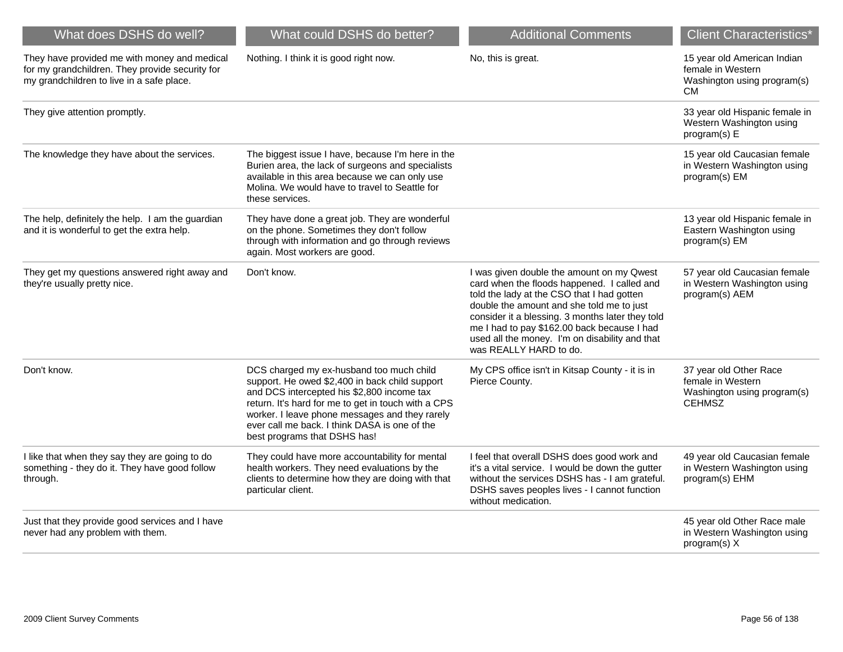| What does DSHS do well?                                                                                                                      | What could DSHS do better?                                                                                                                                                                                                                                                                                                         | <b>Additional Comments</b>                                                                                                                                                                                                                                                                                                                                         | <b>Client Characteristics*</b>                                                               |
|----------------------------------------------------------------------------------------------------------------------------------------------|------------------------------------------------------------------------------------------------------------------------------------------------------------------------------------------------------------------------------------------------------------------------------------------------------------------------------------|--------------------------------------------------------------------------------------------------------------------------------------------------------------------------------------------------------------------------------------------------------------------------------------------------------------------------------------------------------------------|----------------------------------------------------------------------------------------------|
| They have provided me with money and medical<br>for my grandchildren. They provide security for<br>my grandchildren to live in a safe place. | Nothing. I think it is good right now.                                                                                                                                                                                                                                                                                             | No, this is great.                                                                                                                                                                                                                                                                                                                                                 | 15 year old American Indian<br>female in Western<br>Washington using program(s)<br><b>CM</b> |
| They give attention promptly.                                                                                                                |                                                                                                                                                                                                                                                                                                                                    |                                                                                                                                                                                                                                                                                                                                                                    | 33 year old Hispanic female in<br>Western Washington using<br>program(s) E                   |
| The knowledge they have about the services.                                                                                                  | The biggest issue I have, because I'm here in the<br>Burien area, the lack of surgeons and specialists<br>available in this area because we can only use<br>Molina. We would have to travel to Seattle for<br>these services.                                                                                                      |                                                                                                                                                                                                                                                                                                                                                                    | 15 year old Caucasian female<br>in Western Washington using<br>program(s) EM                 |
| The help, definitely the help. I am the guardian<br>and it is wonderful to get the extra help.                                               | They have done a great job. They are wonderful<br>on the phone. Sometimes they don't follow<br>through with information and go through reviews<br>again. Most workers are good.                                                                                                                                                    |                                                                                                                                                                                                                                                                                                                                                                    | 13 year old Hispanic female in<br>Eastern Washington using<br>program(s) EM                  |
| They get my questions answered right away and<br>they're usually pretty nice.                                                                | Don't know.                                                                                                                                                                                                                                                                                                                        | I was given double the amount on my Qwest<br>card when the floods happened. I called and<br>told the lady at the CSO that I had gotten<br>double the amount and she told me to just<br>consider it a blessing. 3 months later they told<br>me I had to pay \$162.00 back because I had<br>used all the money. I'm on disability and that<br>was REALLY HARD to do. | 57 year old Caucasian female<br>in Western Washington using<br>program(s) AEM                |
| Don't know.                                                                                                                                  | DCS charged my ex-husband too much child<br>support. He owed \$2,400 in back child support<br>and DCS intercepted his \$2,800 income tax<br>return. It's hard for me to get in touch with a CPS<br>worker. I leave phone messages and they rarely<br>ever call me back. I think DASA is one of the<br>best programs that DSHS has! | My CPS office isn't in Kitsap County - it is in<br>Pierce County.                                                                                                                                                                                                                                                                                                  | 37 year old Other Race<br>female in Western<br>Washington using program(s)<br><b>CEHMSZ</b>  |
| I like that when they say they are going to do<br>something - they do it. They have good follow<br>through.                                  | They could have more accountability for mental<br>health workers. They need evaluations by the<br>clients to determine how they are doing with that<br>particular client.                                                                                                                                                          | I feel that overall DSHS does good work and<br>it's a vital service. I would be down the gutter<br>without the services DSHS has - I am grateful.<br>DSHS saves peoples lives - I cannot function<br>without medication.                                                                                                                                           | 49 year old Caucasian female<br>in Western Washington using<br>program(s) EHM                |
| Just that they provide good services and I have<br>never had any problem with them.                                                          |                                                                                                                                                                                                                                                                                                                                    |                                                                                                                                                                                                                                                                                                                                                                    | 45 year old Other Race male<br>in Western Washington using<br>program(s) X                   |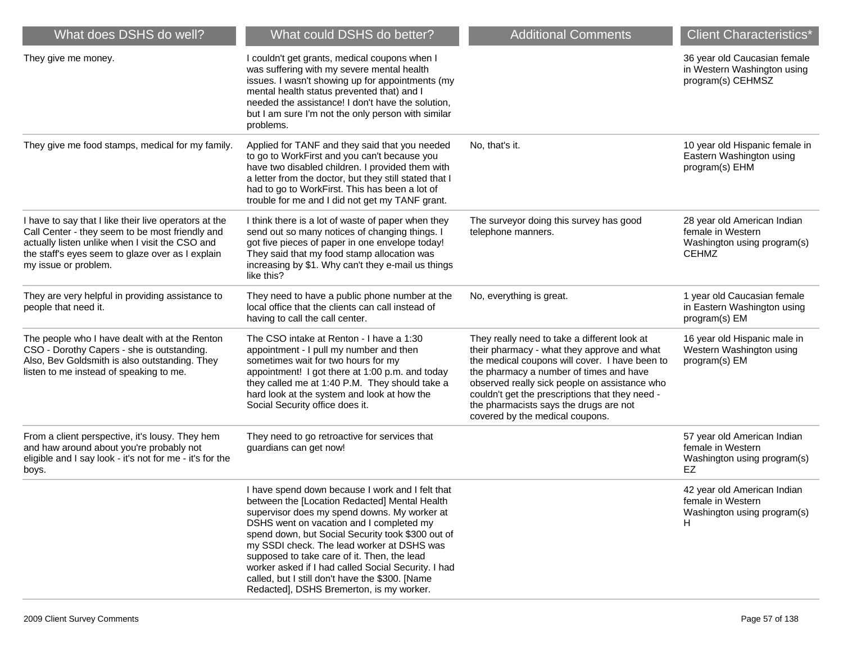| What does DSHS do well?                                                                                                                                                                                                                 | What could DSHS do better?                                                                                                                                                                                                                                                                                                                                                                                                                                                                            | <b>Additional Comments</b>                                                                                                                                                                                                                                                                                                                                                | <b>Client Characteristics*</b>                                                                  |
|-----------------------------------------------------------------------------------------------------------------------------------------------------------------------------------------------------------------------------------------|-------------------------------------------------------------------------------------------------------------------------------------------------------------------------------------------------------------------------------------------------------------------------------------------------------------------------------------------------------------------------------------------------------------------------------------------------------------------------------------------------------|---------------------------------------------------------------------------------------------------------------------------------------------------------------------------------------------------------------------------------------------------------------------------------------------------------------------------------------------------------------------------|-------------------------------------------------------------------------------------------------|
| They give me money.                                                                                                                                                                                                                     | I couldn't get grants, medical coupons when I<br>was suffering with my severe mental health<br>issues. I wasn't showing up for appointments (my<br>mental health status prevented that) and I<br>needed the assistance! I don't have the solution,<br>but I am sure I'm not the only person with similar<br>problems.                                                                                                                                                                                 |                                                                                                                                                                                                                                                                                                                                                                           | 36 year old Caucasian female<br>in Western Washington using<br>program(s) CEHMSZ                |
| They give me food stamps, medical for my family.                                                                                                                                                                                        | Applied for TANF and they said that you needed<br>to go to WorkFirst and you can't because you<br>have two disabled children. I provided them with<br>a letter from the doctor, but they still stated that I<br>had to go to WorkFirst. This has been a lot of<br>trouble for me and I did not get my TANF grant.                                                                                                                                                                                     | No, that's it.                                                                                                                                                                                                                                                                                                                                                            | 10 year old Hispanic female in<br>Eastern Washington using<br>program(s) EHM                    |
| I have to say that I like their live operators at the<br>Call Center - they seem to be most friendly and<br>actually listen unlike when I visit the CSO and<br>the staff's eyes seem to glaze over as I explain<br>my issue or problem. | I think there is a lot of waste of paper when they<br>send out so many notices of changing things. I<br>got five pieces of paper in one envelope today!<br>They said that my food stamp allocation was<br>increasing by \$1. Why can't they e-mail us things<br>like this?                                                                                                                                                                                                                            | The surveyor doing this survey has good<br>telephone manners.                                                                                                                                                                                                                                                                                                             | 28 year old American Indian<br>female in Western<br>Washington using program(s)<br><b>CEHMZ</b> |
| They are very helpful in providing assistance to<br>people that need it.                                                                                                                                                                | They need to have a public phone number at the<br>local office that the clients can call instead of<br>having to call the call center.                                                                                                                                                                                                                                                                                                                                                                | No, everything is great.                                                                                                                                                                                                                                                                                                                                                  | 1 year old Caucasian female<br>in Eastern Washington using<br>program(s) EM                     |
| The people who I have dealt with at the Renton<br>CSO - Dorothy Capers - she is outstanding.<br>Also, Bev Goldsmith is also outstanding. They<br>listen to me instead of speaking to me.                                                | The CSO intake at Renton - I have a 1:30<br>appointment - I pull my number and then<br>sometimes wait for two hours for my<br>appointment! I got there at 1:00 p.m. and today<br>they called me at 1:40 P.M. They should take a<br>hard look at the system and look at how the<br>Social Security office does it.                                                                                                                                                                                     | They really need to take a different look at<br>their pharmacy - what they approve and what<br>the medical coupons will cover. I have been to<br>the pharmacy a number of times and have<br>observed really sick people on assistance who<br>couldn't get the prescriptions that they need -<br>the pharmacists says the drugs are not<br>covered by the medical coupons. | 16 year old Hispanic male in<br>Western Washington using<br>program(s) EM                       |
| From a client perspective, it's lousy. They hem<br>and haw around about you're probably not<br>eligible and I say look - it's not for me - it's for the<br>boys.                                                                        | They need to go retroactive for services that<br>guardians can get now!                                                                                                                                                                                                                                                                                                                                                                                                                               |                                                                                                                                                                                                                                                                                                                                                                           | 57 year old American Indian<br>female in Western<br>Washington using program(s)<br>EZ.          |
|                                                                                                                                                                                                                                         | I have spend down because I work and I felt that<br>between the [Location Redacted] Mental Health<br>supervisor does my spend downs. My worker at<br>DSHS went on vacation and I completed my<br>spend down, but Social Security took \$300 out of<br>my SSDI check. The lead worker at DSHS was<br>supposed to take care of it. Then, the lead<br>worker asked if I had called Social Security. I had<br>called, but I still don't have the \$300. [Name<br>Redacted], DSHS Bremerton, is my worker. |                                                                                                                                                                                                                                                                                                                                                                           | 42 year old American Indian<br>female in Western<br>Washington using program(s)<br>H            |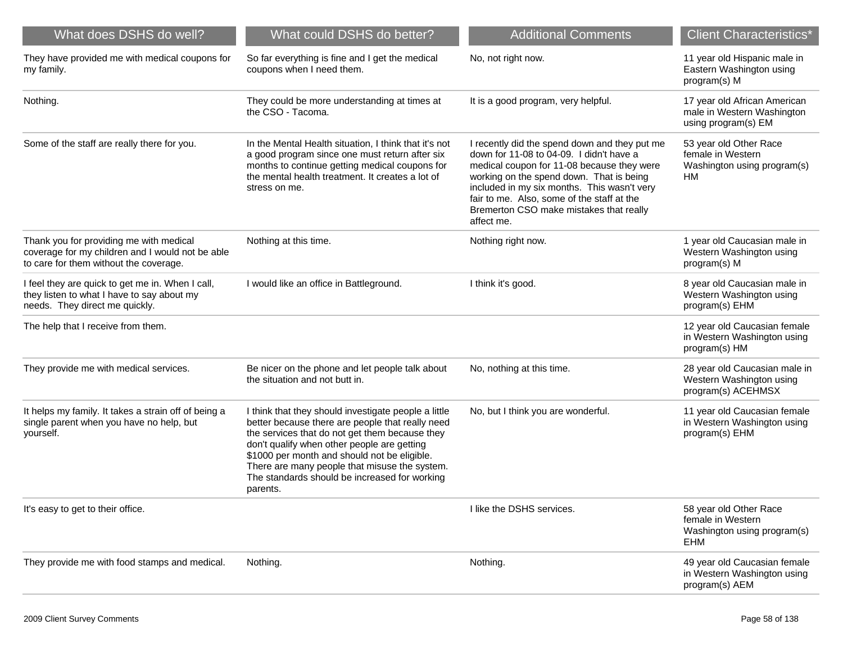| What does DSHS do well?                                                                                                               | What could DSHS do better?                                                                                                                                                                                                                                                                                                                                              | <b>Additional Comments</b>                                                                                                                                                                                                                                                                                                                | <b>Client Characteristics*</b>                                                    |
|---------------------------------------------------------------------------------------------------------------------------------------|-------------------------------------------------------------------------------------------------------------------------------------------------------------------------------------------------------------------------------------------------------------------------------------------------------------------------------------------------------------------------|-------------------------------------------------------------------------------------------------------------------------------------------------------------------------------------------------------------------------------------------------------------------------------------------------------------------------------------------|-----------------------------------------------------------------------------------|
| They have provided me with medical coupons for<br>my family.                                                                          | So far everything is fine and I get the medical<br>coupons when I need them.                                                                                                                                                                                                                                                                                            | No, not right now.                                                                                                                                                                                                                                                                                                                        | 11 year old Hispanic male in<br>Eastern Washington using<br>program(s) M          |
| Nothing.                                                                                                                              | They could be more understanding at times at<br>the CSO - Tacoma.                                                                                                                                                                                                                                                                                                       | It is a good program, very helpful.                                                                                                                                                                                                                                                                                                       | 17 year old African American<br>male in Western Washington<br>using program(s) EM |
| Some of the staff are really there for you.                                                                                           | In the Mental Health situation, I think that it's not<br>a good program since one must return after six<br>months to continue getting medical coupons for<br>the mental health treatment. It creates a lot of<br>stress on me.                                                                                                                                          | I recently did the spend down and they put me<br>down for 11-08 to 04-09. I didn't have a<br>medical coupon for 11-08 because they were<br>working on the spend down. That is being<br>included in my six months. This wasn't very<br>fair to me. Also, some of the staff at the<br>Bremerton CSO make mistakes that really<br>affect me. | 53 year old Other Race<br>female in Western<br>Washington using program(s)<br>HM  |
| Thank you for providing me with medical<br>coverage for my children and I would not be able<br>to care for them without the coverage. | Nothing at this time.                                                                                                                                                                                                                                                                                                                                                   | Nothing right now.                                                                                                                                                                                                                                                                                                                        | 1 year old Caucasian male in<br>Western Washington using<br>program(s) M          |
| I feel they are quick to get me in. When I call,<br>they listen to what I have to say about my<br>needs. They direct me quickly.      | I would like an office in Battleground.                                                                                                                                                                                                                                                                                                                                 | I think it's good.                                                                                                                                                                                                                                                                                                                        | 8 year old Caucasian male in<br>Western Washington using<br>program(s) EHM        |
| The help that I receive from them.                                                                                                    |                                                                                                                                                                                                                                                                                                                                                                         |                                                                                                                                                                                                                                                                                                                                           | 12 year old Caucasian female<br>in Western Washington using<br>program(s) HM      |
| They provide me with medical services.                                                                                                | Be nicer on the phone and let people talk about<br>the situation and not butt in.                                                                                                                                                                                                                                                                                       | No, nothing at this time.                                                                                                                                                                                                                                                                                                                 | 28 year old Caucasian male in<br>Western Washington using<br>program(s) ACEHMSX   |
| It helps my family. It takes a strain off of being a<br>single parent when you have no help, but<br>yourself.                         | I think that they should investigate people a little<br>better because there are people that really need<br>the services that do not get them because they<br>don't qualify when other people are getting<br>\$1000 per month and should not be eligible.<br>There are many people that misuse the system.<br>The standards should be increased for working<br>parents. | No, but I think you are wonderful.                                                                                                                                                                                                                                                                                                        | 11 year old Caucasian female<br>in Western Washington using<br>program(s) EHM     |
| It's easy to get to their office.                                                                                                     |                                                                                                                                                                                                                                                                                                                                                                         | I like the DSHS services.                                                                                                                                                                                                                                                                                                                 | 58 year old Other Race<br>female in Western<br>Washington using program(s)<br>EHM |
| They provide me with food stamps and medical.                                                                                         | Nothing.                                                                                                                                                                                                                                                                                                                                                                | Nothing.                                                                                                                                                                                                                                                                                                                                  | 49 year old Caucasian female<br>in Western Washington using<br>program(s) AEM     |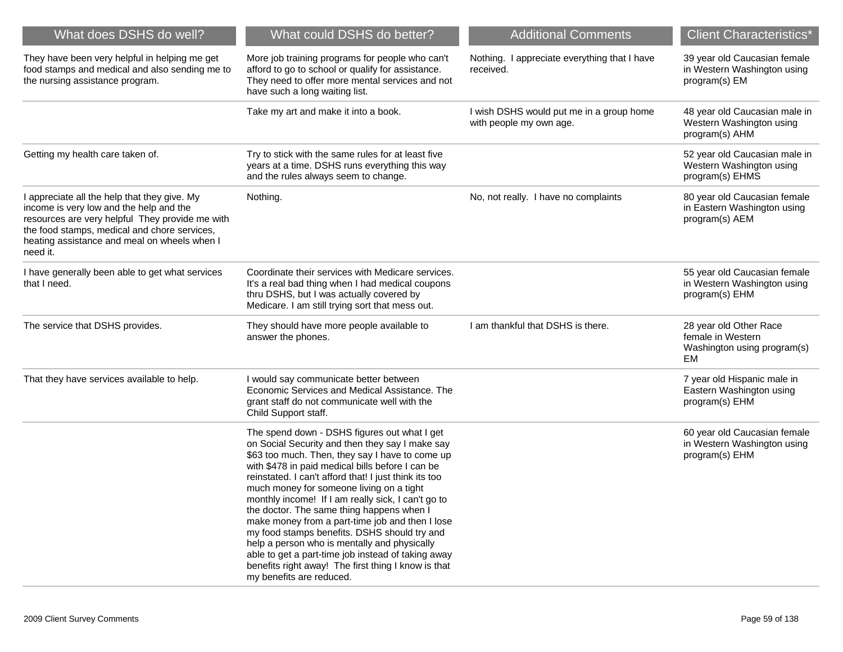| What does DSHS do well?                                                                                                                                                                                                                                | What could DSHS do better?                                                                                                                                                                                                                                                                                                                                                                                                                                                                                                                                                                                                                                                                                 | <b>Additional Comments</b>                                          | <b>Client Characteristics*</b>                                                          |
|--------------------------------------------------------------------------------------------------------------------------------------------------------------------------------------------------------------------------------------------------------|------------------------------------------------------------------------------------------------------------------------------------------------------------------------------------------------------------------------------------------------------------------------------------------------------------------------------------------------------------------------------------------------------------------------------------------------------------------------------------------------------------------------------------------------------------------------------------------------------------------------------------------------------------------------------------------------------------|---------------------------------------------------------------------|-----------------------------------------------------------------------------------------|
| They have been very helpful in helping me get<br>food stamps and medical and also sending me to<br>the nursing assistance program.                                                                                                                     | More job training programs for people who can't<br>afford to go to school or qualify for assistance.<br>They need to offer more mental services and not<br>have such a long waiting list.                                                                                                                                                                                                                                                                                                                                                                                                                                                                                                                  | Nothing. I appreciate everything that I have<br>received.           | 39 year old Caucasian female<br>in Western Washington using<br>program(s) EM            |
|                                                                                                                                                                                                                                                        | Take my art and make it into a book.                                                                                                                                                                                                                                                                                                                                                                                                                                                                                                                                                                                                                                                                       | I wish DSHS would put me in a group home<br>with people my own age. | 48 year old Caucasian male in<br>Western Washington using<br>program(s) AHM             |
| Getting my health care taken of.                                                                                                                                                                                                                       | Try to stick with the same rules for at least five<br>years at a time. DSHS runs everything this way<br>and the rules always seem to change.                                                                                                                                                                                                                                                                                                                                                                                                                                                                                                                                                               |                                                                     | 52 year old Caucasian male in<br>Western Washington using<br>program(s) EHMS            |
| I appreciate all the help that they give. My<br>income is very low and the help and the<br>resources are very helpful They provide me with<br>the food stamps, medical and chore services,<br>heating assistance and meal on wheels when I<br>need it. | Nothing.                                                                                                                                                                                                                                                                                                                                                                                                                                                                                                                                                                                                                                                                                                   | No, not really. I have no complaints                                | 80 year old Caucasian female<br>in Eastern Washington using<br>program(s) AEM           |
| I have generally been able to get what services<br>that I need.                                                                                                                                                                                        | Coordinate their services with Medicare services.<br>It's a real bad thing when I had medical coupons<br>thru DSHS, but I was actually covered by<br>Medicare. I am still trying sort that mess out.                                                                                                                                                                                                                                                                                                                                                                                                                                                                                                       |                                                                     | 55 year old Caucasian female<br>in Western Washington using<br>program(s) EHM           |
| The service that DSHS provides.                                                                                                                                                                                                                        | They should have more people available to<br>answer the phones.                                                                                                                                                                                                                                                                                                                                                                                                                                                                                                                                                                                                                                            | I am thankful that DSHS is there.                                   | 28 year old Other Race<br>female in Western<br>Washington using program(s)<br><b>EM</b> |
| That they have services available to help.                                                                                                                                                                                                             | I would say communicate better between<br>Economic Services and Medical Assistance. The<br>grant staff do not communicate well with the<br>Child Support staff.                                                                                                                                                                                                                                                                                                                                                                                                                                                                                                                                            |                                                                     | 7 year old Hispanic male in<br>Eastern Washington using<br>program(s) EHM               |
|                                                                                                                                                                                                                                                        | The spend down - DSHS figures out what I get<br>on Social Security and then they say I make say<br>\$63 too much. Then, they say I have to come up<br>with \$478 in paid medical bills before I can be<br>reinstated. I can't afford that! I just think its too<br>much money for someone living on a tight<br>monthly income! If I am really sick, I can't go to<br>the doctor. The same thing happens when I<br>make money from a part-time job and then I lose<br>my food stamps benefits. DSHS should try and<br>help a person who is mentally and physically<br>able to get a part-time job instead of taking away<br>benefits right away! The first thing I know is that<br>my benefits are reduced. |                                                                     | 60 year old Caucasian female<br>in Western Washington using<br>program(s) EHM           |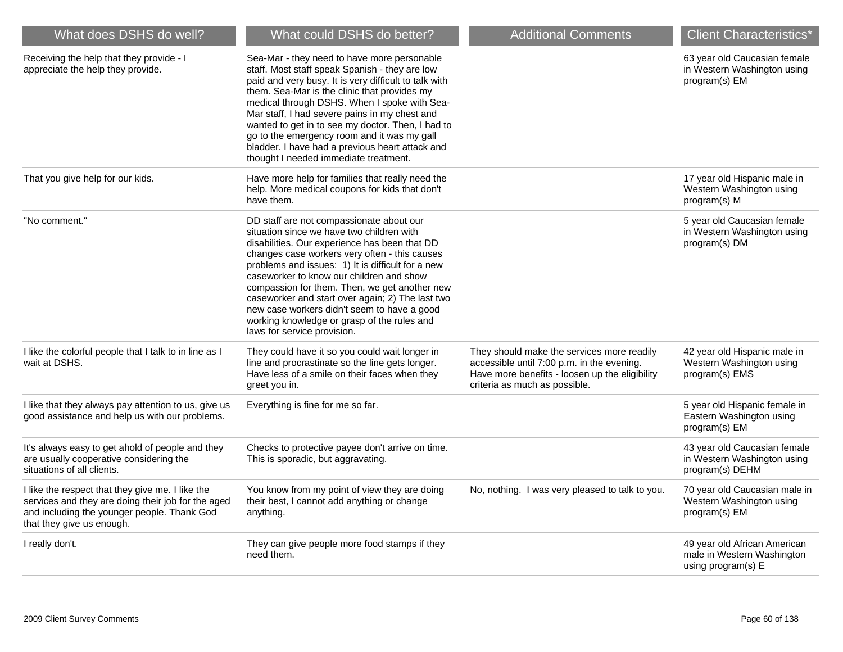| What does DSHS do well?                                                                                                                                                            | What could DSHS do better?                                                                                                                                                                                                                                                                                                                                                                                                                                                                                                 | <b>Additional Comments</b>                                                                                                                                                  | <b>Client Characteristics*</b>                                                   |
|------------------------------------------------------------------------------------------------------------------------------------------------------------------------------------|----------------------------------------------------------------------------------------------------------------------------------------------------------------------------------------------------------------------------------------------------------------------------------------------------------------------------------------------------------------------------------------------------------------------------------------------------------------------------------------------------------------------------|-----------------------------------------------------------------------------------------------------------------------------------------------------------------------------|----------------------------------------------------------------------------------|
| Receiving the help that they provide - I<br>appreciate the help they provide.                                                                                                      | Sea-Mar - they need to have more personable<br>staff. Most staff speak Spanish - they are low<br>paid and very busy. It is very difficult to talk with<br>them. Sea-Mar is the clinic that provides my<br>medical through DSHS. When I spoke with Sea-<br>Mar staff, I had severe pains in my chest and<br>wanted to get in to see my doctor. Then, I had to<br>go to the emergency room and it was my gall<br>bladder. I have had a previous heart attack and<br>thought I needed immediate treatment.                    |                                                                                                                                                                             | 63 year old Caucasian female<br>in Western Washington using<br>program(s) EM     |
| That you give help for our kids.                                                                                                                                                   | Have more help for families that really need the<br>help. More medical coupons for kids that don't<br>have them.                                                                                                                                                                                                                                                                                                                                                                                                           |                                                                                                                                                                             | 17 year old Hispanic male in<br>Western Washington using<br>program(s) M         |
| "No comment."                                                                                                                                                                      | DD staff are not compassionate about our<br>situation since we have two children with<br>disabilities. Our experience has been that DD<br>changes case workers very often - this causes<br>problems and issues: 1) It is difficult for a new<br>caseworker to know our children and show<br>compassion for them. Then, we get another new<br>caseworker and start over again; 2) The last two<br>new case workers didn't seem to have a good<br>working knowledge or grasp of the rules and<br>laws for service provision. |                                                                                                                                                                             | 5 year old Caucasian female<br>in Western Washington using<br>program(s) DM      |
| I like the colorful people that I talk to in line as I<br>wait at DSHS.                                                                                                            | They could have it so you could wait longer in<br>line and procrastinate so the line gets longer.<br>Have less of a smile on their faces when they<br>greet you in.                                                                                                                                                                                                                                                                                                                                                        | They should make the services more readily<br>accessible until 7:00 p.m. in the evening.<br>Have more benefits - loosen up the eligibility<br>criteria as much as possible. | 42 year old Hispanic male in<br>Western Washington using<br>program(s) EMS       |
| I like that they always pay attention to us, give us<br>good assistance and help us with our problems.                                                                             | Everything is fine for me so far.                                                                                                                                                                                                                                                                                                                                                                                                                                                                                          |                                                                                                                                                                             | 5 year old Hispanic female in<br>Eastern Washington using<br>program(s) EM       |
| It's always easy to get ahold of people and they<br>are usually cooperative considering the<br>situations of all clients.                                                          | Checks to protective payee don't arrive on time.<br>This is sporadic, but aggravating.                                                                                                                                                                                                                                                                                                                                                                                                                                     |                                                                                                                                                                             | 43 year old Caucasian female<br>in Western Washington using<br>program(s) DEHM   |
| I like the respect that they give me. I like the<br>services and they are doing their job for the aged<br>and including the younger people. Thank God<br>that they give us enough. | You know from my point of view they are doing<br>their best, I cannot add anything or change<br>anything.                                                                                                                                                                                                                                                                                                                                                                                                                  | No, nothing. I was very pleased to talk to you.                                                                                                                             | 70 year old Caucasian male in<br>Western Washington using<br>program(s) EM       |
| I really don't.                                                                                                                                                                    | They can give people more food stamps if they<br>need them.                                                                                                                                                                                                                                                                                                                                                                                                                                                                |                                                                                                                                                                             | 49 year old African American<br>male in Western Washington<br>using program(s) E |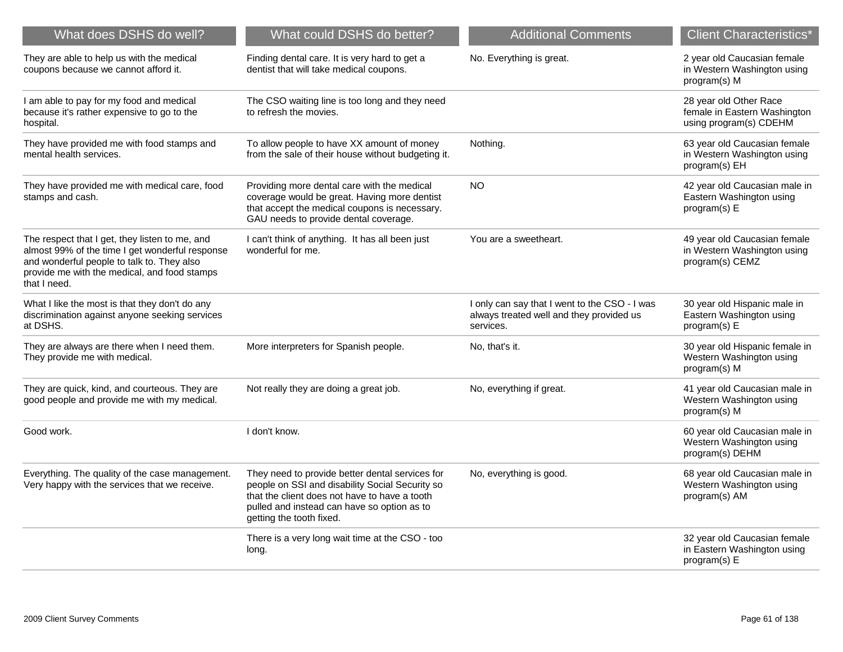| What does DSHS do well?                                                                                                                                                                                         | What could DSHS do better?                                                                                                                                                                                                     | <b>Additional Comments</b>                                                                             | <b>Client Characteristics*</b>                                                   |
|-----------------------------------------------------------------------------------------------------------------------------------------------------------------------------------------------------------------|--------------------------------------------------------------------------------------------------------------------------------------------------------------------------------------------------------------------------------|--------------------------------------------------------------------------------------------------------|----------------------------------------------------------------------------------|
| They are able to help us with the medical<br>coupons because we cannot afford it.                                                                                                                               | Finding dental care. It is very hard to get a<br>dentist that will take medical coupons.                                                                                                                                       | No. Everything is great.                                                                               | 2 year old Caucasian female<br>in Western Washington using<br>program(s) M       |
| I am able to pay for my food and medical<br>because it's rather expensive to go to the<br>hospital.                                                                                                             | The CSO waiting line is too long and they need<br>to refresh the movies.                                                                                                                                                       |                                                                                                        | 28 year old Other Race<br>female in Eastern Washington<br>using program(s) CDEHM |
| They have provided me with food stamps and<br>mental health services.                                                                                                                                           | To allow people to have XX amount of money<br>from the sale of their house without budgeting it.                                                                                                                               | Nothing.                                                                                               | 63 year old Caucasian female<br>in Western Washington using<br>program(s) EH     |
| They have provided me with medical care, food<br>stamps and cash.                                                                                                                                               | Providing more dental care with the medical<br>coverage would be great. Having more dentist<br>that accept the medical coupons is necessary.<br>GAU needs to provide dental coverage.                                          | NO.                                                                                                    | 42 year old Caucasian male in<br>Eastern Washington using<br>program(s) E        |
| The respect that I get, they listen to me, and<br>almost 99% of the time I get wonderful response<br>and wonderful people to talk to. They also<br>provide me with the medical, and food stamps<br>that I need. | I can't think of anything. It has all been just<br>wonderful for me.                                                                                                                                                           | You are a sweetheart.                                                                                  | 49 year old Caucasian female<br>in Western Washington using<br>program(s) CEMZ   |
| What I like the most is that they don't do any<br>discrimination against anyone seeking services<br>at DSHS.                                                                                                    |                                                                                                                                                                                                                                | I only can say that I went to the CSO - I was<br>always treated well and they provided us<br>services. | 30 year old Hispanic male in<br>Eastern Washington using<br>program(s) E         |
| They are always are there when I need them.<br>They provide me with medical.                                                                                                                                    | More interpreters for Spanish people.                                                                                                                                                                                          | No, that's it.                                                                                         | 30 year old Hispanic female in<br>Western Washington using<br>program(s) M       |
| They are quick, kind, and courteous. They are<br>good people and provide me with my medical.                                                                                                                    | Not really they are doing a great job.                                                                                                                                                                                         | No, everything if great.                                                                               | 41 year old Caucasian male in<br>Western Washington using<br>program(s) M        |
| Good work.                                                                                                                                                                                                      | I don't know.                                                                                                                                                                                                                  |                                                                                                        | 60 year old Caucasian male in<br>Western Washington using<br>program(s) DEHM     |
| Everything. The quality of the case management.<br>Very happy with the services that we receive.                                                                                                                | They need to provide better dental services for<br>people on SSI and disability Social Security so<br>that the client does not have to have a tooth<br>pulled and instead can have so option as to<br>getting the tooth fixed. | No, everything is good.                                                                                | 68 year old Caucasian male in<br>Western Washington using<br>program(s) AM       |
|                                                                                                                                                                                                                 | There is a very long wait time at the CSO - too<br>long.                                                                                                                                                                       |                                                                                                        | 32 year old Caucasian female<br>in Eastern Washington using<br>program(s) E      |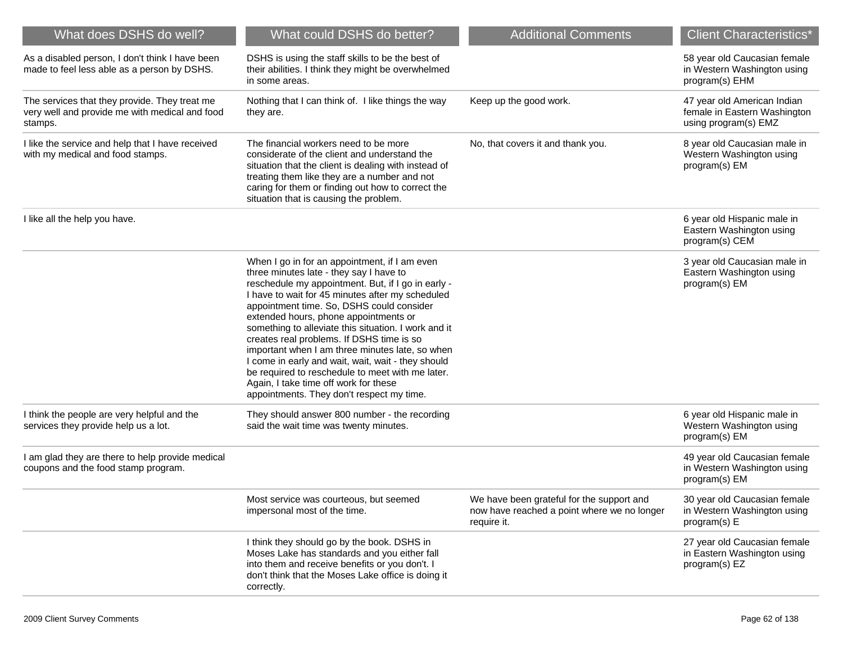| What does DSHS do well?                                                                                    | What could DSHS do better?                                                                                                                                                                                                                                                                                                                                                                                                                                                                                                                                                                                                                       | <b>Additional Comments</b>                                                                              | <b>Client Characteristics*</b>                                                      |
|------------------------------------------------------------------------------------------------------------|--------------------------------------------------------------------------------------------------------------------------------------------------------------------------------------------------------------------------------------------------------------------------------------------------------------------------------------------------------------------------------------------------------------------------------------------------------------------------------------------------------------------------------------------------------------------------------------------------------------------------------------------------|---------------------------------------------------------------------------------------------------------|-------------------------------------------------------------------------------------|
| As a disabled person, I don't think I have been<br>made to feel less able as a person by DSHS.             | DSHS is using the staff skills to be the best of<br>their abilities. I think they might be overwhelmed<br>in some areas.                                                                                                                                                                                                                                                                                                                                                                                                                                                                                                                         |                                                                                                         | 58 year old Caucasian female<br>in Western Washington using<br>program(s) EHM       |
| The services that they provide. They treat me<br>very well and provide me with medical and food<br>stamps. | Nothing that I can think of. I like things the way<br>they are.                                                                                                                                                                                                                                                                                                                                                                                                                                                                                                                                                                                  | Keep up the good work.                                                                                  | 47 year old American Indian<br>female in Eastern Washington<br>using program(s) EMZ |
| I like the service and help that I have received<br>with my medical and food stamps.                       | The financial workers need to be more<br>considerate of the client and understand the<br>situation that the client is dealing with instead of<br>treating them like they are a number and not<br>caring for them or finding out how to correct the<br>situation that is causing the problem.                                                                                                                                                                                                                                                                                                                                                     | No, that covers it and thank you.                                                                       | 8 year old Caucasian male in<br>Western Washington using<br>program(s) EM           |
| I like all the help you have.                                                                              |                                                                                                                                                                                                                                                                                                                                                                                                                                                                                                                                                                                                                                                  |                                                                                                         | 6 year old Hispanic male in<br>Eastern Washington using<br>program(s) CEM           |
|                                                                                                            | When I go in for an appointment, if I am even<br>three minutes late - they say I have to<br>reschedule my appointment. But, if I go in early -<br>I have to wait for 45 minutes after my scheduled<br>appointment time. So, DSHS could consider<br>extended hours, phone appointments or<br>something to alleviate this situation. I work and it<br>creates real problems. If DSHS time is so<br>important when I am three minutes late, so when<br>I come in early and wait, wait, wait - they should<br>be required to reschedule to meet with me later.<br>Again, I take time off work for these<br>appointments. They don't respect my time. |                                                                                                         | 3 year old Caucasian male in<br>Eastern Washington using<br>program(s) EM           |
| I think the people are very helpful and the<br>services they provide help us a lot.                        | They should answer 800 number - the recording<br>said the wait time was twenty minutes.                                                                                                                                                                                                                                                                                                                                                                                                                                                                                                                                                          |                                                                                                         | 6 year old Hispanic male in<br>Western Washington using<br>program(s) EM            |
| I am glad they are there to help provide medical<br>coupons and the food stamp program.                    |                                                                                                                                                                                                                                                                                                                                                                                                                                                                                                                                                                                                                                                  |                                                                                                         | 49 year old Caucasian female<br>in Western Washington using<br>program(s) EM        |
|                                                                                                            | Most service was courteous, but seemed<br>impersonal most of the time.                                                                                                                                                                                                                                                                                                                                                                                                                                                                                                                                                                           | We have been grateful for the support and<br>now have reached a point where we no longer<br>require it. | 30 year old Caucasian female<br>in Western Washington using<br>program(s) E         |
|                                                                                                            | I think they should go by the book. DSHS in<br>Moses Lake has standards and you either fall<br>into them and receive benefits or you don't. I<br>don't think that the Moses Lake office is doing it<br>correctly.                                                                                                                                                                                                                                                                                                                                                                                                                                |                                                                                                         | 27 year old Caucasian female<br>in Eastern Washington using<br>program(s) EZ        |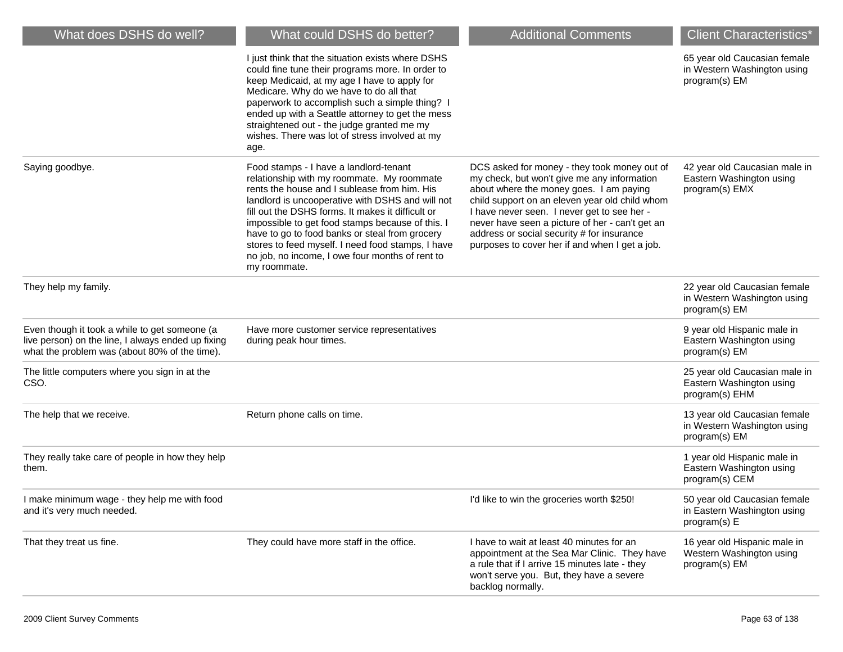| What does DSHS do well?                                                                                                                              | What could DSHS do better?                                                                                                                                                                                                                                                                                                                                                                                                                                                  | <b>Additional Comments</b>                                                                                                                                                                                                                                                                                                                                                                 | <b>Client Characteristics*</b>                                               |
|------------------------------------------------------------------------------------------------------------------------------------------------------|-----------------------------------------------------------------------------------------------------------------------------------------------------------------------------------------------------------------------------------------------------------------------------------------------------------------------------------------------------------------------------------------------------------------------------------------------------------------------------|--------------------------------------------------------------------------------------------------------------------------------------------------------------------------------------------------------------------------------------------------------------------------------------------------------------------------------------------------------------------------------------------|------------------------------------------------------------------------------|
|                                                                                                                                                      | I just think that the situation exists where DSHS<br>could fine tune their programs more. In order to<br>keep Medicaid, at my age I have to apply for<br>Medicare. Why do we have to do all that<br>paperwork to accomplish such a simple thing?  <br>ended up with a Seattle attorney to get the mess<br>straightened out - the judge granted me my<br>wishes. There was lot of stress involved at my<br>age.                                                              |                                                                                                                                                                                                                                                                                                                                                                                            | 65 year old Caucasian female<br>in Western Washington using<br>program(s) EM |
| Saying goodbye.                                                                                                                                      | Food stamps - I have a landlord-tenant<br>relationship with my roommate. My roommate<br>rents the house and I sublease from him. His<br>landlord is uncooperative with DSHS and will not<br>fill out the DSHS forms. It makes it difficult or<br>impossible to get food stamps because of this. I<br>have to go to food banks or steal from grocery<br>stores to feed myself. I need food stamps, I have<br>no job, no income, I owe four months of rent to<br>my roommate. | DCS asked for money - they took money out of<br>my check, but won't give me any information<br>about where the money goes. I am paying<br>child support on an eleven year old child whom<br>I have never seen. I never get to see her -<br>never have seen a picture of her - can't get an<br>address or social security # for insurance<br>purposes to cover her if and when I get a job. | 42 year old Caucasian male in<br>Eastern Washington using<br>program(s) EMX  |
| They help my family.                                                                                                                                 |                                                                                                                                                                                                                                                                                                                                                                                                                                                                             |                                                                                                                                                                                                                                                                                                                                                                                            | 22 year old Caucasian female<br>in Western Washington using<br>program(s) EM |
| Even though it took a while to get someone (a<br>live person) on the line, I always ended up fixing<br>what the problem was (about 80% of the time). | Have more customer service representatives<br>during peak hour times.                                                                                                                                                                                                                                                                                                                                                                                                       |                                                                                                                                                                                                                                                                                                                                                                                            | 9 year old Hispanic male in<br>Eastern Washington using<br>program(s) EM     |
| The little computers where you sign in at the<br>CSO.                                                                                                |                                                                                                                                                                                                                                                                                                                                                                                                                                                                             |                                                                                                                                                                                                                                                                                                                                                                                            | 25 year old Caucasian male in<br>Eastern Washington using<br>program(s) EHM  |
| The help that we receive.                                                                                                                            | Return phone calls on time.                                                                                                                                                                                                                                                                                                                                                                                                                                                 |                                                                                                                                                                                                                                                                                                                                                                                            | 13 year old Caucasian female<br>in Western Washington using<br>program(s) EM |
| They really take care of people in how they help<br>them.                                                                                            |                                                                                                                                                                                                                                                                                                                                                                                                                                                                             |                                                                                                                                                                                                                                                                                                                                                                                            | 1 year old Hispanic male in<br>Eastern Washington using<br>program(s) CEM    |
| I make minimum wage - they help me with food<br>and it's very much needed.                                                                           |                                                                                                                                                                                                                                                                                                                                                                                                                                                                             | I'd like to win the groceries worth \$250!                                                                                                                                                                                                                                                                                                                                                 | 50 year old Caucasian female<br>in Eastern Washington using<br>program(s) E  |
| That they treat us fine.                                                                                                                             | They could have more staff in the office.                                                                                                                                                                                                                                                                                                                                                                                                                                   | I have to wait at least 40 minutes for an<br>appointment at the Sea Mar Clinic. They have<br>a rule that if I arrive 15 minutes late - they<br>won't serve you. But, they have a severe<br>backlog normally.                                                                                                                                                                               | 16 year old Hispanic male in<br>Western Washington using<br>program(s) EM    |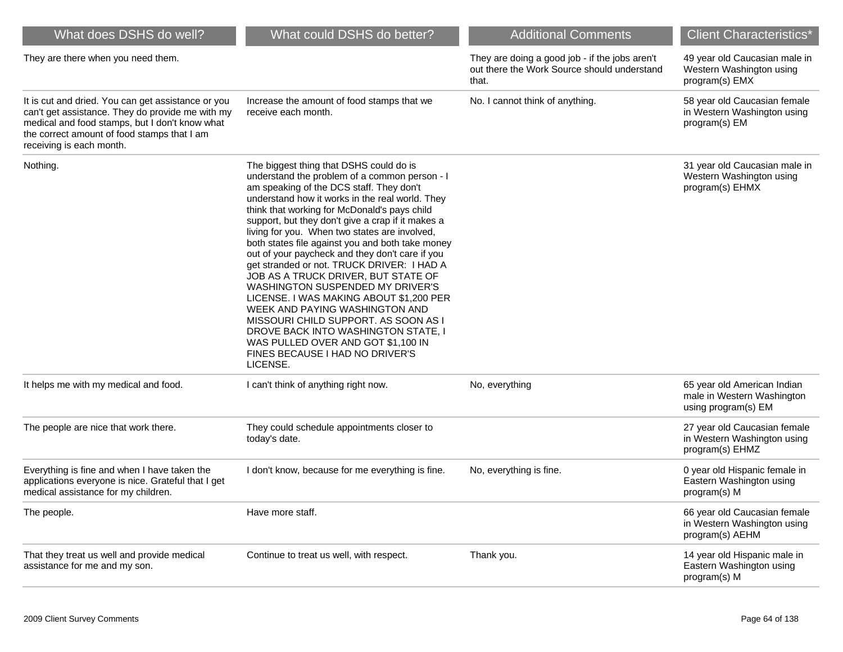| What does DSHS do well?                                                                                                                                                                                                             | What could DSHS do better?                                                                                                                                                                                                                                                                                                                                                                                                                                                                                                                                                                                                                                                                                                                                                                                                     | <b>Additional Comments</b>                                                                             | <b>Client Characteristics*</b>                                                   |
|-------------------------------------------------------------------------------------------------------------------------------------------------------------------------------------------------------------------------------------|--------------------------------------------------------------------------------------------------------------------------------------------------------------------------------------------------------------------------------------------------------------------------------------------------------------------------------------------------------------------------------------------------------------------------------------------------------------------------------------------------------------------------------------------------------------------------------------------------------------------------------------------------------------------------------------------------------------------------------------------------------------------------------------------------------------------------------|--------------------------------------------------------------------------------------------------------|----------------------------------------------------------------------------------|
| They are there when you need them.                                                                                                                                                                                                  |                                                                                                                                                                                                                                                                                                                                                                                                                                                                                                                                                                                                                                                                                                                                                                                                                                | They are doing a good job - if the jobs aren't<br>out there the Work Source should understand<br>that. | 49 year old Caucasian male in<br>Western Washington using<br>program(s) EMX      |
| It is cut and dried. You can get assistance or you<br>can't get assistance. They do provide me with my<br>medical and food stamps, but I don't know what<br>the correct amount of food stamps that I am<br>receiving is each month. | Increase the amount of food stamps that we<br>receive each month.                                                                                                                                                                                                                                                                                                                                                                                                                                                                                                                                                                                                                                                                                                                                                              | No. I cannot think of anything.                                                                        | 58 year old Caucasian female<br>in Western Washington using<br>program(s) EM     |
| Nothing.                                                                                                                                                                                                                            | The biggest thing that DSHS could do is<br>understand the problem of a common person - I<br>am speaking of the DCS staff. They don't<br>understand how it works in the real world. They<br>think that working for McDonald's pays child<br>support, but they don't give a crap if it makes a<br>living for you. When two states are involved,<br>both states file against you and both take money<br>out of your paycheck and they don't care if you<br>get stranded or not. TRUCK DRIVER: I HAD A<br>JOB AS A TRUCK DRIVER, BUT STATE OF<br>WASHINGTON SUSPENDED MY DRIVER'S<br>LICENSE. I WAS MAKING ABOUT \$1,200 PER<br>WEEK AND PAYING WASHINGTON AND<br>MISSOURI CHILD SUPPORT. AS SOON AS I<br>DROVE BACK INTO WASHINGTON STATE, I<br>WAS PULLED OVER AND GOT \$1,100 IN<br>FINES BECAUSE I HAD NO DRIVER'S<br>LICENSE. |                                                                                                        | 31 year old Caucasian male in<br>Western Washington using<br>program(s) EHMX     |
| It helps me with my medical and food.                                                                                                                                                                                               | I can't think of anything right now.                                                                                                                                                                                                                                                                                                                                                                                                                                                                                                                                                                                                                                                                                                                                                                                           | No, everything                                                                                         | 65 year old American Indian<br>male in Western Washington<br>using program(s) EM |
| The people are nice that work there.                                                                                                                                                                                                | They could schedule appointments closer to<br>today's date.                                                                                                                                                                                                                                                                                                                                                                                                                                                                                                                                                                                                                                                                                                                                                                    |                                                                                                        | 27 year old Caucasian female<br>in Western Washington using<br>program(s) EHMZ   |
| Everything is fine and when I have taken the<br>applications everyone is nice. Grateful that I get<br>medical assistance for my children.                                                                                           | I don't know, because for me everything is fine.                                                                                                                                                                                                                                                                                                                                                                                                                                                                                                                                                                                                                                                                                                                                                                               | No, everything is fine.                                                                                | 0 year old Hispanic female in<br>Eastern Washington using<br>program(s) M        |
| The people.                                                                                                                                                                                                                         | Have more staff.                                                                                                                                                                                                                                                                                                                                                                                                                                                                                                                                                                                                                                                                                                                                                                                                               |                                                                                                        | 66 year old Caucasian female<br>in Western Washington using<br>program(s) AEHM   |
| That they treat us well and provide medical<br>assistance for me and my son.                                                                                                                                                        | Continue to treat us well, with respect.                                                                                                                                                                                                                                                                                                                                                                                                                                                                                                                                                                                                                                                                                                                                                                                       | Thank you.                                                                                             | 14 year old Hispanic male in<br>Eastern Washington using<br>program(s) M         |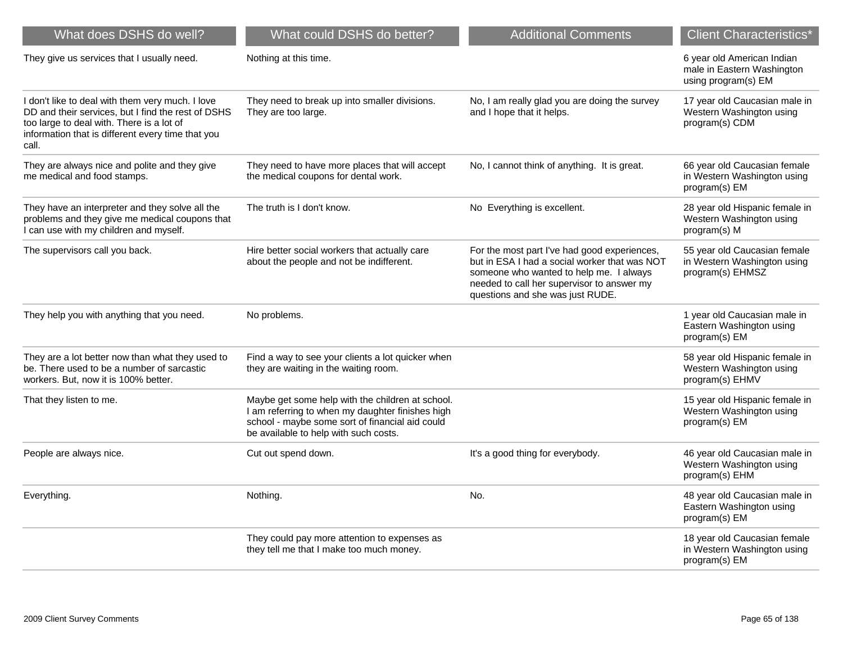| What does DSHS do well?                                                                                                                                                                                           | What could DSHS do better?                                                                                                                                                                       | <b>Additional Comments</b>                                                                                                                                                                                                 | <b>Client Characteristics*</b>                                                  |
|-------------------------------------------------------------------------------------------------------------------------------------------------------------------------------------------------------------------|--------------------------------------------------------------------------------------------------------------------------------------------------------------------------------------------------|----------------------------------------------------------------------------------------------------------------------------------------------------------------------------------------------------------------------------|---------------------------------------------------------------------------------|
| They give us services that I usually need.                                                                                                                                                                        | Nothing at this time.                                                                                                                                                                            |                                                                                                                                                                                                                            | 6 year old American Indian<br>male in Eastern Washington<br>using program(s) EM |
| I don't like to deal with them very much. I love<br>DD and their services, but I find the rest of DSHS<br>too large to deal with. There is a lot of<br>information that is different every time that you<br>call. | They need to break up into smaller divisions.<br>They are too large.                                                                                                                             | No, I am really glad you are doing the survey<br>and I hope that it helps.                                                                                                                                                 | 17 year old Caucasian male in<br>Western Washington using<br>program(s) CDM     |
| They are always nice and polite and they give<br>me medical and food stamps.                                                                                                                                      | They need to have more places that will accept<br>the medical coupons for dental work.                                                                                                           | No, I cannot think of anything. It is great.                                                                                                                                                                               | 66 year old Caucasian female<br>in Western Washington using<br>program(s) EM    |
| They have an interpreter and they solve all the<br>problems and they give me medical coupons that<br>I can use with my children and myself.                                                                       | The truth is I don't know.                                                                                                                                                                       | No Everything is excellent.                                                                                                                                                                                                | 28 year old Hispanic female in<br>Western Washington using<br>program(s) M      |
| The supervisors call you back.                                                                                                                                                                                    | Hire better social workers that actually care<br>about the people and not be indifferent.                                                                                                        | For the most part I've had good experiences,<br>but in ESA I had a social worker that was NOT<br>someone who wanted to help me. I always<br>needed to call her supervisor to answer my<br>questions and she was just RUDE. | 55 year old Caucasian female<br>in Western Washington using<br>program(s) EHMSZ |
| They help you with anything that you need.                                                                                                                                                                        | No problems.                                                                                                                                                                                     |                                                                                                                                                                                                                            | 1 year old Caucasian male in<br>Eastern Washington using<br>program(s) EM       |
| They are a lot better now than what they used to<br>be. There used to be a number of sarcastic<br>workers. But, now it is 100% better.                                                                            | Find a way to see your clients a lot quicker when<br>they are waiting in the waiting room.                                                                                                       |                                                                                                                                                                                                                            | 58 year old Hispanic female in<br>Western Washington using<br>program(s) EHMV   |
| That they listen to me.                                                                                                                                                                                           | Maybe get some help with the children at school.<br>I am referring to when my daughter finishes high<br>school - maybe some sort of financial aid could<br>be available to help with such costs. |                                                                                                                                                                                                                            | 15 year old Hispanic female in<br>Western Washington using<br>program(s) EM     |
| People are always nice.                                                                                                                                                                                           | Cut out spend down.                                                                                                                                                                              | It's a good thing for everybody.                                                                                                                                                                                           | 46 year old Caucasian male in<br>Western Washington using<br>program(s) EHM     |
| Everything.                                                                                                                                                                                                       | Nothing.                                                                                                                                                                                         | No.                                                                                                                                                                                                                        | 48 year old Caucasian male in<br>Eastern Washington using<br>program(s) EM      |
|                                                                                                                                                                                                                   | They could pay more attention to expenses as<br>they tell me that I make too much money.                                                                                                         |                                                                                                                                                                                                                            | 18 year old Caucasian female<br>in Western Washington using<br>program(s) EM    |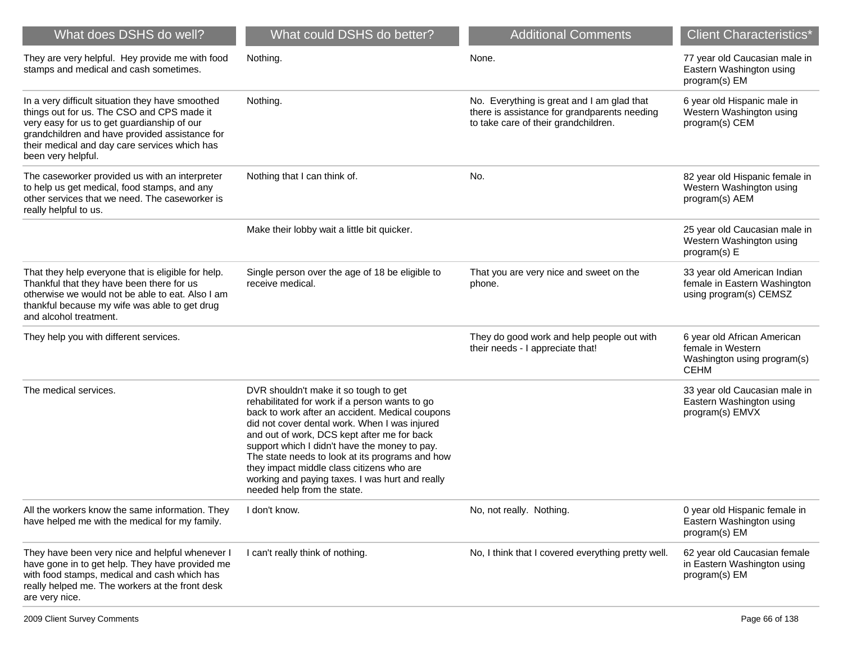| What does DSHS do well?                                                                                                                                                                                                                                                | What could DSHS do better?                                                                                                                                                                                                                                                                                                                                                                                                                                                    | <b>Additional Comments</b>                                                                                                         | <b>Client Characteristics*</b>                                                                 |
|------------------------------------------------------------------------------------------------------------------------------------------------------------------------------------------------------------------------------------------------------------------------|-------------------------------------------------------------------------------------------------------------------------------------------------------------------------------------------------------------------------------------------------------------------------------------------------------------------------------------------------------------------------------------------------------------------------------------------------------------------------------|------------------------------------------------------------------------------------------------------------------------------------|------------------------------------------------------------------------------------------------|
| They are very helpful. Hey provide me with food<br>stamps and medical and cash sometimes.                                                                                                                                                                              | Nothing.                                                                                                                                                                                                                                                                                                                                                                                                                                                                      | None.                                                                                                                              | 77 year old Caucasian male in<br>Eastern Washington using<br>program(s) EM                     |
| In a very difficult situation they have smoothed<br>things out for us. The CSO and CPS made it<br>very easy for us to get guardianship of our<br>grandchildren and have provided assistance for<br>their medical and day care services which has<br>been very helpful. | Nothing.                                                                                                                                                                                                                                                                                                                                                                                                                                                                      | No. Everything is great and I am glad that<br>there is assistance for grandparents needing<br>to take care of their grandchildren. | 6 year old Hispanic male in<br>Western Washington using<br>program(s) CEM                      |
| The caseworker provided us with an interpreter<br>to help us get medical, food stamps, and any<br>other services that we need. The caseworker is<br>really helpful to us.                                                                                              | Nothing that I can think of.                                                                                                                                                                                                                                                                                                                                                                                                                                                  | No.                                                                                                                                | 82 year old Hispanic female in<br>Western Washington using<br>program(s) AEM                   |
|                                                                                                                                                                                                                                                                        | Make their lobby wait a little bit quicker.                                                                                                                                                                                                                                                                                                                                                                                                                                   |                                                                                                                                    | 25 year old Caucasian male in<br>Western Washington using<br>program(s) E                      |
| That they help everyone that is eligible for help.<br>Thankful that they have been there for us<br>otherwise we would not be able to eat. Also I am<br>thankful because my wife was able to get drug<br>and alcohol treatment.                                         | Single person over the age of 18 be eligible to<br>receive medical.                                                                                                                                                                                                                                                                                                                                                                                                           | That you are very nice and sweet on the<br>phone.                                                                                  | 33 year old American Indian<br>female in Eastern Washington<br>using program(s) CEMSZ          |
| They help you with different services.                                                                                                                                                                                                                                 |                                                                                                                                                                                                                                                                                                                                                                                                                                                                               | They do good work and help people out with<br>their needs - I appreciate that!                                                     | 6 year old African American<br>female in Western<br>Washington using program(s)<br><b>CEHM</b> |
| The medical services.                                                                                                                                                                                                                                                  | DVR shouldn't make it so tough to get<br>rehabilitated for work if a person wants to go<br>back to work after an accident. Medical coupons<br>did not cover dental work. When I was injured<br>and out of work, DCS kept after me for back<br>support which I didn't have the money to pay.<br>The state needs to look at its programs and how<br>they impact middle class citizens who are<br>working and paying taxes. I was hurt and really<br>needed help from the state. |                                                                                                                                    | 33 year old Caucasian male in<br>Eastern Washington using<br>program(s) EMVX                   |
| All the workers know the same information. They<br>have helped me with the medical for my family.                                                                                                                                                                      | I don't know.                                                                                                                                                                                                                                                                                                                                                                                                                                                                 | No, not really. Nothing.                                                                                                           | 0 year old Hispanic female in<br>Eastern Washington using<br>program(s) EM                     |
| They have been very nice and helpful whenever I<br>have gone in to get help. They have provided me<br>with food stamps, medical and cash which has<br>really helped me. The workers at the front desk<br>are very nice.                                                | I can't really think of nothing.                                                                                                                                                                                                                                                                                                                                                                                                                                              | No, I think that I covered everything pretty well.                                                                                 | 62 year old Caucasian female<br>in Eastern Washington using<br>program(s) EM                   |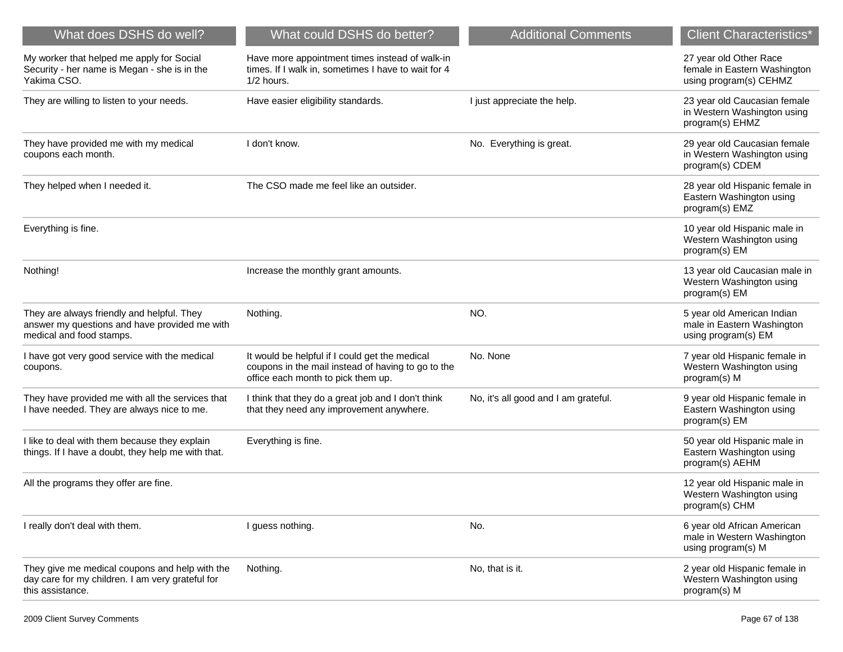| What does DSHS do well?                                                                                                 | What could DSHS do better?                                                                                                                 | <b>Additional Comments</b>           | <b>Client Characteristics*</b>                                                   |
|-------------------------------------------------------------------------------------------------------------------------|--------------------------------------------------------------------------------------------------------------------------------------------|--------------------------------------|----------------------------------------------------------------------------------|
| My worker that helped me apply for Social<br>Security - her name is Megan - she is in the<br>Yakima CSO.                | Have more appointment times instead of walk-in<br>times. If I walk in, sometimes I have to wait for 4<br>1/2 hours.                        |                                      | 27 year old Other Race<br>female in Eastern Washington<br>using program(s) CEHMZ |
| They are willing to listen to your needs.                                                                               | Have easier eligibility standards.                                                                                                         | I just appreciate the help.          | 23 year old Caucasian female<br>in Western Washington using<br>program(s) EHMZ   |
| They have provided me with my medical<br>coupons each month.                                                            | I don't know.                                                                                                                              | No. Everything is great.             | 29 year old Caucasian female<br>in Western Washington using<br>program(s) CDEM   |
| They helped when I needed it.                                                                                           | The CSO made me feel like an outsider.                                                                                                     |                                      | 28 year old Hispanic female in<br>Eastern Washington using<br>program(s) EMZ     |
| Everything is fine.                                                                                                     |                                                                                                                                            |                                      | 10 year old Hispanic male in<br>Western Washington using<br>program(s) EM        |
| Nothing!                                                                                                                | Increase the monthly grant amounts.                                                                                                        |                                      | 13 year old Caucasian male in<br>Western Washington using<br>program(s) EM       |
| They are always friendly and helpful. They<br>answer my questions and have provided me with<br>medical and food stamps. | Nothing.                                                                                                                                   | NO.                                  | 5 year old American Indian<br>male in Eastern Washington<br>using program(s) EM  |
| I have got very good service with the medical<br>coupons.                                                               | It would be helpful if I could get the medical<br>coupons in the mail instead of having to go to the<br>office each month to pick them up. | No. None                             | 7 year old Hispanic female in<br>Western Washington using<br>program(s) M        |
| They have provided me with all the services that<br>I have needed. They are always nice to me.                          | I think that they do a great job and I don't think<br>that they need any improvement anywhere.                                             | No, it's all good and I am grateful. | 9 year old Hispanic female in<br>Eastern Washington using<br>program(s) EM       |
| I like to deal with them because they explain<br>things. If I have a doubt, they help me with that.                     | Everything is fine.                                                                                                                        |                                      | 50 year old Hispanic male in<br>Eastern Washington using<br>program(s) AEHM      |
| All the programs they offer are fine.                                                                                   |                                                                                                                                            |                                      | 12 year old Hispanic male in<br>Western Washington using<br>program(s) CHM       |
| I really don't deal with them.                                                                                          | I guess nothing.                                                                                                                           | No.                                  | 6 year old African American<br>male in Western Washington<br>using program(s) M  |
| They give me medical coupons and help with the<br>day care for my children. I am very grateful for<br>this assistance.  | Nothing.                                                                                                                                   | No, that is it.                      | 2 year old Hispanic female in<br>Western Washington using<br>program(s) M        |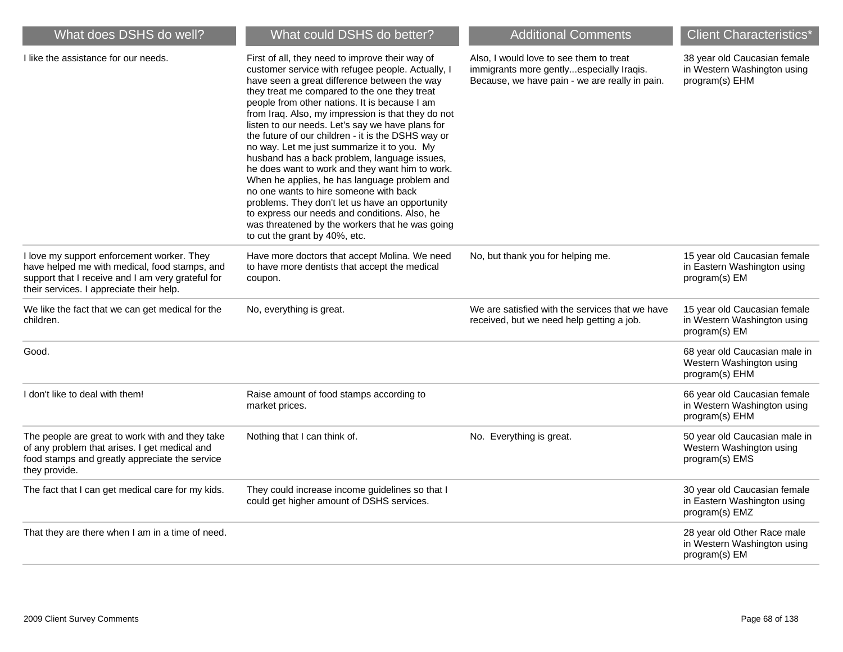| What does DSHS do well?                                                                                                                                                                      | What could DSHS do better?                                                                                                                                                                                                                                                                                                                                                                                                                                                                                                                                                                                                                                                                                                                                                                                                                                | <b>Additional Comments</b>                                                                                                            | <b>Client Characteristics*</b>                                                |
|----------------------------------------------------------------------------------------------------------------------------------------------------------------------------------------------|-----------------------------------------------------------------------------------------------------------------------------------------------------------------------------------------------------------------------------------------------------------------------------------------------------------------------------------------------------------------------------------------------------------------------------------------------------------------------------------------------------------------------------------------------------------------------------------------------------------------------------------------------------------------------------------------------------------------------------------------------------------------------------------------------------------------------------------------------------------|---------------------------------------------------------------------------------------------------------------------------------------|-------------------------------------------------------------------------------|
| I like the assistance for our needs.                                                                                                                                                         | First of all, they need to improve their way of<br>customer service with refugee people. Actually, I<br>have seen a great difference between the way<br>they treat me compared to the one they treat<br>people from other nations. It is because I am<br>from Iraq. Also, my impression is that they do not<br>listen to our needs. Let's say we have plans for<br>the future of our children - it is the DSHS way or<br>no way. Let me just summarize it to you. My<br>husband has a back problem, language issues,<br>he does want to work and they want him to work.<br>When he applies, he has language problem and<br>no one wants to hire someone with back<br>problems. They don't let us have an opportunity<br>to express our needs and conditions. Also, he<br>was threatened by the workers that he was going<br>to cut the grant by 40%, etc. | Also, I would love to see them to treat<br>immigrants more gentlyespecially Iraqis.<br>Because, we have pain - we are really in pain. | 38 year old Caucasian female<br>in Western Washington using<br>program(s) EHM |
| I love my support enforcement worker. They<br>have helped me with medical, food stamps, and<br>support that I receive and I am very grateful for<br>their services. I appreciate their help. | Have more doctors that accept Molina. We need<br>to have more dentists that accept the medical<br>coupon.                                                                                                                                                                                                                                                                                                                                                                                                                                                                                                                                                                                                                                                                                                                                                 | No, but thank you for helping me.                                                                                                     | 15 year old Caucasian female<br>in Eastern Washington using<br>program(s) EM  |
| We like the fact that we can get medical for the<br>children.                                                                                                                                | No, everything is great.                                                                                                                                                                                                                                                                                                                                                                                                                                                                                                                                                                                                                                                                                                                                                                                                                                  | We are satisfied with the services that we have<br>received, but we need help getting a job.                                          | 15 year old Caucasian female<br>in Western Washington using<br>program(s) EM  |
| Good.                                                                                                                                                                                        |                                                                                                                                                                                                                                                                                                                                                                                                                                                                                                                                                                                                                                                                                                                                                                                                                                                           |                                                                                                                                       | 68 year old Caucasian male in<br>Western Washington using<br>program(s) EHM   |
| I don't like to deal with them!                                                                                                                                                              | Raise amount of food stamps according to<br>market prices.                                                                                                                                                                                                                                                                                                                                                                                                                                                                                                                                                                                                                                                                                                                                                                                                |                                                                                                                                       | 66 year old Caucasian female<br>in Western Washington using<br>program(s) EHM |
| The people are great to work with and they take<br>of any problem that arises. I get medical and<br>food stamps and greatly appreciate the service<br>they provide.                          | Nothing that I can think of.                                                                                                                                                                                                                                                                                                                                                                                                                                                                                                                                                                                                                                                                                                                                                                                                                              | No. Everything is great.                                                                                                              | 50 year old Caucasian male in<br>Western Washington using<br>program(s) EMS   |
| The fact that I can get medical care for my kids.                                                                                                                                            | They could increase income guidelines so that I<br>could get higher amount of DSHS services.                                                                                                                                                                                                                                                                                                                                                                                                                                                                                                                                                                                                                                                                                                                                                              |                                                                                                                                       | 30 year old Caucasian female<br>in Eastern Washington using<br>program(s) EMZ |
| That they are there when I am in a time of need.                                                                                                                                             |                                                                                                                                                                                                                                                                                                                                                                                                                                                                                                                                                                                                                                                                                                                                                                                                                                                           |                                                                                                                                       | 28 year old Other Race male<br>in Western Washington using<br>program(s) EM   |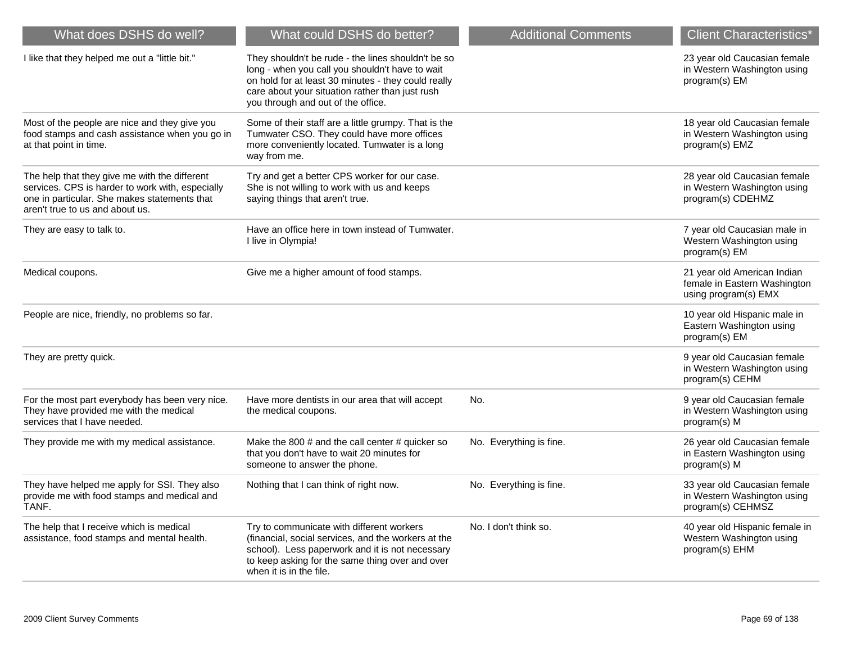| What does DSHS do well?                                                                                                                                                              | What could DSHS do better?                                                                                                                                                                                                                            | <b>Additional Comments</b> | <b>Client Characteristics*</b>                                                      |
|--------------------------------------------------------------------------------------------------------------------------------------------------------------------------------------|-------------------------------------------------------------------------------------------------------------------------------------------------------------------------------------------------------------------------------------------------------|----------------------------|-------------------------------------------------------------------------------------|
| I like that they helped me out a "little bit."                                                                                                                                       | They shouldn't be rude - the lines shouldn't be so<br>long - when you call you shouldn't have to wait<br>on hold for at least 30 minutes - they could really<br>care about your situation rather than just rush<br>you through and out of the office. |                            | 23 year old Caucasian female<br>in Western Washington using<br>program(s) EM        |
| Most of the people are nice and they give you<br>food stamps and cash assistance when you go in<br>at that point in time.                                                            | Some of their staff are a little grumpy. That is the<br>Tumwater CSO. They could have more offices<br>more conveniently located. Tumwater is a long<br>way from me.                                                                                   |                            | 18 year old Caucasian female<br>in Western Washington using<br>program(s) EMZ       |
| The help that they give me with the different<br>services. CPS is harder to work with, especially<br>one in particular. She makes statements that<br>aren't true to us and about us. | Try and get a better CPS worker for our case.<br>She is not willing to work with us and keeps<br>saying things that aren't true.                                                                                                                      |                            | 28 year old Caucasian female<br>in Western Washington using<br>program(s) CDEHMZ    |
| They are easy to talk to.                                                                                                                                                            | Have an office here in town instead of Tumwater.<br>I live in Olympia!                                                                                                                                                                                |                            | 7 year old Caucasian male in<br>Western Washington using<br>program(s) EM           |
| Medical coupons.                                                                                                                                                                     | Give me a higher amount of food stamps.                                                                                                                                                                                                               |                            | 21 year old American Indian<br>female in Eastern Washington<br>using program(s) EMX |
| People are nice, friendly, no problems so far.                                                                                                                                       |                                                                                                                                                                                                                                                       |                            | 10 year old Hispanic male in<br>Eastern Washington using<br>program(s) EM           |
| They are pretty quick.                                                                                                                                                               |                                                                                                                                                                                                                                                       |                            | 9 year old Caucasian female<br>in Western Washington using<br>program(s) CEHM       |
| For the most part everybody has been very nice.<br>They have provided me with the medical<br>services that I have needed.                                                            | Have more dentists in our area that will accept<br>the medical coupons.                                                                                                                                                                               | No.                        | 9 year old Caucasian female<br>in Western Washington using<br>program(s) M          |
| They provide me with my medical assistance.                                                                                                                                          | Make the 800 $#$ and the call center $#$ quicker so<br>that you don't have to wait 20 minutes for<br>someone to answer the phone.                                                                                                                     | No. Everything is fine.    | 26 year old Caucasian female<br>in Eastern Washington using<br>program(s) M         |
| They have helped me apply for SSI. They also<br>provide me with food stamps and medical and<br>TANF.                                                                                 | Nothing that I can think of right now.                                                                                                                                                                                                                | No. Everything is fine.    | 33 year old Caucasian female<br>in Western Washington using<br>program(s) CEHMSZ    |
| The help that I receive which is medical<br>assistance, food stamps and mental health.                                                                                               | Try to communicate with different workers<br>(financial, social services, and the workers at the<br>school). Less paperwork and it is not necessary<br>to keep asking for the same thing over and over<br>when it is in the file.                     | No. I don't think so.      | 40 year old Hispanic female in<br>Western Washington using<br>program(s) EHM        |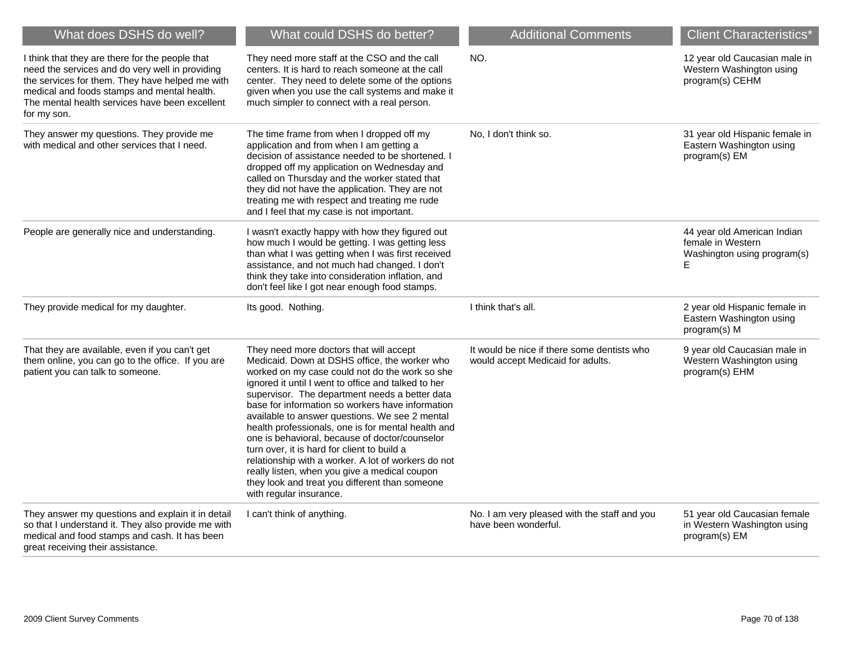| What does DSHS do well?                                                                                                                                                                                                                                               | What could DSHS do better?                                                                                                                                                                                                                                                                                                                                                                                                                                                                                                                                                                                                                                                                            | <b>Additional Comments</b>                                                       | <b>Client Characteristics*</b>                                                       |
|-----------------------------------------------------------------------------------------------------------------------------------------------------------------------------------------------------------------------------------------------------------------------|-------------------------------------------------------------------------------------------------------------------------------------------------------------------------------------------------------------------------------------------------------------------------------------------------------------------------------------------------------------------------------------------------------------------------------------------------------------------------------------------------------------------------------------------------------------------------------------------------------------------------------------------------------------------------------------------------------|----------------------------------------------------------------------------------|--------------------------------------------------------------------------------------|
| I think that they are there for the people that<br>need the services and do very well in providing<br>the services for them. They have helped me with<br>medical and foods stamps and mental health.<br>The mental health services have been excellent<br>for my son. | They need more staff at the CSO and the call<br>centers. It is hard to reach someone at the call<br>center. They need to delete some of the options<br>given when you use the call systems and make it<br>much simpler to connect with a real person.                                                                                                                                                                                                                                                                                                                                                                                                                                                 | NO.                                                                              | 12 year old Caucasian male in<br>Western Washington using<br>program(s) CEHM         |
| They answer my questions. They provide me<br>with medical and other services that I need.                                                                                                                                                                             | The time frame from when I dropped off my<br>application and from when I am getting a<br>decision of assistance needed to be shortened. I<br>dropped off my application on Wednesday and<br>called on Thursday and the worker stated that<br>they did not have the application. They are not<br>treating me with respect and treating me rude<br>and I feel that my case is not important.                                                                                                                                                                                                                                                                                                            | No, I don't think so.                                                            | 31 year old Hispanic female in<br>Eastern Washington using<br>program(s) EM          |
| People are generally nice and understanding.                                                                                                                                                                                                                          | I wasn't exactly happy with how they figured out<br>how much I would be getting. I was getting less<br>than what I was getting when I was first received<br>assistance, and not much had changed. I don't<br>think they take into consideration inflation, and<br>don't feel like I got near enough food stamps.                                                                                                                                                                                                                                                                                                                                                                                      |                                                                                  | 44 year old American Indian<br>female in Western<br>Washington using program(s)<br>E |
| They provide medical for my daughter.                                                                                                                                                                                                                                 | Its good. Nothing.                                                                                                                                                                                                                                                                                                                                                                                                                                                                                                                                                                                                                                                                                    | I think that's all.                                                              | 2 year old Hispanic female in<br>Eastern Washington using<br>program(s) M            |
| That they are available, even if you can't get<br>them online, you can go to the office. If you are<br>patient you can talk to someone.                                                                                                                               | They need more doctors that will accept<br>Medicaid. Down at DSHS office, the worker who<br>worked on my case could not do the work so she<br>ignored it until I went to office and talked to her<br>supervisor. The department needs a better data<br>base for information so workers have information<br>available to answer questions. We see 2 mental<br>health professionals, one is for mental health and<br>one is behavioral, because of doctor/counselor<br>turn over, it is hard for client to build a<br>relationship with a worker. A lot of workers do not<br>really listen, when you give a medical coupon<br>they look and treat you different than someone<br>with regular insurance. | It would be nice if there some dentists who<br>would accept Medicaid for adults. | 9 year old Caucasian male in<br>Western Washington using<br>program(s) EHM           |
| They answer my questions and explain it in detail<br>so that I understand it. They also provide me with<br>medical and food stamps and cash. It has been<br>great receiving their assistance.                                                                         | I can't think of anything.                                                                                                                                                                                                                                                                                                                                                                                                                                                                                                                                                                                                                                                                            | No. I am very pleased with the staff and you<br>have been wonderful.             | 51 year old Caucasian female<br>in Western Washington using<br>program(s) EM         |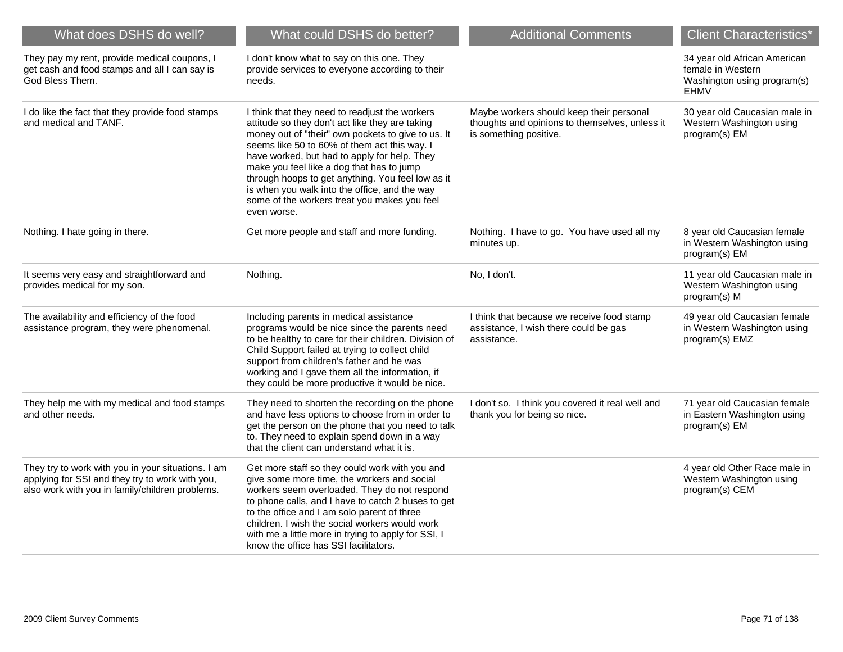| What does DSHS do well?                                                                                                                                  | What could DSHS do better?                                                                                                                                                                                                                                                                                                                                                                                                                                                | <b>Additional Comments</b>                                                                                           | <b>Client Characteristics*</b>                                                                  |
|----------------------------------------------------------------------------------------------------------------------------------------------------------|---------------------------------------------------------------------------------------------------------------------------------------------------------------------------------------------------------------------------------------------------------------------------------------------------------------------------------------------------------------------------------------------------------------------------------------------------------------------------|----------------------------------------------------------------------------------------------------------------------|-------------------------------------------------------------------------------------------------|
| They pay my rent, provide medical coupons, I<br>get cash and food stamps and all I can say is<br>God Bless Them.                                         | I don't know what to say on this one. They<br>provide services to everyone according to their<br>needs.                                                                                                                                                                                                                                                                                                                                                                   |                                                                                                                      | 34 year old African American<br>female in Western<br>Washington using program(s)<br><b>EHMV</b> |
| I do like the fact that they provide food stamps<br>and medical and TANF.                                                                                | I think that they need to readjust the workers<br>attitude so they don't act like they are taking<br>money out of "their" own pockets to give to us. It<br>seems like 50 to 60% of them act this way. I<br>have worked, but had to apply for help. They<br>make you feel like a dog that has to jump<br>through hoops to get anything. You feel low as it<br>is when you walk into the office, and the way<br>some of the workers treat you makes you feel<br>even worse. | Maybe workers should keep their personal<br>thoughts and opinions to themselves, unless it<br>is something positive. | 30 year old Caucasian male in<br>Western Washington using<br>program(s) EM                      |
| Nothing. I hate going in there.                                                                                                                          | Get more people and staff and more funding.                                                                                                                                                                                                                                                                                                                                                                                                                               | Nothing. I have to go. You have used all my<br>minutes up.                                                           | 8 year old Caucasian female<br>in Western Washington using<br>program(s) EM                     |
| It seems very easy and straightforward and<br>provides medical for my son.                                                                               | Nothing.                                                                                                                                                                                                                                                                                                                                                                                                                                                                  | No, I don't.                                                                                                         | 11 year old Caucasian male in<br>Western Washington using<br>program(s) M                       |
| The availability and efficiency of the food<br>assistance program, they were phenomenal.                                                                 | Including parents in medical assistance<br>programs would be nice since the parents need<br>to be healthy to care for their children. Division of<br>Child Support failed at trying to collect child<br>support from children's father and he was<br>working and I gave them all the information, if<br>they could be more productive it would be nice.                                                                                                                   | I think that because we receive food stamp<br>assistance, I wish there could be gas<br>assistance.                   | 49 year old Caucasian female<br>in Western Washington using<br>program(s) EMZ                   |
| They help me with my medical and food stamps<br>and other needs.                                                                                         | They need to shorten the recording on the phone<br>and have less options to choose from in order to<br>get the person on the phone that you need to talk<br>to. They need to explain spend down in a way<br>that the client can understand what it is.                                                                                                                                                                                                                    | I don't so. I think you covered it real well and<br>thank you for being so nice.                                     | 71 year old Caucasian female<br>in Eastern Washington using<br>program(s) EM                    |
| They try to work with you in your situations. I am<br>applying for SSI and they try to work with you,<br>also work with you in family/children problems. | Get more staff so they could work with you and<br>give some more time, the workers and social<br>workers seem overloaded. They do not respond<br>to phone calls, and I have to catch 2 buses to get<br>to the office and I am solo parent of three<br>children. I wish the social workers would work<br>with me a little more in trying to apply for SSI, I<br>know the office has SSI facilitators.                                                                      |                                                                                                                      | 4 year old Other Race male in<br>Western Washington using<br>program(s) CEM                     |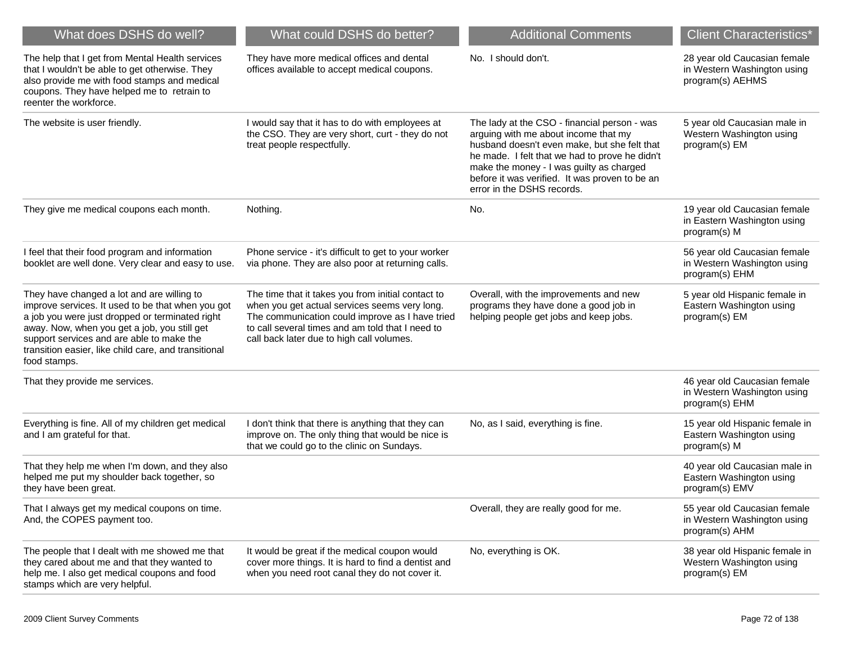| What does DSHS do well?                                                                                                                                                                                                                                                                                                 | What could DSHS do better?                                                                                                                                                                                                                              | <b>Additional Comments</b>                                                                                                                                                                                                                                                                                         | <b>Client Characteristics*</b>                                                  |
|-------------------------------------------------------------------------------------------------------------------------------------------------------------------------------------------------------------------------------------------------------------------------------------------------------------------------|---------------------------------------------------------------------------------------------------------------------------------------------------------------------------------------------------------------------------------------------------------|--------------------------------------------------------------------------------------------------------------------------------------------------------------------------------------------------------------------------------------------------------------------------------------------------------------------|---------------------------------------------------------------------------------|
| The help that I get from Mental Health services<br>that I wouldn't be able to get otherwise. They<br>also provide me with food stamps and medical<br>coupons. They have helped me to retrain to<br>reenter the workforce.                                                                                               | They have more medical offices and dental<br>offices available to accept medical coupons.                                                                                                                                                               | No. I should don't.                                                                                                                                                                                                                                                                                                | 28 year old Caucasian female<br>in Western Washington using<br>program(s) AEHMS |
| The website is user friendly.                                                                                                                                                                                                                                                                                           | I would say that it has to do with employees at<br>the CSO. They are very short, curt - they do not<br>treat people respectfully.                                                                                                                       | The lady at the CSO - financial person - was<br>arguing with me about income that my<br>husband doesn't even make, but she felt that<br>he made. I felt that we had to prove he didn't<br>make the money - I was guilty as charged<br>before it was verified. It was proven to be an<br>error in the DSHS records. | 5 year old Caucasian male in<br>Western Washington using<br>program(s) EM       |
| They give me medical coupons each month.                                                                                                                                                                                                                                                                                | Nothing.                                                                                                                                                                                                                                                | No.                                                                                                                                                                                                                                                                                                                | 19 year old Caucasian female<br>in Eastern Washington using<br>program(s) M     |
| I feel that their food program and information<br>booklet are well done. Very clear and easy to use.                                                                                                                                                                                                                    | Phone service - it's difficult to get to your worker<br>via phone. They are also poor at returning calls.                                                                                                                                               |                                                                                                                                                                                                                                                                                                                    | 56 year old Caucasian female<br>in Western Washington using<br>program(s) EHM   |
| They have changed a lot and are willing to<br>improve services. It used to be that when you got<br>a job you were just dropped or terminated right<br>away. Now, when you get a job, you still get<br>support services and are able to make the<br>transition easier, like child care, and transitional<br>food stamps. | The time that it takes you from initial contact to<br>when you get actual services seems very long.<br>The communication could improve as I have tried<br>to call several times and am told that I need to<br>call back later due to high call volumes. | Overall, with the improvements and new<br>programs they have done a good job in<br>helping people get jobs and keep jobs.                                                                                                                                                                                          | 5 year old Hispanic female in<br>Eastern Washington using<br>program(s) EM      |
| That they provide me services.                                                                                                                                                                                                                                                                                          |                                                                                                                                                                                                                                                         |                                                                                                                                                                                                                                                                                                                    | 46 year old Caucasian female<br>in Western Washington using<br>program(s) EHM   |
| Everything is fine. All of my children get medical<br>and I am grateful for that.                                                                                                                                                                                                                                       | I don't think that there is anything that they can<br>improve on. The only thing that would be nice is<br>that we could go to the clinic on Sundays.                                                                                                    | No, as I said, everything is fine.                                                                                                                                                                                                                                                                                 | 15 year old Hispanic female in<br>Eastern Washington using<br>program(s) M      |
| That they help me when I'm down, and they also<br>helped me put my shoulder back together, so<br>they have been great.                                                                                                                                                                                                  |                                                                                                                                                                                                                                                         |                                                                                                                                                                                                                                                                                                                    | 40 year old Caucasian male in<br>Eastern Washington using<br>program(s) EMV     |
| That I always get my medical coupons on time.<br>And, the COPES payment too.                                                                                                                                                                                                                                            |                                                                                                                                                                                                                                                         | Overall, they are really good for me.                                                                                                                                                                                                                                                                              | 55 year old Caucasian female<br>in Western Washington using<br>program(s) AHM   |
| The people that I dealt with me showed me that<br>they cared about me and that they wanted to<br>help me. I also get medical coupons and food<br>stamps which are very helpful.                                                                                                                                         | It would be great if the medical coupon would<br>cover more things. It is hard to find a dentist and<br>when you need root canal they do not cover it.                                                                                                  | No, everything is OK.                                                                                                                                                                                                                                                                                              | 38 year old Hispanic female in<br>Western Washington using<br>program(s) EM     |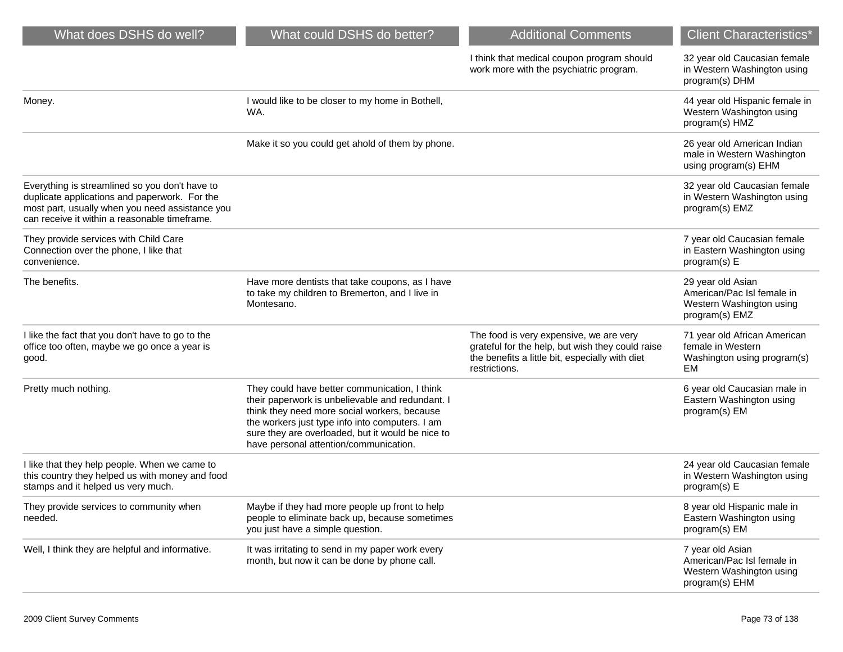| I think that medical coupon program should | 32 year old Caucasian female |
|--------------------------------------------|------------------------------|
| work more with the psychiatric program.    | in Western Washington using  |
|                                            | program(s) DHM               |

| Money.                                                                                                                                                                                              | I would like to be closer to my home in Bothell,<br>WA.                                                                                                                                                                                                                                             |                                                                                                                                                                 | 44 year old Hispanic female in<br>Western Washington using<br>program(s) HMZ                  |
|-----------------------------------------------------------------------------------------------------------------------------------------------------------------------------------------------------|-----------------------------------------------------------------------------------------------------------------------------------------------------------------------------------------------------------------------------------------------------------------------------------------------------|-----------------------------------------------------------------------------------------------------------------------------------------------------------------|-----------------------------------------------------------------------------------------------|
|                                                                                                                                                                                                     | Make it so you could get ahold of them by phone.                                                                                                                                                                                                                                                    |                                                                                                                                                                 | 26 year old American Indian<br>male in Western Washington<br>using program(s) EHM             |
| Everything is streamlined so you don't have to<br>duplicate applications and paperwork. For the<br>most part, usually when you need assistance you<br>can receive it within a reasonable timeframe. |                                                                                                                                                                                                                                                                                                     |                                                                                                                                                                 | 32 year old Caucasian female<br>in Western Washington using<br>program(s) EMZ                 |
| They provide services with Child Care<br>Connection over the phone, I like that<br>convenience.                                                                                                     |                                                                                                                                                                                                                                                                                                     |                                                                                                                                                                 | 7 year old Caucasian female<br>in Eastern Washington using<br>program(s) E                    |
| The benefits.                                                                                                                                                                                       | Have more dentists that take coupons, as I have<br>to take my children to Bremerton, and I live in<br>Montesano.                                                                                                                                                                                    |                                                                                                                                                                 | 29 year old Asian<br>American/Pac Isl female in<br>Western Washington using<br>program(s) EMZ |
| I like the fact that you don't have to go to the<br>office too often, maybe we go once a year is<br>good.                                                                                           |                                                                                                                                                                                                                                                                                                     | The food is very expensive, we are very<br>grateful for the help, but wish they could raise<br>the benefits a little bit, especially with diet<br>restrictions. | 71 year old African American<br>female in Western<br>Washington using program(s)<br>EM        |
| Pretty much nothing.                                                                                                                                                                                | They could have better communication, I think<br>their paperwork is unbelievable and redundant. I<br>think they need more social workers, because<br>the workers just type info into computers. I am<br>sure they are overloaded, but it would be nice to<br>have personal attention/communication. |                                                                                                                                                                 | 6 year old Caucasian male in<br>Eastern Washington using<br>program(s) EM                     |
| I like that they help people. When we came to<br>this country they helped us with money and food<br>stamps and it helped us very much.                                                              |                                                                                                                                                                                                                                                                                                     |                                                                                                                                                                 | 24 year old Caucasian female<br>in Western Washington using<br>program(s) E                   |
| They provide services to community when<br>needed.                                                                                                                                                  | Maybe if they had more people up front to help<br>people to eliminate back up, because sometimes<br>you just have a simple question.                                                                                                                                                                |                                                                                                                                                                 | 8 year old Hispanic male in<br>Eastern Washington using<br>program(s) EM                      |
| Well, I think they are helpful and informative.                                                                                                                                                     | It was irritating to send in my paper work every<br>month, but now it can be done by phone call.                                                                                                                                                                                                    |                                                                                                                                                                 | 7 year old Asian<br>American/Pac Isl female in<br>Western Washington using<br>program(s) EHM  |